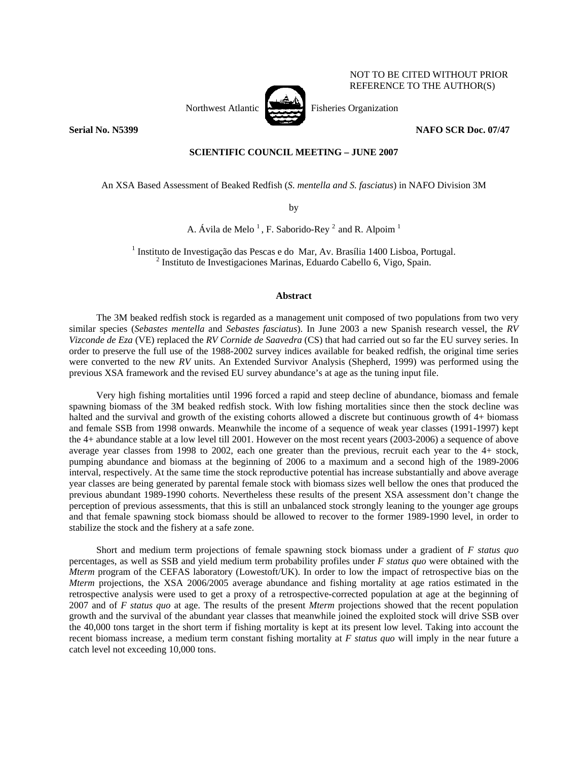

NOT TO BE CITED WITHOUT PRIOR REFERENCE TO THE AUTHOR(S)

# **Serial No. N5399 NAFO SCR Doc. 07/47**

# **SCIENTIFIC COUNCIL MEETING – JUNE 2007**

An XSA Based Assessment of Beaked Redfish (*S. mentella and S. fasciatus*) in NAFO Division 3M

by

A. Ávila de Melo<sup>1</sup>, F. Saborido-Rey<sup>2</sup> and R. Alpoim<sup>1</sup>

<sup>1</sup> Instituto de Investigação das Pescas e do Mar, Av. Brasília 1400 Lisboa, Portugal.<br><sup>2</sup> Instituto de Investigaciones Merines, Eduardo Cebello 6, Visco, Spein  $<sup>2</sup>$  Instituto de Investigaciones Marinas, Eduardo Cabello 6, Vigo, Spain.</sup>

## **Abstract**

The 3M beaked redfish stock is regarded as a management unit composed of two populations from two very similar species (*Sebastes mentella* and *Sebastes fasciatus*). In June 2003 a new Spanish research vessel, the *RV Vizconde de Eza* (VE) replaced the *RV Cornide de Saavedra* (CS) that had carried out so far the EU survey series. In order to preserve the full use of the 1988-2002 survey indices available for beaked redfish, the original time series were converted to the new *RV* units. An Extended Survivor Analysis (Shepherd, 1999) was performed using the previous XSA framework and the revised EU survey abundance's at age as the tuning input file.

Very high fishing mortalities until 1996 forced a rapid and steep decline of abundance, biomass and female spawning biomass of the 3M beaked redfish stock. With low fishing mortalities since then the stock decline was halted and the survival and growth of the existing cohorts allowed a discrete but continuous growth of 4+ biomass and female SSB from 1998 onwards. Meanwhile the income of a sequence of weak year classes (1991-1997) kept the 4+ abundance stable at a low level till 2001. However on the most recent years (2003-2006) a sequence of above average year classes from 1998 to 2002, each one greater than the previous, recruit each year to the 4+ stock, pumping abundance and biomass at the beginning of 2006 to a maximum and a second high of the 1989-2006 interval, respectively. At the same time the stock reproductive potential has increase substantially and above average year classes are being generated by parental female stock with biomass sizes well bellow the ones that produced the previous abundant 1989-1990 cohorts. Nevertheless these results of the present XSA assessment don't change the perception of previous assessments, that this is still an unbalanced stock strongly leaning to the younger age groups and that female spawning stock biomass should be allowed to recover to the former 1989-1990 level, in order to stabilize the stock and the fishery at a safe zone.

Short and medium term projections of female spawning stock biomass under a gradient of *F status quo* percentages, as well as SSB and yield medium term probability profiles under *F status quo* were obtained with the *Mterm* program of the CEFAS laboratory (Lowestoft/UK). In order to low the impact of retrospective bias on the *Mterm* projections, the XSA 2006/2005 average abundance and fishing mortality at age ratios estimated in the retrospective analysis were used to get a proxy of a retrospective-corrected population at age at the beginning of 2007 and of *F status quo* at age. The results of the present *Mterm* projections showed that the recent population growth and the survival of the abundant year classes that meanwhile joined the exploited stock will drive SSB over the 40,000 tons target in the short term if fishing mortality is kept at its present low level. Taking into account the recent biomass increase, a medium term constant fishing mortality at *F status quo* will imply in the near future a catch level not exceeding 10,000 tons.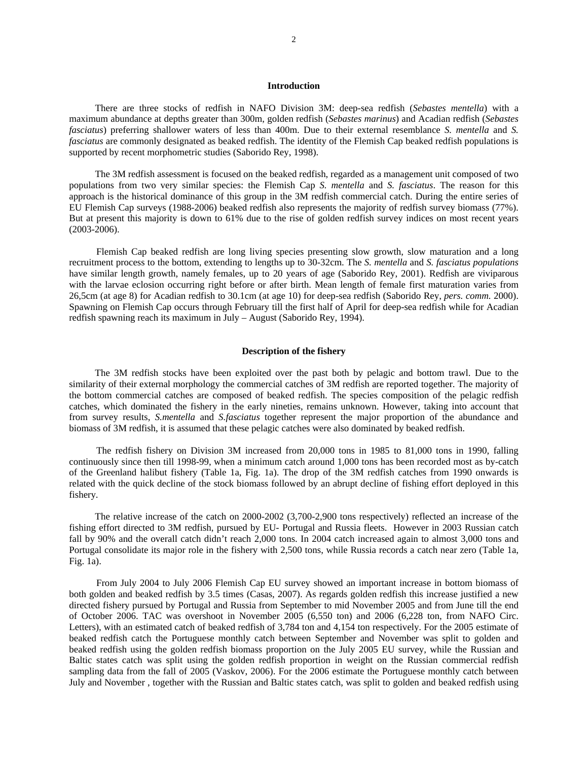#### **Introduction**

There are three stocks of redfish in NAFO Division 3M: deep-sea redfish (*Sebastes mentella*) with a maximum abundance at depths greater than 300m, golden redfish (*Sebastes marinus*) and Acadian redfish (*Sebastes fasciatus*) preferring shallower waters of less than 400m. Due to their external resemblance *S. mentella* and *S. fasciatus* are commonly designated as beaked redfish. The identity of the Flemish Cap beaked redfish populations is supported by recent morphometric studies (Saborido Rey, 1998).

The 3M redfish assessment is focused on the beaked redfish, regarded as a management unit composed of two populations from two very similar species: the Flemish Cap *S. mentella* and *S. fasciatus*. The reason for this approach is the historical dominance of this group in the 3M redfish commercial catch. During the entire series of EU Flemish Cap surveys (1988-2006) beaked redfish also represents the majority of redfish survey biomass (77%). But at present this majority is down to 61% due to the rise of golden redfish survey indices on most recent years (2003-2006).

Flemish Cap beaked redfish are long living species presenting slow growth, slow maturation and a long recruitment process to the bottom, extending to lengths up to 30-32cm. The *S. mentella* and *S. fasciatus populations* have similar length growth, namely females, up to 20 years of age (Saborido Rey, 2001). Redfish are viviparous with the larvae eclosion occurring right before or after birth. Mean length of female first maturation varies from 26,5cm (at age 8) for Acadian redfish to 30.1cm (at age 10) for deep-sea redfish (Saborido Rey, *pers. comm.* 2000). Spawning on Flemish Cap occurs through February till the first half of April for deep-sea redfish while for Acadian redfish spawning reach its maximum in July – August (Saborido Rey, 1994).

## **Description of the fishery**

The 3M redfish stocks have been exploited over the past both by pelagic and bottom trawl. Due to the similarity of their external morphology the commercial catches of 3M redfish are reported together. The majority of the bottom commercial catches are composed of beaked redfish. The species composition of the pelagic redfish catches, which dominated the fishery in the early nineties, remains unknown. However, taking into account that from survey results, *S.mentella* and *S.fasciatus* together represent the major proportion of the abundance and biomass of 3M redfish, it is assumed that these pelagic catches were also dominated by beaked redfish.

The redfish fishery on Division 3M increased from 20,000 tons in 1985 to 81,000 tons in 1990, falling continuously since then till 1998-99, when a minimum catch around 1,000 tons has been recorded most as by-catch of the Greenland halibut fishery (Table 1a, Fig. 1a). The drop of the 3M redfish catches from 1990 onwards is related with the quick decline of the stock biomass followed by an abrupt decline of fishing effort deployed in this fishery.

The relative increase of the catch on 2000-2002 (3,700-2,900 tons respectively) reflected an increase of the fishing effort directed to 3M redfish, pursued by EU- Portugal and Russia fleets. However in 2003 Russian catch fall by 90% and the overall catch didn't reach 2,000 tons. In 2004 catch increased again to almost 3,000 tons and Portugal consolidate its major role in the fishery with 2,500 tons, while Russia records a catch near zero (Table 1a, Fig. 1a).

From July 2004 to July 2006 Flemish Cap EU survey showed an important increase in bottom biomass of both golden and beaked redfish by 3.5 times (Casas, 2007). As regards golden redfish this increase justified a new directed fishery pursued by Portugal and Russia from September to mid November 2005 and from June till the end of October 2006. TAC was overshoot in November 2005 (6,550 ton) and 2006 (6,228 ton, from NAFO Circ. Letters), with an estimated catch of beaked redfish of 3,784 ton and 4,154 ton respectively. For the 2005 estimate of beaked redfish catch the Portuguese monthly catch between September and November was split to golden and beaked redfish using the golden redfish biomass proportion on the July 2005 EU survey, while the Russian and Baltic states catch was split using the golden redfish proportion in weight on the Russian commercial redfish sampling data from the fall of 2005 (Vaskov, 2006). For the 2006 estimate the Portuguese monthly catch between July and November , together with the Russian and Baltic states catch, was split to golden and beaked redfish using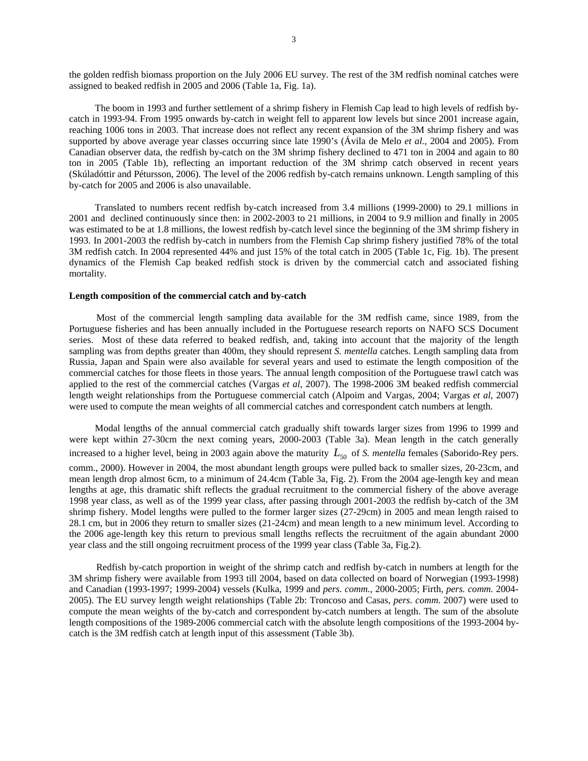the golden redfish biomass proportion on the July 2006 EU survey. The rest of the 3M redfish nominal catches were assigned to beaked redfish in 2005 and 2006 (Table 1a, Fig. 1a).

The boom in 1993 and further settlement of a shrimp fishery in Flemish Cap lead to high levels of redfish bycatch in 1993-94. From 1995 onwards by-catch in weight fell to apparent low levels but since 2001 increase again, reaching 1006 tons in 2003. That increase does not reflect any recent expansion of the 3M shrimp fishery and was supported by above average year classes occurring since late 1990's (Ávila de Melo *et al.*, 2004 and 2005). From Canadian observer data, the redfish by-catch on the 3M shrimp fishery declined to 471 ton in 2004 and again to 80 ton in 2005 (Table 1b), reflecting an important reduction of the 3M shrimp catch observed in recent years (Skúladóttir and Pétursson, 2006). The level of the 2006 redfish by-catch remains unknown. Length sampling of this by-catch for 2005 and 2006 is also unavailable.

Translated to numbers recent redfish by-catch increased from 3.4 millions (1999-2000) to 29.1 millions in 2001 and declined continuously since then: in 2002-2003 to 21 millions, in 2004 to 9.9 million and finally in 2005 was estimated to be at 1.8 millions, the lowest redfish by-catch level since the beginning of the 3M shrimp fishery in 1993. In 2001-2003 the redfish by-catch in numbers from the Flemish Cap shrimp fishery justified 78% of the total 3M redfish catch. In 2004 represented 44% and just 15% of the total catch in 2005 (Table 1c, Fig. 1b). The present dynamics of the Flemish Cap beaked redfish stock is driven by the commercial catch and associated fishing mortality.

#### **Length composition of the commercial catch and by-catch**

Most of the commercial length sampling data available for the 3M redfish came, since 1989, from the Portuguese fisheries and has been annually included in the Portuguese research reports on NAFO SCS Document series. Most of these data referred to beaked redfish, and, taking into account that the majority of the length sampling was from depths greater than 400m, they should represent *S. mentella* catches. Length sampling data from Russia, Japan and Spain were also available for several years and used to estimate the length composition of the commercial catches for those fleets in those years. The annual length composition of the Portuguese trawl catch was applied to the rest of the commercial catches (Vargas *et al*, 2007). The 1998-2006 3M beaked redfish commercial length weight relationships from the Portuguese commercial catch (Alpoim and Vargas, 2004; Vargas *et al*, 2007) were used to compute the mean weights of all commercial catches and correspondent catch numbers at length.

Modal lengths of the annual commercial catch gradually shift towards larger sizes from 1996 to 1999 and were kept within 27-30cm the next coming years, 2000-2003 (Table 3a). Mean length in the catch generally increased to a higher level, being in 2003 again above the maturity  $L_{50}$  of *S. mentella* females (Saborido-Rey pers. comm., 2000). However in 2004, the most abundant length groups were pulled back to smaller sizes, 20-23cm, and mean length drop almost 6cm, to a minimum of 24.4cm (Table 3a, Fig. 2). From the 2004 age-length key and mean lengths at age, this dramatic shift reflects the gradual recruitment to the commercial fishery of the above average 1998 year class, as well as of the 1999 year class, after passing through 2001-2003 the redfish by-catch of the 3M shrimp fishery. Model lengths were pulled to the former larger sizes (27-29cm) in 2005 and mean length raised to 28.1 cm, but in 2006 they return to smaller sizes (21-24cm) and mean length to a new minimum level. According to the 2006 age-length key this return to previous small lengths reflects the recruitment of the again abundant 2000 year class and the still ongoing recruitment process of the 1999 year class (Table 3a, Fig.2).

Redfish by-catch proportion in weight of the shrimp catch and redfish by-catch in numbers at length for the 3M shrimp fishery were available from 1993 till 2004, based on data collected on board of Norwegian (1993-1998) and Canadian (1993-1997; 1999-2004) vessels (Kulka, 1999 and *pers. comm.*, 2000-2005; Firth, *pers. comm.* 2004- 2005). The EU survey length weight relationships (Table 2b: Troncoso and Casas, *pers. comm.* 2007) were used to compute the mean weights of the by-catch and correspondent by-catch numbers at length. The sum of the absolute length compositions of the 1989-2006 commercial catch with the absolute length compositions of the 1993-2004 bycatch is the 3M redfish catch at length input of this assessment (Table 3b).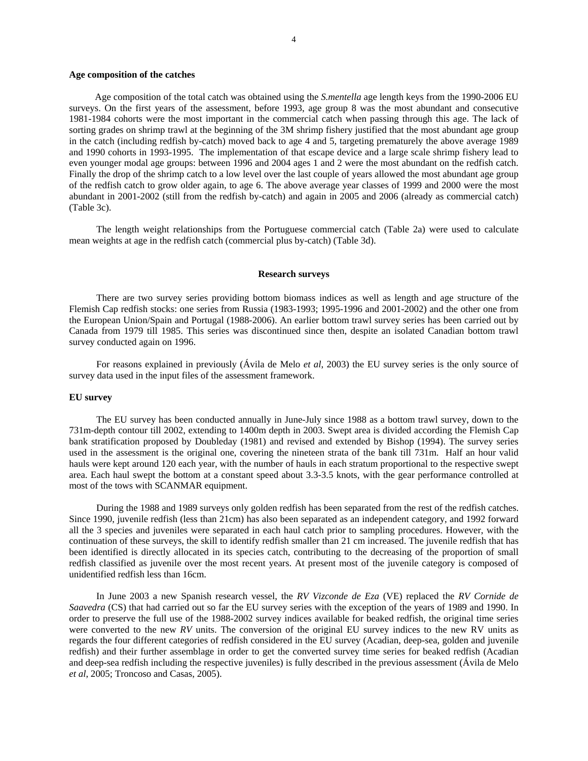#### **Age composition of the catches**

Age composition of the total catch was obtained using the *S.mentella* age length keys from the 1990-2006 EU surveys. On the first years of the assessment, before 1993, age group 8 was the most abundant and consecutive 1981-1984 cohorts were the most important in the commercial catch when passing through this age. The lack of sorting grades on shrimp trawl at the beginning of the 3M shrimp fishery justified that the most abundant age group in the catch (including redfish by-catch) moved back to age 4 and 5, targeting prematurely the above average 1989 and 1990 cohorts in 1993-1995. The implementation of that escape device and a large scale shrimp fishery lead to even younger modal age groups: between 1996 and 2004 ages 1 and 2 were the most abundant on the redfish catch. Finally the drop of the shrimp catch to a low level over the last couple of years allowed the most abundant age group of the redfish catch to grow older again, to age 6. The above average year classes of 1999 and 2000 were the most abundant in 2001-2002 (still from the redfish by-catch) and again in 2005 and 2006 (already as commercial catch) (Table 3c).

The length weight relationships from the Portuguese commercial catch (Table 2a) were used to calculate mean weights at age in the redfish catch (commercial plus by-catch) (Table 3d).

#### **Research surveys**

There are two survey series providing bottom biomass indices as well as length and age structure of the Flemish Cap redfish stocks: one series from Russia (1983-1993; 1995-1996 and 2001-2002) and the other one from the European Union/Spain and Portugal (1988-2006). An earlier bottom trawl survey series has been carried out by Canada from 1979 till 1985. This series was discontinued since then, despite an isolated Canadian bottom trawl survey conducted again on 1996.

For reasons explained in previously (Ávila de Melo *et al*, 2003) the EU survey series is the only source of survey data used in the input files of the assessment framework.

#### **EU survey**

The EU survey has been conducted annually in June-July since 1988 as a bottom trawl survey, down to the 731m-depth contour till 2002, extending to 1400m depth in 2003. Swept area is divided according the Flemish Cap bank stratification proposed by Doubleday (1981) and revised and extended by Bishop (1994). The survey series used in the assessment is the original one, covering the nineteen strata of the bank till 731m. Half an hour valid hauls were kept around 120 each year, with the number of hauls in each stratum proportional to the respective swept area. Each haul swept the bottom at a constant speed about 3.3-3.5 knots, with the gear performance controlled at most of the tows with SCANMAR equipment.

During the 1988 and 1989 surveys only golden redfish has been separated from the rest of the redfish catches. Since 1990, juvenile redfish (less than 21cm) has also been separated as an independent category, and 1992 forward all the 3 species and juveniles were separated in each haul catch prior to sampling procedures. However, with the continuation of these surveys, the skill to identify redfish smaller than 21 cm increased. The juvenile redfish that has been identified is directly allocated in its species catch, contributing to the decreasing of the proportion of small redfish classified as juvenile over the most recent years. At present most of the juvenile category is composed of unidentified redfish less than 16cm.

In June 2003 a new Spanish research vessel, the *RV Vizconde de Eza* (VE) replaced the *RV Cornide de Saavedra* (CS) that had carried out so far the EU survey series with the exception of the years of 1989 and 1990. In order to preserve the full use of the 1988-2002 survey indices available for beaked redfish, the original time series were converted to the new *RV* units. The conversion of the original EU survey indices to the new RV units as regards the four different categories of redfish considered in the EU survey (Acadian, deep-sea, golden and juvenile redfish) and their further assemblage in order to get the converted survey time series for beaked redfish (Acadian and deep-sea redfish including the respective juveniles) is fully described in the previous assessment (Ávila de Melo *et al*, 2005; Troncoso and Casas, 2005).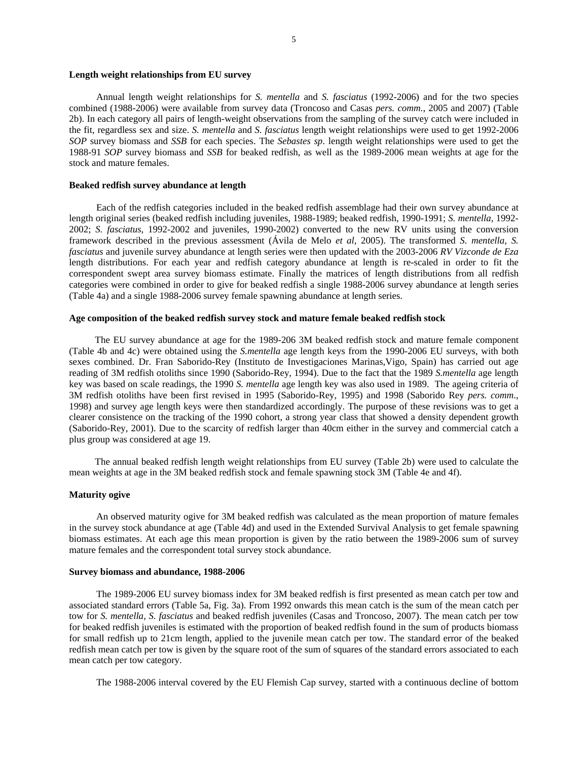#### **Length weight relationships from EU survey**

Annual length weight relationships for *S. mentella* and *S. fasciatus* (1992-2006) and for the two species combined (1988-2006) were available from survey data (Troncoso and Casas *pers. comm.*, 2005 and 2007) (Table 2b). In each category all pairs of length-weight observations from the sampling of the survey catch were included in the fit, regardless sex and size. *S. mentella* and *S. fasciatus* length weight relationships were used to get 1992-2006 *SOP* survey biomass and *SSB* for each species. The *Sebastes sp*. length weight relationships were used to get the 1988-91 *SOP* survey biomass and *SSB* for beaked redfish, as well as the 1989-2006 mean weights at age for the stock and mature females.

# **Beaked redfish survey abundance at length**

Each of the redfish categories included in the beaked redfish assemblage had their own survey abundance at length original series (beaked redfish including juveniles, 1988-1989; beaked redfish, 1990-1991; *S. mentella*, 1992- 2002; *S. fasciatus*, 1992-2002 and juveniles, 1990-2002) converted to the new RV units using the conversion framework described in the previous assessment (Ávila de Melo *et al*, 2005). The transformed *S. mentella, S. fasciatus* and juvenile survey abundance at length series were then updated with the 2003-2006 *RV Vizconde de Eza*  length distributions. For each year and redfish category abundance at length is re-scaled in order to fit the correspondent swept area survey biomass estimate. Finally the matrices of length distributions from all redfish categories were combined in order to give for beaked redfish a single 1988-2006 survey abundance at length series (Table 4a) and a single 1988-2006 survey female spawning abundance at length series.

## **Age composition of the beaked redfish survey stock and mature female beaked redfish stock**

The EU survey abundance at age for the 1989-206 3M beaked redfish stock and mature female component (Table 4b and 4c) were obtained using the *S.mentella* age length keys from the 1990-2006 EU surveys, with both sexes combined. Dr. Fran Saborido-Rey (Instituto de Investigaciones Marinas,Vigo, Spain) has carried out age reading of 3M redfish otoliths since 1990 (Saborido-Rey, 1994). Due to the fact that the 1989 *S.mentella* age length key was based on scale readings, the 1990 *S. mentella* age length key was also used in 1989. The ageing criteria of 3M redfish otoliths have been first revised in 1995 (Saborido-Rey, 1995) and 1998 (Saborido Rey *pers. comm*., 1998) and survey age length keys were then standardized accordingly. The purpose of these revisions was to get a clearer consistence on the tracking of the 1990 cohort, a strong year class that showed a density dependent growth (Saborido-Rey, 2001). Due to the scarcity of redfish larger than 40cm either in the survey and commercial catch a plus group was considered at age 19.

The annual beaked redfish length weight relationships from EU survey (Table 2b) were used to calculate the mean weights at age in the 3M beaked redfish stock and female spawning stock 3M (Table 4e and 4f).

## **Maturity ogive**

An observed maturity ogive for 3M beaked redfish was calculated as the mean proportion of mature females in the survey stock abundance at age (Table 4d) and used in the Extended Survival Analysis to get female spawning biomass estimates. At each age this mean proportion is given by the ratio between the 1989-2006 sum of survey mature females and the correspondent total survey stock abundance.

### **Survey biomass and abundance, 1988-2006**

The 1989-2006 EU survey biomass index for 3M beaked redfish is first presented as mean catch per tow and associated standard errors (Table 5a, Fig. 3a). From 1992 onwards this mean catch is the sum of the mean catch per tow for *S. mentella*, *S. fasciatus* and beaked redfish juveniles (Casas and Troncoso, 2007). The mean catch per tow for beaked redfish juveniles is estimated with the proportion of beaked redfish found in the sum of products biomass for small redfish up to 21cm length, applied to the juvenile mean catch per tow. The standard error of the beaked redfish mean catch per tow is given by the square root of the sum of squares of the standard errors associated to each mean catch per tow category.

The 1988-2006 interval covered by the EU Flemish Cap survey, started with a continuous decline of bottom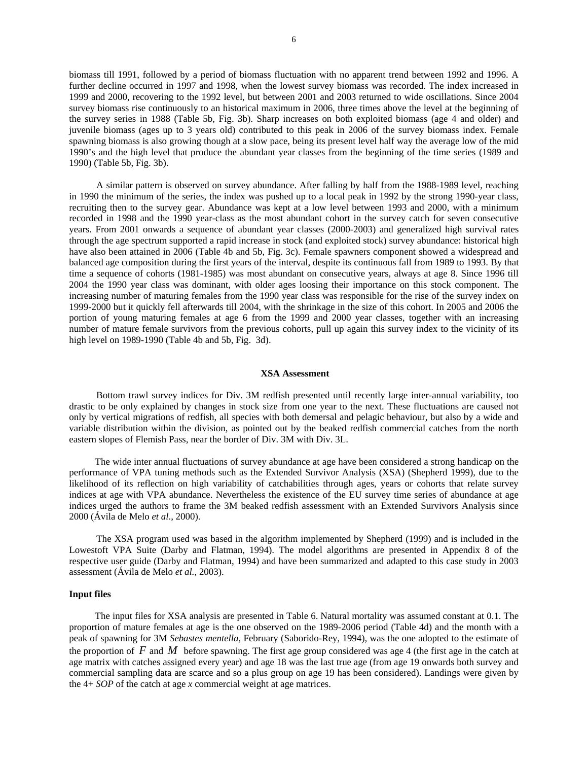biomass till 1991, followed by a period of biomass fluctuation with no apparent trend between 1992 and 1996. A further decline occurred in 1997 and 1998, when the lowest survey biomass was recorded. The index increased in 1999 and 2000, recovering to the 1992 level, but between 2001 and 2003 returned to wide oscillations. Since 2004 survey biomass rise continuously to an historical maximum in 2006, three times above the level at the beginning of the survey series in 1988 (Table 5b, Fig. 3b). Sharp increases on both exploited biomass (age 4 and older) and juvenile biomass (ages up to 3 years old) contributed to this peak in 2006 of the survey biomass index. Female spawning biomass is also growing though at a slow pace, being its present level half way the average low of the mid 1990's and the high level that produce the abundant year classes from the beginning of the time series (1989 and 1990) (Table 5b, Fig. 3b).

A similar pattern is observed on survey abundance. After falling by half from the 1988-1989 level, reaching in 1990 the minimum of the series, the index was pushed up to a local peak in 1992 by the strong 1990-year class, recruiting then to the survey gear. Abundance was kept at a low level between 1993 and 2000, with a minimum recorded in 1998 and the 1990 year-class as the most abundant cohort in the survey catch for seven consecutive years. From 2001 onwards a sequence of abundant year classes (2000-2003) and generalized high survival rates through the age spectrum supported a rapid increase in stock (and exploited stock) survey abundance: historical high have also been attained in 2006 (Table 4b and 5b, Fig. 3c). Female spawners component showed a widespread and balanced age composition during the first years of the interval, despite its continuous fall from 1989 to 1993. By that time a sequence of cohorts (1981-1985) was most abundant on consecutive years, always at age 8. Since 1996 till 2004 the 1990 year class was dominant, with older ages loosing their importance on this stock component. The increasing number of maturing females from the 1990 year class was responsible for the rise of the survey index on 1999-2000 but it quickly fell afterwards till 2004, with the shrinkage in the size of this cohort. In 2005 and 2006 the portion of young maturing females at age 6 from the 1999 and 2000 year classes, together with an increasing number of mature female survivors from the previous cohorts, pull up again this survey index to the vicinity of its high level on 1989-1990 (Table 4b and 5b, Fig. 3d).

#### **XSA Assessment**

Bottom trawl survey indices for Div. 3M redfish presented until recently large inter-annual variability, too drastic to be only explained by changes in stock size from one year to the next. These fluctuations are caused not only by vertical migrations of redfish, all species with both demersal and pelagic behaviour, but also by a wide and variable distribution within the division, as pointed out by the beaked redfish commercial catches from the north eastern slopes of Flemish Pass, near the border of Div. 3M with Div. 3L.

The wide inter annual fluctuations of survey abundance at age have been considered a strong handicap on the performance of VPA tuning methods such as the Extended Survivor Analysis (XSA) (Shepherd 1999), due to the likelihood of its reflection on high variability of catchabilities through ages, years or cohorts that relate survey indices at age with VPA abundance. Nevertheless the existence of the EU survey time series of abundance at age indices urged the authors to frame the 3M beaked redfish assessment with an Extended Survivors Analysis since 2000 (Ávila de Melo *et al*., 2000).

The XSA program used was based in the algorithm implemented by Shepherd (1999) and is included in the Lowestoft VPA Suite (Darby and Flatman, 1994). The model algorithms are presented in Appendix 8 of the respective user guide (Darby and Flatman, 1994) and have been summarized and adapted to this case study in 2003 assessment (Ávila de Melo *et al.*, 2003).

#### **Input files**

The input files for XSA analysis are presented in Table 6. Natural mortality was assumed constant at 0.1. The proportion of mature females at age is the one observed on the 1989-2006 period (Table 4d) and the month with a peak of spawning for 3M *Sebastes mentella*, February (Saborido-Rey, 1994), was the one adopted to the estimate of the proportion of *F* and *M* before spawning. The first age group considered was age 4 (the first age in the catch at age matrix with catches assigned every year) and age 18 was the last true age (from age 19 onwards both survey and commercial sampling data are scarce and so a plus group on age 19 has been considered). Landings were given by the 4+ *SOP* of the catch at age *x* commercial weight at age matrices.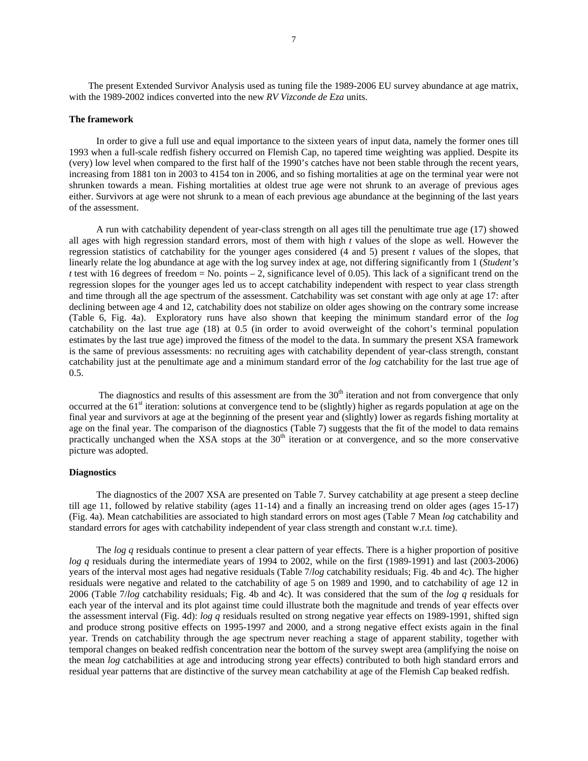The present Extended Survivor Analysis used as tuning file the 1989-2006 EU survey abundance at age matrix, with the 1989-2002 indices converted into the new *RV Vizconde de Eza* units.

#### **The framework**

In order to give a full use and equal importance to the sixteen years of input data, namely the former ones till 1993 when a full-scale redfish fishery occurred on Flemish Cap, no tapered time weighting was applied. Despite its (very) low level when compared to the first half of the 1990's catches have not been stable through the recent years, increasing from 1881 ton in 2003 to 4154 ton in 2006, and so fishing mortalities at age on the terminal year were not shrunken towards a mean. Fishing mortalities at oldest true age were not shrunk to an average of previous ages either. Survivors at age were not shrunk to a mean of each previous age abundance at the beginning of the last years of the assessment.

A run with catchability dependent of year-class strength on all ages till the penultimate true age (17) showed all ages with high regression standard errors, most of them with high *t* values of the slope as well. However the regression statistics of catchability for the younger ages considered (4 and 5) present *t* values of the slopes, that linearly relate the log abundance at age with the log survey index at age, not differing significantly from 1 (*Student's t* test with 16 degrees of freedom = No. points  $-2$ , significance level of 0.05). This lack of a significant trend on the regression slopes for the younger ages led us to accept catchability independent with respect to year class strength and time through all the age spectrum of the assessment. Catchability was set constant with age only at age 17: after declining between age 4 and 12, catchability does not stabilize on older ages showing on the contrary some increase (Table 6, Fig. 4a). Exploratory runs have also shown that keeping the minimum standard error of the *log*  catchability on the last true age (18) at 0.5 (in order to avoid overweight of the cohort's terminal population estimates by the last true age) improved the fitness of the model to the data. In summary the present XSA framework is the same of previous assessments: no recruiting ages with catchability dependent of year-class strength, constant catchability just at the penultimate age and a minimum standard error of the *log* catchability for the last true age of 0.5.

The diagnostics and results of this assessment are from the  $30<sup>th</sup>$  iteration and not from convergence that only occurred at the 61<sup>st</sup> iteration: solutions at convergence tend to be (slightly) higher as regards population at age on the final year and survivors at age at the beginning of the present year and (slightly) lower as regards fishing mortality at age on the final year. The comparison of the diagnostics (Table 7) suggests that the fit of the model to data remains practically unchanged when the XSA stops at the 30<sup>th</sup> iteration or at convergence, and so the more conservative picture was adopted.

## **Diagnostics**

The diagnostics of the 2007 XSA are presented on Table 7. Survey catchability at age present a steep decline till age 11, followed by relative stability (ages 11-14) and a finally an increasing trend on older ages (ages 15-17) (Fig. 4a). Mean catchabilities are associated to high standard errors on most ages (Table 7 Mean *log* catchability and standard errors for ages with catchability independent of year class strength and constant w.r.t. time).

The *log q* residuals continue to present a clear pattern of year effects. There is a higher proportion of positive *log q* residuals during the intermediate years of 1994 to 2002, while on the first (1989-1991) and last (2003-2006) years of the interval most ages had negative residuals (Table 7/*log* catchability residuals; Fig. 4b and 4c). The higher residuals were negative and related to the catchability of age 5 on 1989 and 1990, and to catchability of age 12 in 2006 (Table 7/*log* catchability residuals; Fig. 4b and 4c). It was considered that the sum of the *log q* residuals for each year of the interval and its plot against time could illustrate both the magnitude and trends of year effects over the assessment interval (Fig. 4d): *log q* residuals resulted on strong negative year effects on 1989-1991, shifted sign and produce strong positive effects on 1995-1997 and 2000, and a strong negative effect exists again in the final year. Trends on catchability through the age spectrum never reaching a stage of apparent stability, together with temporal changes on beaked redfish concentration near the bottom of the survey swept area (amplifying the noise on the mean *log* catchabilities at age and introducing strong year effects) contributed to both high standard errors and residual year patterns that are distinctive of the survey mean catchability at age of the Flemish Cap beaked redfish.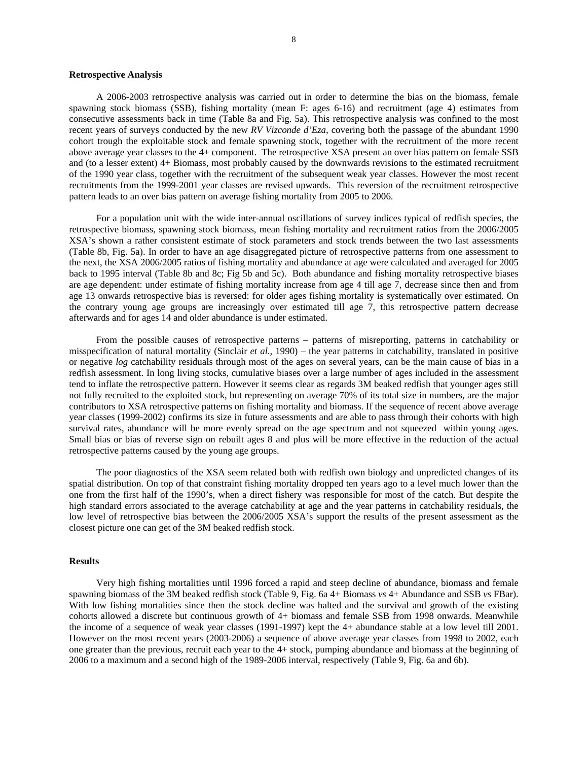### **Retrospective Analysis**

A 2006-2003 retrospective analysis was carried out in order to determine the bias on the biomass, female spawning stock biomass (SSB), fishing mortality (mean F: ages 6-16) and recruitment (age 4) estimates from consecutive assessments back in time (Table 8a and Fig. 5a). This retrospective analysis was confined to the most recent years of surveys conducted by the new *RV Vizconde d'Eza*, covering both the passage of the abundant 1990 cohort trough the exploitable stock and female spawning stock, together with the recruitment of the more recent above average year classes to the 4+ component. The retrospective XSA present an over bias pattern on female SSB and (to a lesser extent) 4+ Biomass, most probably caused by the downwards revisions to the estimated recruitment of the 1990 year class, together with the recruitment of the subsequent weak year classes. However the most recent recruitments from the 1999-2001 year classes are revised upwards. This reversion of the recruitment retrospective pattern leads to an over bias pattern on average fishing mortality from 2005 to 2006.

For a population unit with the wide inter-annual oscillations of survey indices typical of redfish species, the retrospective biomass, spawning stock biomass, mean fishing mortality and recruitment ratios from the 2006/2005 XSA's shown a rather consistent estimate of stock parameters and stock trends between the two last assessments (Table 8b, Fig. 5a). In order to have an age disaggregated picture of retrospective patterns from one assessment to the next, the XSA 2006/2005 ratios of fishing mortality and abundance at age were calculated and averaged for 2005 back to 1995 interval (Table 8b and 8c; Fig 5b and 5c). Both abundance and fishing mortality retrospective biases are age dependent: under estimate of fishing mortality increase from age 4 till age 7, decrease since then and from age 13 onwards retrospective bias is reversed: for older ages fishing mortality is systematically over estimated. On the contrary young age groups are increasingly over estimated till age 7, this retrospective pattern decrease afterwards and for ages 14 and older abundance is under estimated.

From the possible causes of retrospective patterns – patterns of misreporting, patterns in catchability or misspecification of natural mortality (Sinclair *et al*., 1990) – the year patterns in catchability, translated in positive or negative *log* catchability residuals through most of the ages on several years, can be the main cause of bias in a redfish assessment. In long living stocks, cumulative biases over a large number of ages included in the assessment tend to inflate the retrospective pattern. However it seems clear as regards 3M beaked redfish that younger ages still not fully recruited to the exploited stock, but representing on average 70% of its total size in numbers, are the major contributors to XSA retrospective patterns on fishing mortality and biomass. If the sequence of recent above average year classes (1999-2002) confirms its size in future assessments and are able to pass through their cohorts with high survival rates, abundance will be more evenly spread on the age spectrum and not squeezed within young ages. Small bias or bias of reverse sign on rebuilt ages 8 and plus will be more effective in the reduction of the actual retrospective patterns caused by the young age groups.

The poor diagnostics of the XSA seem related both with redfish own biology and unpredicted changes of its spatial distribution. On top of that constraint fishing mortality dropped ten years ago to a level much lower than the one from the first half of the 1990's, when a direct fishery was responsible for most of the catch. But despite the high standard errors associated to the average catchability at age and the year patterns in catchability residuals, the low level of retrospective bias between the 2006/2005 XSA's support the results of the present assessment as the closest picture one can get of the 3M beaked redfish stock.

### **Results**

Very high fishing mortalities until 1996 forced a rapid and steep decline of abundance, biomass and female spawning biomass of the 3M beaked redfish stock (Table 9, Fig. 6a 4+ Biomass *vs* 4+ Abundance and SSB *vs* FBar). With low fishing mortalities since then the stock decline was halted and the survival and growth of the existing cohorts allowed a discrete but continuous growth of 4+ biomass and female SSB from 1998 onwards. Meanwhile the income of a sequence of weak year classes (1991-1997) kept the 4+ abundance stable at a low level till 2001. However on the most recent years (2003-2006) a sequence of above average year classes from 1998 to 2002, each one greater than the previous, recruit each year to the 4+ stock, pumping abundance and biomass at the beginning of 2006 to a maximum and a second high of the 1989-2006 interval, respectively (Table 9, Fig. 6a and 6b).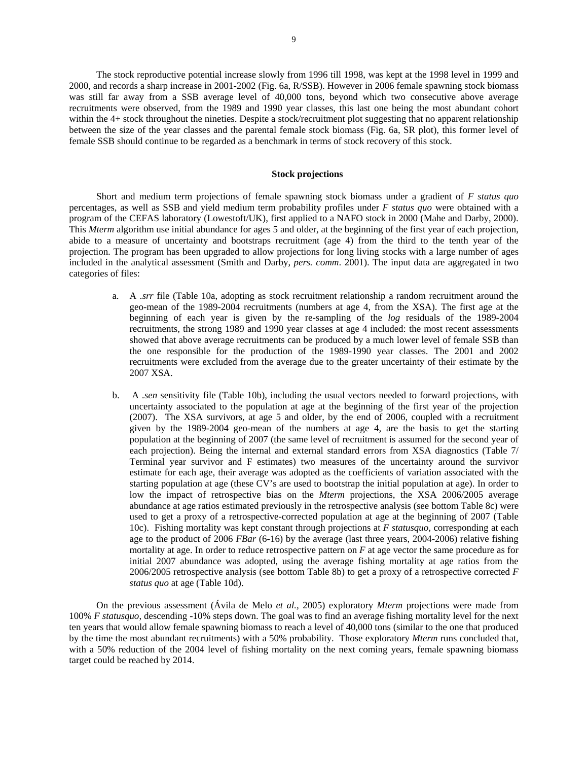The stock reproductive potential increase slowly from 1996 till 1998, was kept at the 1998 level in 1999 and 2000, and records a sharp increase in 2001-2002 (Fig. 6a, R/SSB). However in 2006 female spawning stock biomass was still far away from a SSB average level of 40,000 tons, beyond which two consecutive above average recruitments were observed, from the 1989 and 1990 year classes, this last one being the most abundant cohort within the 4+ stock throughout the nineties. Despite a stock/recruitment plot suggesting that no apparent relationship between the size of the year classes and the parental female stock biomass (Fig. 6a, SR plot), this former level of female SSB should continue to be regarded as a benchmark in terms of stock recovery of this stock.

# **Stock projections**

Short and medium term projections of female spawning stock biomass under a gradient of *F status quo* percentages, as well as SSB and yield medium term probability profiles under *F status quo* were obtained with a program of the CEFAS laboratory (Lowestoft/UK), first applied to a NAFO stock in 2000 (Mahe and Darby, 2000). This *Mterm* algorithm use initial abundance for ages 5 and older, at the beginning of the first year of each projection, abide to a measure of uncertainty and bootstraps recruitment (age 4) from the third to the tenth year of the projection. The program has been upgraded to allow projections for long living stocks with a large number of ages included in the analytical assessment (Smith and Darby, *pers. comm*. 2001). The input data are aggregated in two categories of files:

- a. A *.srr* file (Table 10a, adopting as stock recruitment relationship a random recruitment around the geo-mean of the 1989-2004 recruitments (numbers at age 4, from the XSA). The first age at the beginning of each year is given by the re-sampling of the *log* residuals of the 1989-2004 recruitments, the strong 1989 and 1990 year classes at age 4 included: the most recent assessments showed that above average recruitments can be produced by a much lower level of female SSB than the one responsible for the production of the 1989-1990 year classes. The 2001 and 2002 recruitments were excluded from the average due to the greater uncertainty of their estimate by the 2007 XSA.
- b. A *.sen* sensitivity file (Table 10b), including the usual vectors needed to forward projections, with uncertainty associated to the population at age at the beginning of the first year of the projection (2007). The XSA survivors, at age 5 and older, by the end of 2006, coupled with a recruitment given by the 1989-2004 geo-mean of the numbers at age 4, are the basis to get the starting population at the beginning of 2007 (the same level of recruitment is assumed for the second year of each projection). Being the internal and external standard errors from XSA diagnostics (Table 7/ Terminal year survivor and F estimates) two measures of the uncertainty around the survivor estimate for each age, their average was adopted as the coefficients of variation associated with the starting population at age (these CV's are used to bootstrap the initial population at age). In order to low the impact of retrospective bias on the *Mterm* projections, the XSA 2006/2005 average abundance at age ratios estimated previously in the retrospective analysis (see bottom Table 8c) were used to get a proxy of a retrospective-corrected population at age at the beginning of 2007 (Table 10c). Fishing mortality was kept constant through projections at *F statusquo*, corresponding at each age to the product of 2006 *FBar* (6-16) by the average (last three years, 2004-2006) relative fishing mortality at age. In order to reduce retrospective pattern on *F* at age vector the same procedure as for initial 2007 abundance was adopted, using the average fishing mortality at age ratios from the 2006/2005 retrospective analysis (see bottom Table 8b) to get a proxy of a retrospective corrected *F status quo* at age (Table 10d).

On the previous assessment (Ávila de Melo *et al.,* 2005) exploratory *Mterm* projections were made from 100% *F statusquo*, descending -10% steps down. The goal was to find an average fishing mortality level for the next ten years that would allow female spawning biomass to reach a level of 40,000 tons (similar to the one that produced by the time the most abundant recruitments) with a 50% probability. Those exploratory *Mterm* runs concluded that, with a 50% reduction of the 2004 level of fishing mortality on the next coming years, female spawning biomass target could be reached by 2014.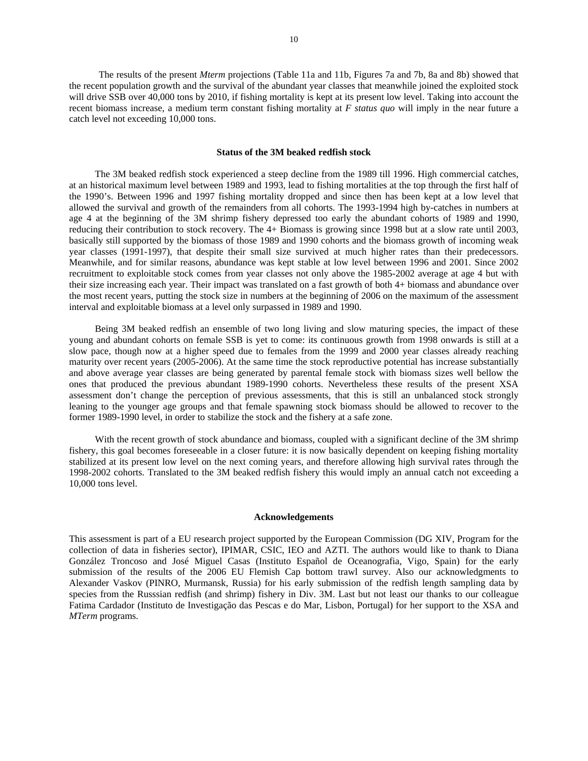The results of the present *Mterm* projections (Table 11a and 11b, Figures 7a and 7b, 8a and 8b) showed that the recent population growth and the survival of the abundant year classes that meanwhile joined the exploited stock will drive SSB over 40,000 tons by 2010, if fishing mortality is kept at its present low level. Taking into account the recent biomass increase, a medium term constant fishing mortality at *F status quo* will imply in the near future a catch level not exceeding 10,000 tons.

#### **Status of the 3M beaked redfish stock**

The 3M beaked redfish stock experienced a steep decline from the 1989 till 1996. High commercial catches, at an historical maximum level between 1989 and 1993, lead to fishing mortalities at the top through the first half of the 1990's. Between 1996 and 1997 fishing mortality dropped and since then has been kept at a low level that allowed the survival and growth of the remainders from all cohorts. The 1993-1994 high by-catches in numbers at age 4 at the beginning of the 3M shrimp fishery depressed too early the abundant cohorts of 1989 and 1990, reducing their contribution to stock recovery. The 4+ Biomass is growing since 1998 but at a slow rate until 2003, basically still supported by the biomass of those 1989 and 1990 cohorts and the biomass growth of incoming weak year classes (1991-1997), that despite their small size survived at much higher rates than their predecessors. Meanwhile, and for similar reasons, abundance was kept stable at low level between 1996 and 2001. Since 2002 recruitment to exploitable stock comes from year classes not only above the 1985-2002 average at age 4 but with their size increasing each year. Their impact was translated on a fast growth of both 4+ biomass and abundance over the most recent years, putting the stock size in numbers at the beginning of 2006 on the maximum of the assessment interval and exploitable biomass at a level only surpassed in 1989 and 1990.

Being 3M beaked redfish an ensemble of two long living and slow maturing species, the impact of these young and abundant cohorts on female SSB is yet to come: its continuous growth from 1998 onwards is still at a slow pace, though now at a higher speed due to females from the 1999 and 2000 year classes already reaching maturity over recent years (2005-2006). At the same time the stock reproductive potential has increase substantially and above average year classes are being generated by parental female stock with biomass sizes well bellow the ones that produced the previous abundant 1989-1990 cohorts. Nevertheless these results of the present XSA assessment don't change the perception of previous assessments, that this is still an unbalanced stock strongly leaning to the younger age groups and that female spawning stock biomass should be allowed to recover to the former 1989-1990 level, in order to stabilize the stock and the fishery at a safe zone.

With the recent growth of stock abundance and biomass, coupled with a significant decline of the 3M shrimp fishery, this goal becomes foreseeable in a closer future: it is now basically dependent on keeping fishing mortality stabilized at its present low level on the next coming years, and therefore allowing high survival rates through the 1998-2002 cohorts. Translated to the 3M beaked redfish fishery this would imply an annual catch not exceeding a 10,000 tons level.

#### **Acknowledgements**

This assessment is part of a EU research project supported by the European Commission (DG XIV, Program for the collection of data in fisheries sector), IPIMAR, CSIC, IEO and AZTI. The authors would like to thank to Diana González Troncoso and José Miguel Casas (Instituto Español de Oceanografia, Vigo, Spain) for the early submission of the results of the 2006 EU Flemish Cap bottom trawl survey. Also our acknowledgments to Alexander Vaskov (PINRO, Murmansk, Russia) for his early submission of the redfish length sampling data by species from the Russsian redfish (and shrimp) fishery in Div. 3M. Last but not least our thanks to our colleague Fatima Cardador (Instituto de Investigação das Pescas e do Mar, Lisbon, Portugal) for her support to the XSA and *MTerm* programs.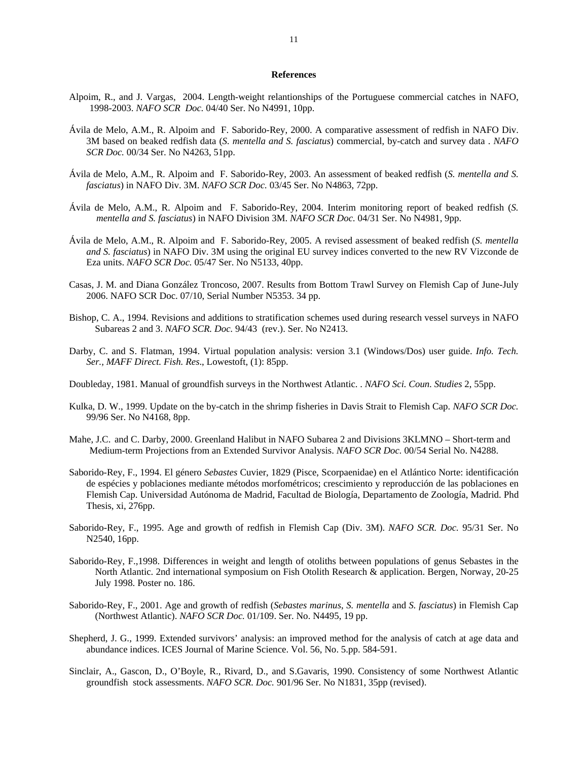## **References**

- Alpoim, R., and J. Vargas, 2004. Length-weight relantionships of the Portuguese commercial catches in NAFO, 1998-2003. *NAFO SCR Doc.* 04/40 Ser. No N4991, 10pp.
- Ávila de Melo, A.M., R. Alpoim and F. Saborido-Rey, 2000. A comparative assessment of redfish in NAFO Div. 3M based on beaked redfish data (*S. mentella and S. fasciatus*) commercial, by-catch and survey data . *NAFO SCR Doc.* 00/34 Ser. No N4263, 51pp.
- Ávila de Melo, A.M., R. Alpoim and F. Saborido-Rey, 2003. An assessment of beaked redfish (*S. mentella and S. fasciatus*) in NAFO Div. 3M. *NAFO SCR Doc.* 03/45 Ser. No N4863, 72pp.
- Ávila de Melo, A.M., R. Alpoim and F. Saborido-Rey, 2004. Interim monitoring report of beaked redfish (*S. mentella and S. fasciatus*) in NAFO Division 3M. *NAFO SCR Doc.* 04/31 Ser. No N4981, 9pp.
- Ávila de Melo, A.M., R. Alpoim and F. Saborido-Rey, 2005. A revised assessment of beaked redfish (*S. mentella and S. fasciatus*) in NAFO Div. 3M using the original EU survey indices converted to the new RV Vizconde de Eza units. *NAFO SCR Doc.* 05/47 Ser. No N5133, 40pp.
- Casas, J. M. and Diana González Troncoso, 2007. Results from Bottom Trawl Survey on Flemish Cap of June-July 2006. NAFO SCR Doc. 07/10, Serial Number N5353. 34 pp.
- Bishop, C. A., 1994. Revisions and additions to stratification schemes used during research vessel surveys in NAFO Subareas 2 and 3. *NAFO SCR. Doc.* 94/43 (rev.). Ser. No N2413.
- Darby, C. and S. Flatman, 1994. Virtual population analysis: version 3.1 (Windows/Dos) user guide. *Info. Tech. Ser., MAFF Direct. Fish. Res*., Lowestoft, (1): 85pp.
- Doubleday, 1981. Manual of groundfish surveys in the Northwest Atlantic. . *NAFO Sci. Coun. Studies* 2, 55pp.
- Kulka, D. W., 1999. Update on the by-catch in the shrimp fisheries in Davis Strait to Flemish Cap. *NAFO SCR Doc.*  99/96 Ser. No N4168, 8pp.
- Mahe, J.C. and C. Darby, 2000. Greenland Halibut in NAFO Subarea 2 and Divisions 3KLMNO Short-term and Medium-term Projections from an Extended Survivor Analysis. *NAFO SCR Doc.* 00/54 Serial No. N4288.
- Saborido-Rey, F., 1994. El género *Sebastes* Cuvier, 1829 (Pisce, Scorpaenidae) en el Atlántico Norte: identificación de espécies y poblaciones mediante métodos morfométricos; crescimiento y reproducción de las poblaciones en Flemish Cap. Universidad Autónoma de Madrid, Facultad de Biología, Departamento de Zoología, Madrid. Phd Thesis, xi, 276pp.
- Saborido-Rey, F., 1995. Age and growth of redfish in Flemish Cap (Div. 3M). *NAFO SCR. Doc.* 95/31 Ser. No N2540, 16pp.
- Saborido-Rey, F.,1998. Differences in weight and length of otoliths between populations of genus Sebastes in the North Atlantic. 2nd international symposium on Fish Otolith Research & application. Bergen, Norway, 20-25 July 1998. Poster no. 186.
- Saborido-Rey, F., 2001. Age and growth of redfish (*Sebastes marinus*, *S. mentella* and *S. fasciatus*) in Flemish Cap (Northwest Atlantic). *NAFO SCR Doc.* 01/109. Ser. No. N4495, 19 pp.
- Shepherd, J. G., 1999. Extended survivors' analysis: an improved method for the analysis of catch at age data and abundance indices. ICES Journal of Marine Science. Vol. 56, No. 5.pp. 584-591.
- Sinclair, A., Gascon, D., O'Boyle, R., Rivard, D., and S.Gavaris, 1990. Consistency of some Northwest Atlantic groundfish stock assessments. *NAFO SCR. Doc.* 901/96 Ser. No N1831, 35pp (revised).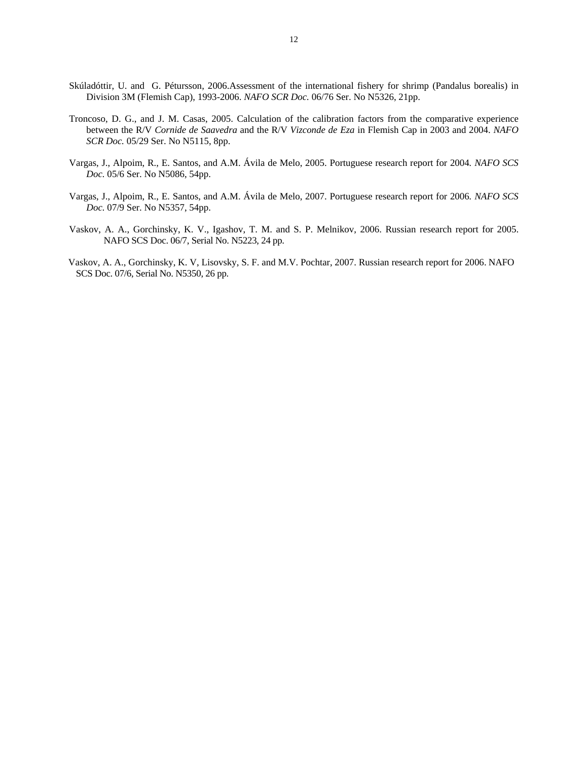- Skúladóttir, U. and G. Pétursson, 2006.Assessment of the international fishery for shrimp (Pandalus borealis) in Division 3M (Flemish Cap), 1993-2006. *NAFO SCR Doc.* 06/76 Ser. No N5326, 21pp.
- Troncoso, D. G., and J. M. Casas, 2005. Calculation of the calibration factors from the comparative experience between the R/V *Cornide de Saavedra* and the R/V *Vizconde de Eza* in Flemish Cap in 2003 and 2004. *NAFO SCR Doc.* 05/29 Ser. No N5115, 8pp.
- Vargas, J., Alpoim, R., E. Santos, and A.M. Ávila de Melo, 2005. Portuguese research report for 2004*. NAFO SCS Doc.* 05/6 Ser. No N5086, 54pp.
- Vargas, J., Alpoim, R., E. Santos, and A.M. Ávila de Melo, 2007. Portuguese research report for 2006*. NAFO SCS Doc.* 07/9 Ser. No N5357, 54pp.
- Vaskov, A. A., Gorchinsky, K. V., Igashov, T. M. and S. P. Melnikov, 2006. Russian research report for 2005. NAFO SCS Doc. 06/7, Serial No. N5223, 24 pp.
- Vaskov, A. A., Gorchinsky, K. V, Lisovsky, S. F. and M.V. Pochtar, 2007. Russian research report for 2006. NAFO SCS Doc. 07/6, Serial No. N5350, 26 pp.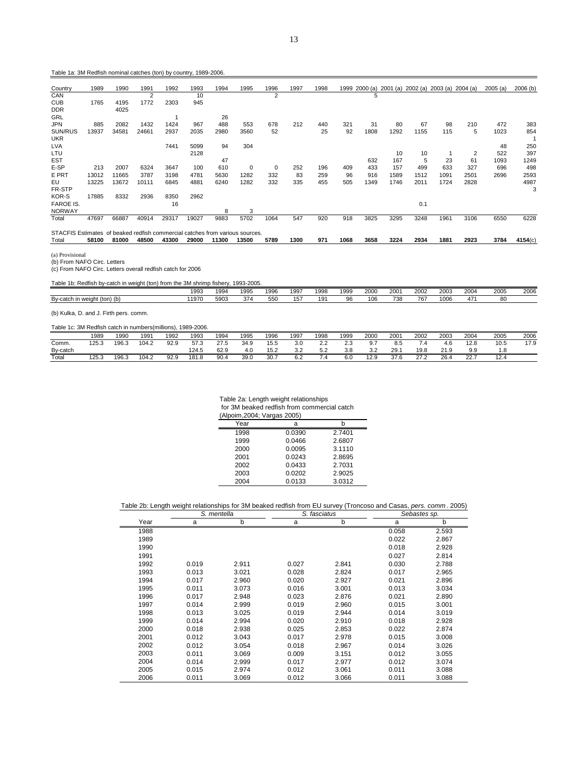Table 1a: 3M Redfish nominal catches (ton) by country, 1989-2006.

| Country                                                                      | 1989  | 1990  | 1991  | 1992  | 1993  | 1994  | 1995        | 1996           | 1997 | 1998 | 1999 |      |      |      | 2000 (a) 2001 (a) 2002 (a) 2003 (a) 2004 (a) |      | 2005(a) | 2006(b) |
|------------------------------------------------------------------------------|-------|-------|-------|-------|-------|-------|-------------|----------------|------|------|------|------|------|------|----------------------------------------------|------|---------|---------|
| CAN                                                                          |       |       | 2     |       | 10    |       |             | $\overline{c}$ |      |      |      | 5    |      |      |                                              |      |         |         |
| <b>CUB</b>                                                                   | 1765  | 4195  | 1772  | 2303  | 945   |       |             |                |      |      |      |      |      |      |                                              |      |         |         |
| <b>DDR</b>                                                                   |       | 4025  |       |       |       |       |             |                |      |      |      |      |      |      |                                              |      |         |         |
| GRL                                                                          |       |       |       |       |       | 26    |             |                |      |      |      |      |      |      |                                              |      |         |         |
| <b>JPN</b>                                                                   | 885   | 2082  | 1432  | 1424  | 967   | 488   | 553         | 678            | 212  | 440  | 321  | 31   | 80   | 67   | 98                                           | 210  | 472     | 383     |
| SUN/RUS                                                                      | 13937 | 34581 | 24661 | 2937  | 2035  | 2980  | 3560        | 52             |      | 25   | 92   | 1808 | 1292 | 1155 | 115                                          | 5    | 1023    | 854     |
| <b>UKR</b>                                                                   |       |       |       |       |       |       |             |                |      |      |      |      |      |      |                                              |      |         |         |
| <b>LVA</b>                                                                   |       |       |       | 7441  | 5099  | 94    | 304         |                |      |      |      |      |      |      |                                              |      | 48      | 250     |
| LTU                                                                          |       |       |       |       | 2128  |       |             |                |      |      |      |      | 10   | 10   |                                              | 2    | 522     | 397     |
| <b>EST</b>                                                                   |       |       |       |       |       | 47    |             |                |      |      |      | 632  | 167  | 5    | 23                                           | 61   | 1093    | 1249    |
| E-SP                                                                         | 213   | 2007  | 6324  | 3647  | 100   | 610   | $\mathbf 0$ | $\mathbf 0$    | 252  | 196  | 409  | 433  | 157  | 499  | 633                                          | 327  | 696     | 498     |
| E PRT                                                                        | 13012 | 11665 | 3787  | 3198  | 4781  | 5630  | 1282        | 332            | 83   | 259  | 96   | 916  | 1589 | 1512 | 1091                                         | 2501 | 2696    | 2593    |
| EU                                                                           | 13225 | 13672 | 10111 | 6845  | 4881  | 6240  | 1282        | 332            | 335  | 455  | 505  | 1349 | 1746 | 2011 | 1724                                         | 2828 |         | 4987    |
| FR-STP                                                                       |       |       |       |       |       |       |             |                |      |      |      |      |      |      |                                              |      |         | 3       |
| KOR-S                                                                        | 17885 | 8332  | 2936  | 8350  | 2962  |       |             |                |      |      |      |      |      |      |                                              |      |         |         |
| <b>FAROE IS.</b>                                                             |       |       |       | 16    |       |       |             |                |      |      |      |      |      | 0.1  |                                              |      |         |         |
| <b>NORWAY</b>                                                                |       |       |       |       |       | 8     | 3           |                |      |      |      |      |      |      |                                              |      |         |         |
| Total                                                                        | 47697 | 66887 | 40914 | 29317 | 19027 | 9883  | 5702        | 1064           | 547  | 920  | 918  | 3825 | 3295 | 3248 | 1961                                         | 3106 | 6550    | 6228    |
| STACFIS Estimates of beaked redfish commercial catches from various sources. |       |       |       |       |       |       |             |                |      |      |      |      |      |      |                                              |      |         |         |
| Total                                                                        | 58100 | 81000 | 48500 | 43300 | 29000 | 11300 | 13500       | 5789           | 1300 | 971  | 1068 | 3658 | 3224 | 2934 | 1881                                         | 2923 | 3784    | 4154(c) |

(a) Provisional (b) From NAFO Circ. Letters (c) From NAFO Circ. Letters overall redfish catch for 2006

|                                                    | 1993 | 199  | 1995 | 1996 | 1997 | 1998       | 1999 | 2000 | 2001 | 2002 | 2003 | 2004     | 2005 | 2006 |
|----------------------------------------------------|------|------|------|------|------|------------|------|------|------|------|------|----------|------|------|
| Bv-catch<br>$(ton)$ $(b)$<br>$m$ $m$<br>weiui<br>. | 1970 | 5903 | 374  | 550  | 57   | ۰۵۰<br>כ ו | ∩≏   | 106  | 738  | 767  | 1006 | $\prime$ | 80   |      |
|                                                    |      |      |      |      |      |            |      |      |      |      |      |          |      |      |

(b) Kulka, D. and J. Firth pers. comm.

# Table 1c: 3M Redfish catch in numbers(millions), 1989-2006.

|                        | 1989  | 1990  | 199.  | 1992 | 1993  | 1994        | 1995 | 1996 | 1997 | 1998                 | 1999          | 2000 | 2001 | 2002 | 2003     | 2004       | 2005 | 2006     |
|------------------------|-------|-------|-------|------|-------|-------------|------|------|------|----------------------|---------------|------|------|------|----------|------------|------|----------|
| Comm.                  | 125.3 | 196.3 | 104.2 | 92.9 | 57.3  | 27E<br>27.5 | 34.9 | 15.5 | 3.0  | ے ۔                  | $\sim$<br>د.ء | ອ.≀  | 8.5  |      | 4.C      | 12.8       | 10.5 | 17C<br>. |
| Bv-catch               |       |       |       |      | 124.5 | 62.9        | 4.0  | 15.2 | 3.2  | $ \sim$<br>∽.<br>ے.ر | 3.8           | 22   | 29.  | 19.8 | $\Omega$ | a a<br>ວ.ວ | I.C  |          |
| $\tau$ <sub>otal</sub> | 125.3 | 196.3 | 104.2 | 92.9 | 181.8 | 90.4        | 39(  | 30.  | 6.2  | 4                    | 6.0           | 12.9 | 37.6 | 272  | 26.4     | 22.7       | 12.4 |          |

Table 2a: Length weight relationships

for 3M beaked redfish from commercial catch

| (Alpoim, 2004; Vargas 2005) |        |        |
|-----------------------------|--------|--------|
| Year                        | a      | h      |
| 1998                        | 0.0390 | 2.7401 |
| 1999                        | 0.0466 | 2.6807 |
| 2000                        | 0.0095 | 3.1110 |
| 2001                        | 0.0243 | 2.8695 |
| 2002                        | 0.0433 | 2.7031 |
| 2003                        | 0.0202 | 2.9025 |
| 2004                        | 0.0133 | 3.0312 |

# Table 2b: Length weight relationships for 3M beaked redfish from EU survey (Troncoso and Casas, *pers. comm* . 2005)

|      | S. mentella |       |       | S. fasciatus | Sebastes sp. |       |
|------|-------------|-------|-------|--------------|--------------|-------|
| Year | a           | b     | a     | b            | а            | b     |
| 1988 |             |       |       |              | 0.058        | 2.593 |
| 1989 |             |       |       |              | 0.022        | 2.867 |
| 1990 |             |       |       |              | 0.018        | 2.928 |
| 1991 |             |       |       |              | 0.027        | 2.814 |
| 1992 | 0.019       | 2.911 | 0.027 | 2.841        | 0.030        | 2.788 |
| 1993 | 0.013       | 3.021 | 0.028 | 2.824        | 0.017        | 2.965 |
| 1994 | 0.017       | 2.960 | 0.020 | 2.927        | 0.021        | 2.896 |
| 1995 | 0.011       | 3.073 | 0.016 | 3.001        | 0.013        | 3.034 |
| 1996 | 0.017       | 2.948 | 0.023 | 2.876        | 0.021        | 2.890 |
| 1997 | 0.014       | 2.999 | 0.019 | 2.960        | 0.015        | 3.001 |
| 1998 | 0.013       | 3.025 | 0.019 | 2.944        | 0.014        | 3.019 |
| 1999 | 0.014       | 2.994 | 0.020 | 2.910        | 0.018        | 2.928 |
| 2000 | 0.018       | 2.938 | 0.025 | 2.853        | 0.022        | 2.874 |
| 2001 | 0.012       | 3.043 | 0.017 | 2.978        | 0.015        | 3.008 |
| 2002 | 0.012       | 3.054 | 0.018 | 2.967        | 0.014        | 3.026 |
| 2003 | 0.011       | 3.069 | 0.009 | 3.151        | 0.012        | 3.055 |
| 2004 | 0.014       | 2.999 | 0.017 | 2.977        | 0.012        | 3.074 |
| 2005 | 0.015       | 2.974 | 0.012 | 3.061        | 0.011        | 3.088 |
| 2006 | 0.011       | 3.069 | 0.012 | 3.066        | 0.011        | 3.088 |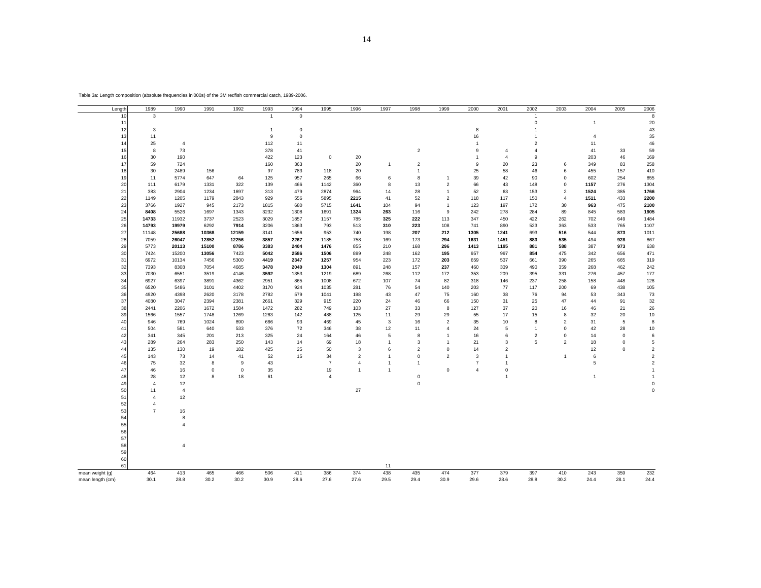| Length           | 1989           | 1990           | 1991        | 1992        | 1993           | 1994        | 1995           | 1996           | 1997           | 1998                | 1999           | 2000           | 2001           | 2002                | 2003           | 2004           | 2005           | 2006           |
|------------------|----------------|----------------|-------------|-------------|----------------|-------------|----------------|----------------|----------------|---------------------|----------------|----------------|----------------|---------------------|----------------|----------------|----------------|----------------|
| 10               | 3              |                |             |             | $\overline{1}$ | $\mathbf 0$ |                |                |                |                     |                |                |                | $\overline{1}$      |                |                |                | 8              |
| 11               |                |                |             |             |                |             |                |                |                |                     |                |                |                | $\mathbf 0$         |                | $\mathbf{1}$   |                | 20             |
| 12               | 3              |                |             |             | $\overline{1}$ | $\mathbf 0$ |                |                |                |                     |                | 8              |                | $\mathbf{1}$        |                |                |                | 43             |
| 13               | 11             |                |             |             | $\mathsf g$    | $\mathsf 0$ |                |                |                |                     |                | 16             |                | $\mathbf{1}$        |                | 4              |                | 35             |
| 14               | 25             | $\overline{4}$ |             |             | 112            | 11          |                |                |                |                     |                | $\overline{1}$ |                | $\overline{2}$      |                | 11             |                | 46             |
| 15               |                | 73             |             |             | 378            | 41          |                |                |                |                     |                | 9              |                |                     |                | 41             |                |                |
|                  | 8              |                |             |             |                |             |                |                |                | $\sqrt{2}$          |                |                | $\overline{4}$ | $\overline{4}$      |                |                | 33             | 59             |
| 16               | 30             | 190            |             |             | 422            | 123         | $\mathbf 0$    | 20             |                |                     |                | $\mathbf{1}$   | $\overline{4}$ | 9                   |                | 203            | 46             | 169            |
| 17               | 59             | 724            |             |             | 160            | 363         |                | 20             | $\mathbf{1}$   | $\overline{2}$      |                | 9              | 20             | 23                  | 6              | 349            | 83             | 258            |
| 18               | 30             | 2489           | 156         |             | 97             | 783         | 118            | 20             |                | $\overline{1}$      |                | 25             | 58             | 46                  | 6              | 455            | 157            | 410            |
| 19               | 11             | 5774           | 647         | 64          | 125            | 957         | 265            | 66             | 6              | 8                   | $\overline{1}$ | 39             | 42             | 90                  | $\mathbf 0$    | 602            | 254            | 855            |
| 20               | 111            | 6179           | 1331        | 322         | 139            | 466         | 1142           | 360            | 8              | 13                  | $\overline{2}$ | 66             | 43             | 148                 | $\mathsf 0$    | 1157           | 276            | 1304           |
| 21               | 383            | 2904           | 1234        | 1697        | 313            | 479         | 2874           | 964            | 14             | 28                  | $\overline{1}$ | 52             | 63             | 153                 | $\overline{2}$ | 1524           | 385            | 1766           |
| 22               | 1149           | 1205           | 1179        | 2843        | 929            | 556         | 5895           | 2215           | 41             | 52                  | $\overline{2}$ | 118            | 117            | 150                 | $\overline{4}$ | 1511           | 433            | 2200           |
| 23               | 3766           | 1927           | 945         | 2173        | 1815           | 680         | 5715           | 1641           | 104            | 94                  | $\overline{1}$ | 123            | 197            | 172                 | 30             | 963            | 475            | 2100           |
| 24               | 8408           | 5526           | 1697        | 1343        | 3232           | 1308        | 1691           | 1324           | 263            | 116                 | 9              | 242            | 278            | 284                 | 89             | 845            | 583            | 1905           |
| 25               | 14733          | 11932          | 3737        | 2523        | 3029           | 1857        | 1157           | 785            | 325            | 222                 | 113            | 347            | 450            | 422                 | 262            | 702            | 649            | 1484           |
| 26               | 14793          | 19979          | 6292        | 7914        | 3206           | 1863        | 793            | 513            | 310            | 223                 | 108            | 741            | 890            | 523                 | 363            | 533            | 765            | 1107           |
| 27               | 11148          | 25688          | 10368       | 12159       | 3141           | 1656        | 953            | 740            | 198            | 207                 | 212            | 1305           | 1241           | 693                 | 516            | 544            | 873            | 1011           |
|                  |                |                |             |             |                |             |                |                |                |                     |                |                |                |                     |                |                |                |                |
| 28               | 7059           | 26047          | 12852       | 12256       | 3857           | 2267        | 1185           | 758            | 169            | 173                 | 294            | 1631           | 1451           | 883                 | 535            | 494            | 928            | 867            |
| 29               | 5773           | 20113          | 15100       | 8786        | 3383           | 2404        | 1476           | 855            | 210            | 168                 | 296            | 1413           | 1195           | 881                 | 588            | 387            | 973            | 638            |
| 30               | 7424           | 15200          | 13056       | 7423        | 5042           | 2586        | 1506           | 899            | 248            | 162                 | 195            | 957            | 997            | 854                 | 475            | 342            | 656            | 471            |
| 31               | 6972           | 10134          | 7456        | 5300        | 4419           | 2347        | 1257           | 954            | 223            | 172                 | 203            | 659            | 537            | 661                 | 390            | 265            | 665            | 319            |
| 32               | 7393           | 8308           | 7054        | 4685        | 3478           | 2040        | 1304           | 891            | 248            | 157                 | 237            | 460            | 339            | 490                 | 359            | 268            | 462            | 242            |
| 33               | 7030           | 6551           | 3519        | 4146        | 3592           | 1353        | 1219           | 689            | 268            | 112                 | 172            | 353            | 209            | 395                 | 331            | 276            | 457            | 177            |
| 34               | 6927           | 6397           | 3891        | 4362        | 2951           | 865         | 1008           | 672            | 107            | 74                  | 82             | 318            | 146            | 237                 | 258            | 158            | 448            | 128            |
| 35               | 6520           | 5486           | 3101        | 4402        | 3170           | 924         | 1035           | 281            | 76             | 54                  | 140            | 203            | 77             | 117                 | 200            | 69             | 438            | 105            |
| 36               | 4920           | 4398           | 2620        | 3178        | 2782           | 579         | 1041           | 198            | 43             | 47                  | 75             | 160            | 38             | 76                  | 94             | 53             | 343            | 73             |
| 37               | 4080           | 3047           | 2394        | 2381        | 2661           | 329         | 915            | 220            | 24             | 46                  | 66             | 150            | 31             | 25                  | 47             | 44             | 91             | 32             |
| 38               | 2441           | 2206           | 1672        | 1584        | 1472           | 282         | 749            | 103            | 27             | 33                  | 8              | 127            | 37             | 20                  | 16             | 46             | 21             | 26             |
| 39               | 1566           | 1557           | 1748        | 1269        | 1263           | 142         | 488            | 125            | 11             | 29                  | 29             | 55             | 17             | 15                  | 8              | 32             | 20             | 10             |
| 40               | 946            | 769            | 1024        | 890         | 666            | 93          | 469            | 45             | 3              | 16                  | $\overline{2}$ | 35             | 10             | 8                   | $\overline{2}$ | 31             | $\overline{5}$ | 8              |
| 41               | 504            | 581            | 640         | 533         | 376            | 72          | 346            | 38             | 12             | 11                  | $\overline{4}$ | 24             | 5              | $\mathbf{1}$        | $\mathsf 0$    | 42             | 28             | 10             |
| 42               | 341            |                |             |             |                |             |                |                | $\,$ 5 $\,$    | 8                   | $\overline{1}$ |                |                |                     | 0              |                |                | $\,6\,$        |
|                  |                | 345            | 201         | 213         | 325            | 24          | 164            | 46             |                |                     | $\overline{1}$ | 16             | 6              | $\overline{2}$<br>5 |                | 14             | $\mathbf 0$    |                |
| 43               | 289            | 264            | 283         | 250         | 143            | 14          | 69             | 18             | $\mathbf{1}$   | 3                   |                | 21             | 3              |                     | $\overline{2}$ | 18             | $\mathbf 0$    | $\sqrt{5}$     |
| 44               | 135            | 130            | 19          | 182         | 425            | 25          | 50             | 3              | 6              | $\overline{2}$      | $\mathsf 0$    | 14             | $\overline{2}$ |                     |                | 12             | $\mathbf 0$    | $\overline{2}$ |
| 45               | 143            | 73             | 14          | 41          | 52             | 15          | 34             | $\overline{2}$ | $\mathbf{1}$   | $\mathbf 0$         | $\overline{2}$ | 3              | $\mathbf{1}$   |                     | $\overline{1}$ | 6              |                | $\overline{2}$ |
| 46               | 75             | 32             | 8           | 9           | 43             |             | $\overline{7}$ | $\overline{4}$ | $\mathbf{1}$   | $\mathbf{1}$        |                | $\overline{7}$ | $\overline{1}$ |                     |                | $\mathbf 5$    |                | $\overline{a}$ |
| 47               | 46             | 16             | $\mathsf 0$ | $\mathbf 0$ | 35             |             | 19             | $\mathbf{1}$   | $\overline{1}$ |                     | $\mathbf 0$    | $\overline{4}$ | 0              |                     |                |                |                | $\overline{1}$ |
| 48               | 28             | 12             | 8           | 18          | 61             |             | $\overline{4}$ |                |                | $\mathbf 0$         |                |                | $\mathbf{1}$   |                     |                | $\overline{1}$ |                | $\overline{1}$ |
| 49               | $\overline{4}$ | 12             |             |             |                |             |                |                |                | $\mathsf{O}\xspace$ |                |                |                |                     |                |                |                | $\mathbf 0$    |
| 50               | 11             | $\overline{4}$ |             |             |                |             |                | 27             |                |                     |                |                |                |                     |                |                |                | $\overline{0}$ |
| 51               | $\overline{4}$ | 12             |             |             |                |             |                |                |                |                     |                |                |                |                     |                |                |                |                |
| 52               | $\overline{4}$ |                |             |             |                |             |                |                |                |                     |                |                |                |                     |                |                |                |                |
| 53               | $\overline{7}$ | $16\,$         |             |             |                |             |                |                |                |                     |                |                |                |                     |                |                |                |                |
| 54               |                | 8              |             |             |                |             |                |                |                |                     |                |                |                |                     |                |                |                |                |
| 55               |                | $\overline{4}$ |             |             |                |             |                |                |                |                     |                |                |                |                     |                |                |                |                |
| 56               |                |                |             |             |                |             |                |                |                |                     |                |                |                |                     |                |                |                |                |
| 57               |                |                |             |             |                |             |                |                |                |                     |                |                |                |                     |                |                |                |                |
|                  |                |                |             |             |                |             |                |                |                |                     |                |                |                |                     |                |                |                |                |
| 58               |                | $\overline{4}$ |             |             |                |             |                |                |                |                     |                |                |                |                     |                |                |                |                |
| 59               |                |                |             |             |                |             |                |                |                |                     |                |                |                |                     |                |                |                |                |
| 60               |                |                |             |             |                |             |                |                |                |                     |                |                |                |                     |                |                |                |                |
| 61               |                |                |             |             |                |             |                |                | 11             |                     |                |                |                |                     |                |                |                |                |
| mean weight (g)  | 464            | 413            | 465         | 466         | 506            | 411         | 386            | 374            | 438            | 435                 | 474            | 377            | 379            | 397                 | 410            | 243            | 359            | 232            |
| mean length (cm) | 30.1           | 28.8           | 30.2        | 30.2        | 30.9           | 28.6        | 27.6           | 27.6           | 29.5           | 29.4                | 30.9           | 29.6           | 28.6           | 28.8                | 30.2           | 24.4           | 28.1           | 24.4           |

Table 3a: Length composition (absolute frequencies in'000s) of the 3M redfish commercial catch, 1989-2006.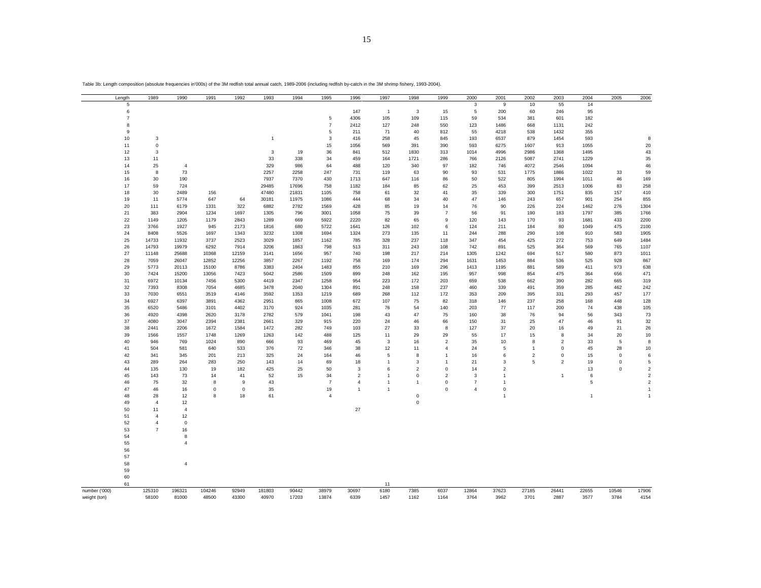| Length         | 1989           | 1990                | 1991   | 1992        | 1993         | 1994  | 1995           | 1996           | 1997           | 1998           | 1999           | 2000           | 2001           | 2002           | 2003           | 2004         | 2005        | 2006           |
|----------------|----------------|---------------------|--------|-------------|--------------|-------|----------------|----------------|----------------|----------------|----------------|----------------|----------------|----------------|----------------|--------------|-------------|----------------|
| 5              |                |                     |        |             |              |       |                |                |                |                |                | 3              | 9              | 10             | 55             | 14           |             |                |
| 6              |                |                     |        |             |              |       |                | 147            | $\overline{1}$ | 3              | 15             | 5              | 200            | 60             | 246            | 95           |             |                |
| $\overline{7}$ |                |                     |        |             |              |       | $\,$ 5 $\,$    | 4306           | 105            | 109            | 115            | 59             | 534            | 381            | 601            | 182          |             |                |
| 8              |                |                     |        |             |              |       | $\overline{7}$ | 2412           | 127            | 248            | 550            | 123            | 1486           | 668            | 1131           | 242          |             |                |
| $\mathbf 9$    |                |                     |        |             |              |       | 5              | 211            | 71             | 40             | 812            | 55             | 4218           | 538            | 1432           | 355          |             |                |
| 10             | 3              |                     |        |             | $\mathbf{1}$ |       | 3              | 416            | 258            | 45             | 845            | 193            | 6537           | 879            | 1454           | 593          |             | 8              |
| 11             | $\mathsf 0$    |                     |        |             |              |       | 15             | 1056           | 569            | 391            | 390            | 593            | 6275           | 1607           | 913            | 1055         |             | 20             |
| 12             | 3              |                     |        |             | 3            | 19    | 36             | 841            | 512            | 1830           | 313            | 1014           | 4996           | 2986           | 1368           | 1495         |             | 43             |
|                |                |                     |        |             |              |       |                |                |                |                |                |                |                |                |                |              |             |                |
| 13             | 11             |                     |        |             | 33           | 338   | 34             | 459            | 164            | 1721           | 286            | 766            | 2126           | 5087           | 2741           | 1229         |             | 35             |
| 14             | 25             | 4                   |        |             | 329          | 986   | 64             | 488            | 120            | 340            | 97             | 182            | 746            | 4072           | 2546           | 1094         |             | 46             |
| 15             | 8              | 73                  |        |             | 2257         | 2258  | 247            | 731            | 119            | 63             | 90             | 93             | 531            | 1775           | 1886           | 1022         | 33          | 59             |
| 16             | 30             | 190                 |        |             | 7937         | 7370  | 430            | 1713           | 647            | 116            | 86             | 50             | 522            | 805            | 1994           | 1011         | 46          | 169            |
| $17\,$         | 59             | 724                 |        |             | 29485        | 17696 | 758            | 1182           | 184            | 85             | 62             | 25             | 453            | 399            | 2513           | 1006         | 83          | 258            |
| 18             | 30             | 2489                | 156    |             | 47480        | 21831 | 1105           | 758            | 61             | 32             | 41             | 35             | 339            | 300            | 1751           | 835          | 157         | 410            |
| 19             | 11             | 5774                | 647    | 64          | 30181        | 11975 | 1086           | 444            | 68             | 34             | 40             | 47             | 146            | 243            | 657            | 901          | 254         | 855            |
| 20             | 111            | 6179                | 1331   | 322         | 6882         | 2782  | 1569           | 428            | 85             | 19             | 14             | 76             | 90             | 226            | 224            | 1462         | 276         | 1304           |
| 21             | 383            | 2904                | 1234   | 1697        | 1305         | 796   | 3001           | 1058           | 75             | 39             | $\overline{7}$ | 56             | 91             | 190            | 183            | 1797         | 385         | 1766           |
| 22             | 1149           | 1205                | 1179   | 2843        | 1289         | 669   | 5922           | 2220           | 82             | 65             | 9              | 120            | 143            | 170            | 93             | 1681         | 433         | 2200           |
| 23             | 3766           | 1927                | 945    | 2173        | 1816         | 680   | 5722           | 1641           | 126            | 102            | 6              | 124            | 211            | 184            | 80             | 1049         | 475         | 2100           |
| 24             | 8408           | 5526                | 1697   | 1343        | 3232         | 1308  | 1694           | 1324           | 273            | 135            | 11             | 244            | 288            | 290            | 108            | 910          | 583         | 1905           |
| 25             | 14733          | 11932               | 3737   | 2523        | 3029         | 1857  | 1162           | 785            | 328            | 237            | 118            | 347            | 454            | 425            | 272            | 753          | 649         | 1484           |
| 26             | 14793          | 19979               | 6292   | 7914        | 3206         | 1863  | 798            | 513            | 311            | 243            | 108            | 742            | 891            | 525            | 364            | 569          | 765         | 1107           |
| 27             | 11148          | 25688               | 10368  | 12159       | 3141         | 1656  | 957            | 740            | 198            | 217            | 214            | 1305           | 1242           | 694            | 517            | 580          | 873         | 1011           |
|                |                |                     |        |             |              |       |                |                |                |                |                |                |                |                |                |              |             |                |
| 28             | 7059           | 26047               | 12852  | 12256       | 3857         | 2267  | 1192           | 758            | 169            | 174            | 294            | 1631           | 1453           | 884            | 536            | 525          | 928         | 867            |
| 29             | 5773           | 20113               | 15100  | 8786        | 3383         | 2404  | 1483           | 855            | 210            | 169            | 296            | 1413           | 1195           | 881            | 589            | 411          | 973         | 638            |
| 30             | 7424           | 15200               | 13056  | 7423        | 5042         | 2586  | 1509           | 899            | 248            | 162            | 195            | 957            | 998            | 854            | 475            | 364          | 656         | 471            |
| 31             | 6972           | 10134               | 7456   | 5300        | 4419         | 2347  | 1258           | 954            | 223            | 172            | 203            | 659            | 538            | 662            | 390            | 282          | 665         | 319            |
| 32             | 7393           | 8308                | 7054   | 4685        | 3478         | 2040  | 1304           | 891            | 248            | 158            | 237            | 460            | 339            | 491            | 359            | 285          | 462         | 242            |
| 33             | 7030           | 6551                | 3519   | 4146        | 3592         | 1353  | 1219           | 689            | 268            | 112            | 172            | 353            | 209            | 395            | 331            | 293          | 457         | 177            |
| 34             | 6927           | 6397                | 3891   | 4362        | 2951         | 865   | 1008           | 672            | 107            | 75             | 82             | 318            | 146            | 237            | 258            | 168          | 448         | 128            |
| 35             | 6520           | 5486                | 3101   | 4402        | 3170         | 924   | 1035           | 281            | 76             | 54             | 140            | 203            | 77             | 117            | 200            | 74           | 438         | 105            |
| 36             | 4920           | 4398                | 2620   | 3178        | 2782         | 579   | 1041           | 198            | 43             | 47             | 75             | 160            | 38             | 76             | 94             | 56           | 343         | $73\,$         |
| 37             | 4080           | 3047                | 2394   | 2381        | 2661         | 329   | 915            | 220            | 24             | 46             | 66             | 150            | 31             | 25             | 47             | 46           | 91          | 32             |
| 38             | 2441           | 2206                | 1672   | 1584        | 1472         | 282   | 749            | 103            | 27             | 33             | 8              | 127            | 37             | 20             | 16             | 49           | 21          | 26             |
| 39             | 1566           | 1557                | 1748   | 1269        | 1263         | 142   | 488            | 125            | 11             | 29             | 29             | 55             | 17             | 15             | 8              | 34           | 20          | 10             |
| 40             | 946            | 769                 | 1024   | 890         | 666          | 93    | 469            | 45             | $\mathbf{3}$   | 16             | $\overline{2}$ | 35             | 10             | 8              | $\overline{2}$ | 33           | 5           | 8              |
| 41             | 504            | 581                 | 640    | 533         | 376          | 72    | 346            | 38             | 12             | 11             | $\overline{4}$ | 24             | 5              | $\overline{1}$ | $\mathbf 0$    | 45           | 28          | $10$           |
| 42             | 341            | 345                 | 201    | 213         | 325          | 24    | 164            | 46             | 5              | 8              | $\mathbf{1}$   | 16             | 6              | $\overline{2}$ | $\mathsf 0$    | 15           | $\mathbf 0$ | 6              |
| 43             | 289            | 264                 | 283    | 250         | 143          | 14    | 69             | 18             | $\mathbf{1}$   | 3              | $\overline{1}$ | 21             | 3              | 5              | $\overline{2}$ | 19           | $\mathbf 0$ | $\,$ 5 $\,$    |
| 44             | 135            | 130                 | 19     | 182         | 425          | 25    | 50             | 3              | 6              | $\overline{2}$ | $\mathsf 0$    |                | $\overline{2}$ |                |                |              | $\mathbf 0$ | $\sqrt{2}$     |
|                |                |                     |        |             |              |       |                |                |                |                |                | 14             |                |                |                | 13           |             |                |
| 45             | 143            | 73                  | 14     | 41          | 52           | 15    | 34             | $\overline{2}$ | $\mathbf{1}$   | $\mathbf 0$    | $\overline{2}$ | 3              | $\mathbf{1}$   |                | $\mathbf{1}$   | 6            |             | $\sqrt{2}$     |
| 46             | 75             | 32                  | 8      | 9           | 43           |       | $\overline{7}$ | $\overline{4}$ | $\mathbf{1}$   | $\overline{1}$ | $\mathbf 0$    | $\overline{7}$ | $\mathbf{1}$   |                |                | 5            |             | $\sqrt{2}$     |
| 47             | 46             | 16                  | 0      | $\mathbf 0$ | 35           |       | 19             | $\overline{1}$ | $\overline{1}$ |                | $\mathbf 0$    | $\overline{4}$ | $\pmb{0}$      |                |                |              |             | $\overline{1}$ |
| 48             | 28             | 12                  | 8      | 18          | 61           |       | $\overline{4}$ |                |                | $\mathbf 0$    |                |                | $\overline{1}$ |                |                | $\mathbf{1}$ |             | $\mathbf{1}$   |
| 49             | $\overline{4}$ | 12                  |        |             |              |       |                |                |                | $\mathbf 0$    |                |                |                |                |                |              |             |                |
| 50             | 11             | $\overline{4}$      |        |             |              |       |                | 27             |                |                |                |                |                |                |                |              |             |                |
| 51             | $\overline{4}$ | 12                  |        |             |              |       |                |                |                |                |                |                |                |                |                |              |             |                |
| 52             | $\overline{4}$ | $\mathsf{O}\xspace$ |        |             |              |       |                |                |                |                |                |                |                |                |                |              |             |                |
| 53             | $\overline{7}$ | 16                  |        |             |              |       |                |                |                |                |                |                |                |                |                |              |             |                |
| 54             |                | 8                   |        |             |              |       |                |                |                |                |                |                |                |                |                |              |             |                |
| 55             |                | $\overline{4}$      |        |             |              |       |                |                |                |                |                |                |                |                |                |              |             |                |
| 56             |                |                     |        |             |              |       |                |                |                |                |                |                |                |                |                |              |             |                |
| 57             |                |                     |        |             |              |       |                |                |                |                |                |                |                |                |                |              |             |                |
| 58             |                | $\overline{4}$      |        |             |              |       |                |                |                |                |                |                |                |                |                |              |             |                |
| 59             |                |                     |        |             |              |       |                |                |                |                |                |                |                |                |                |              |             |                |
| 60             |                |                     |        |             |              |       |                |                |                |                |                |                |                |                |                |              |             |                |
| 61             |                |                     |        |             |              |       |                |                | 11             |                |                |                |                |                |                |              |             |                |
| number ('000)  | 125310         | 196321              | 104246 | 92949       | 181803       | 90442 | 38979          | 30697          | 6180           | 7385           | 6037           | 12864          | 37623          | 27185          | 26441          | 22655        | 10546       | 17906          |
| weight (ton)   | 58100          | 81000               | 48500  | 43300       | 40970        | 17203 | 13874          | 6339           | 1457           | 1162           | 1164           | 3764           | 3962           | 3701           | 2887           | 3577         | 3784        | 4154           |
|                |                |                     |        |             |              |       |                |                |                |                |                |                |                |                |                |              |             |                |

Table 3b: Length composition (absolute frequencies in'000s) of the 3M redfish total annual catch, 1989-2006 (including redfish by-catch h in the 3M shrimp fishery, 1993-2004).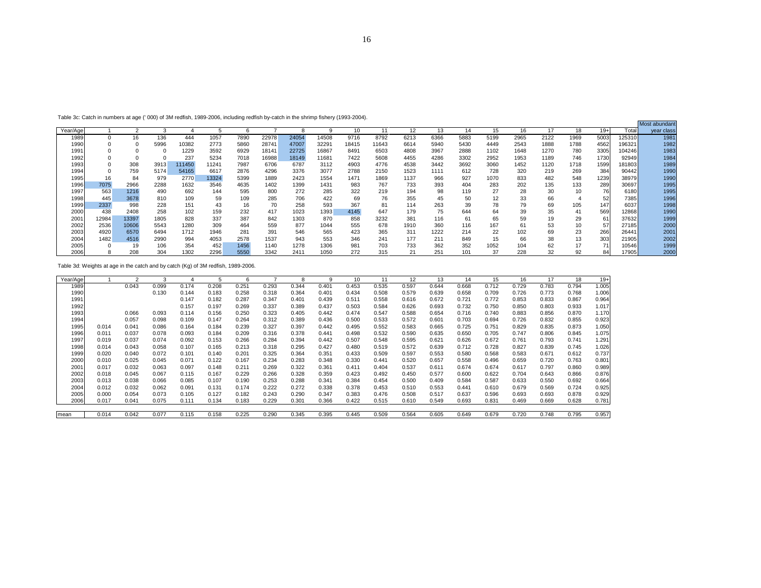| Year/Agel        |       |       |          |        |       |      |       |       |       |       |       |      |      |      |      | 16   |      | 18   | 19+  | Total  | year class |
|------------------|-------|-------|----------|--------|-------|------|-------|-------|-------|-------|-------|------|------|------|------|------|------|------|------|--------|------------|
| 1989             |       | 16    | 136      | 444    | 1057  | 7890 | 22978 | 24054 | 14508 | 9716  | 8792  | 6213 | 6366 | 5883 | 5199 | 2965 | 2122 | 1969 | 5003 | 125310 | 1981       |
| 1990             |       |       | 5996     | 10382  | 2773  | 5860 | 28741 | 47007 | 32291 | 18415 | 11643 | 6614 | 5940 | 5430 | 4449 | 2543 | 1888 | 1788 | 4562 | 196321 | 1982       |
| 1991             |       |       |          | 1229   | 3592  | 6929 | 18141 | 22725 | 16867 | 8491  | 6503  | 4808 | 3967 | 2888 | 1102 | 1648 | 1270 | 780  | 3305 | 04246  | 1983       |
| 1992             |       |       | $\Omega$ | 237    | 5234  | 7018 | 16988 | 18149 | 11681 | 7422  | 5608  | 4455 | 4286 | 3302 | 2952 | 1953 | 1189 | 746  | 1730 | 92949  | 1984       |
| 1993             |       | 308   | 3913     | 111450 | 11241 | 7987 | 6706  | 6787  | 3112  | 4903  | 4776  | 4538 | 3442 | 3692 | 3060 | 1452 | 1120 | 1718 | 1599 | 181803 | 1989       |
| 1994             |       | 759   | 5174     | 54165  | 6617  | 2876 | 4296  | 3376  | 3077  | 2788  | 2150  | 1523 | 1111 | 612  | 728  | 320  | 219  | 269  | 384  | 90442  | 1990       |
| 1995             | 16    | 84    | 979      | 2770   | 13324 | 5399 | 1889  | 2423  | 1554  | 1471  | 1869  | 1137 | 966  | 927  | 1070 | 833  | 482  | 548  | 1239 | 38979  | 1990       |
| 1996             | 7075  | 2966  | 2288     | 1632   | 3546  | 4635 | 1402  | 1399  | 1431  | 983   | 767   | 733  | 393  | 404  | 283  | 202  | 135  | 133  | 289  | 30697  | 1995       |
| 1997             | 563   | 1216  | 490      | 692    | 144   | 595  | 800   | 272   | 285   | 322   | 219   | 194  | 98   | 119  | 27   | 28   | 30   | 10   | 76   | 6180   | 1995       |
| 1998             | 445   | 3678  | 810      | 109    | 59    | 109  | 285   | 706   | 422   | 69    | 76    | 355  | 45   | 50   | 12   | 33   | 66   |      | 52   | 7385   | 1996       |
| 1999             | 2337  | 998   | 228      | 151    | 43    | 16   | 70    | 258   | 593   | 367   | 81    | 114  | 263  | 39   | 78   | 79   | 69   | 105  | 147  | 6037   | 1998       |
| 2000             | 438   | 2408  | 258      | 102    | 159   | 232  | 417   | 1023  | 1393  | 4145  | 647   | 179  | 75   | 644  | 64   | 39   | 35   | 41   | 569  | 12868  | 1990       |
| 200 <sup>1</sup> | 12984 | 13397 | 1805     | 828    | 337   | 387  | 842   | 1303  | 870   | 858   | 3232  | 381  | 116  | 61   | 65   | 59   | 19   | 29   | 61   | 37632  | 1999       |
| 2002             | 2536  | 10606 | 5543     | 1280   | 309   | 464  | 559   | 877   | 1044  | 555   | 678   | 1910 | 360  | 116  | 167  | 61   | 53   | 10   | 57   | 27185  | 2000       |
| 2003             | 4920  | 6570  | 6494     | 1712   | 1946  | 281  | 391   | 546   | 565   | 423   | 365   | 311  | 1222 | 214  | 22   | 102  | 69   | 23   | 266  | 26441  | 2001       |
| 2004             | 1482  | 4516  | 2990     | 994    | 4053  | 2578 | 1537  | 943   | 553   | 346   | 241   | 177  | 211  | 849  | 15   | 66   | 38   | 13   | 303  | 21905  | 2002       |
| 2005             |       | 19    | 106      | 354    | 452   | 1456 | 1140  | 1278  | 1306  | 981   | 703   | 733  | 362  | 352  | 1052 | 104  | 62   | 17   | 71   | 10546  | 1999       |
| 2006             |       | 208   | 304      | 1302   | 2296  | 5550 | 3342  | 2411  | 1050  | 272   | 315   | 21   | 251  | 101  | 37   | 228  | 32   | 92   | 84   | 17905  | 2000       |

Most abundant

 $\frac{19+}{1.005}$ 

1.006

0.964

1.017

1.170

0.923

1.075

1.291<br>1.026

0.737

0.801

 $0.876$ <br> $0.664$ 

0.925

0.929

 $\ddot{\phantom{0}}$ 

 $\overline{a}$ 

 $0.535$ <br> $0.508$ 

12 13 14 15 16 17 18 19+

0.597 0.644 0.668 0.712 0.729 0.783 0.794 1.005

0.579 0.639 0.658 0.709 0.726 0.773 0.768 1.006

0.616 0.672 0.721 0.772 0.853 0.833 0.867 0.964

0.626 0.693 0.732 0.750 0.850 0.803 0.933 1.017

0.588 0.654 0.716 0.740 0.883 0.856 0.870 1.170

0.572 0.601 0.703 0.694 0.726 0.832 0.855 0.9230.583 0.665 0.725 0.751 0.829 0.835 0.873 1.050

0.590 0.635 0.650 0.705 0.747 0.806 0.845 1.0750.595 0.621 0.626 0.672 0.761 0.793 0.741 1.291

0.572 0.639 0.712 0.728 0.827 0.839 0.745 1.026

0.597 0.553 0.580 0.568 0.583 0.671 0.612 0.737

0.520 0.657 0.558 0.496 0.659 0.720 0.763 0.801

0.537 0.611 0.674 0.674 0.617 0.797 0.860 0.9890.450 0.577 0.600 0.622 0.704 0.643 0.866 0.876

0.500 0.409 0.584 0.587 0.633 0.550 0.692 0.664

0.510 0.553 0.441 0.610 0.679 0.569 0.724 0.925

0.508 0.517 0.637 0.596 0.693 0.693 0.878 0.929

0.610 0.549 0.693 0.831 0.469 0.669 0.628 0.7810.564 0.605 0.649 0.679 0.720 0.748 0.795 0.957

0.558

0.584

0.547

0.533

0.532

0.548<br>0.519

0.441

 $0.492$ <br> $0.454$ 

0.453

0.476

:

4

Table 3c: Catch in numbers at age (' 000) of 3M redfish, 1989-2006, including redfish by-catch in the shrimp fishery (1993-2004).

Year/Age 1 2 3 4 5 6 7 8 9 10 11 1989 0.043 0.099 0.174 0.208 0.251 0.293 0.344 0.401 0.453 0.535

1990 0.130 0.144 0.183 0.258 0.318 0.364 0.401 0.434 0.508

1991 0.147 0.182 0.287 0.347 0.401 0.439 0.511 0.558

1992 0.157 0.197 0.269 0.337 0.389 0.437 0.503 0.584

1993 0.066 0.093 0.114 0.156 0.250 0.323 0.405 0.442 0.474 0.547

1994 0.057 0.098 0.109 0.147 0.264 0.312 0.389 0.436 0.500 0.5331995 0.014 0.041 0.086 0.164 0.184 0.239 0.327 0.397 0.442 0.495 0.552

1996 0.011 0.037 0.078 0.093 0.184 0.209 0.316 0.378 0.441 0.498 0.5321997 0.019 0.037 0.074 0.092 0.153 0.266 0.284 0.394 0.442 0.507 0.548

1998 0.014 0.043 0.058 0.107 0.165 0.213 0.318 0.295 0.427 0.480 0.5191999 0.020 0.040 0.072 0.101 0.140 0.201 0.325 0.364 0.351 0.433 0.509

2000 0.010 0.025 0.045 0.071 0.122 0.167 0.234 0.283 0.348 0.330 0.441

2001 0.017 0.032 0.063 0.097 0.148 0.211 0.269 0.322 0.361 0.411 0.4042002 0.018 0.045 0.067 0.115 0.167 0.229 0.266 0.328 0.359 0.423 0.492

2003 0.013 0.038 0.066 0.085 0.107 0.190 0.253 0.288 0.341 0.384 0.454

2004 0.012 0.032 0.062 0.091 0.131 0.174 0.222 0.272 0.338 0.378 0.453

2005 0.000 0.054 0.073 0.105 0.127 0.182 0.243 0.290 0.347 0.383 0.476

2006 0.017 0.041 0.075 0.111 0.134 0.183 0.229 0.301 0.366 0.422 0.515mean 0.014 0.042 0.077 0.115 0.158 0.225 0.290 0.345 0.395 0.445 0.509

Table 3d: Weights at age in the catch and by catch (Kg) of 3M redfish, 1989-2006.

16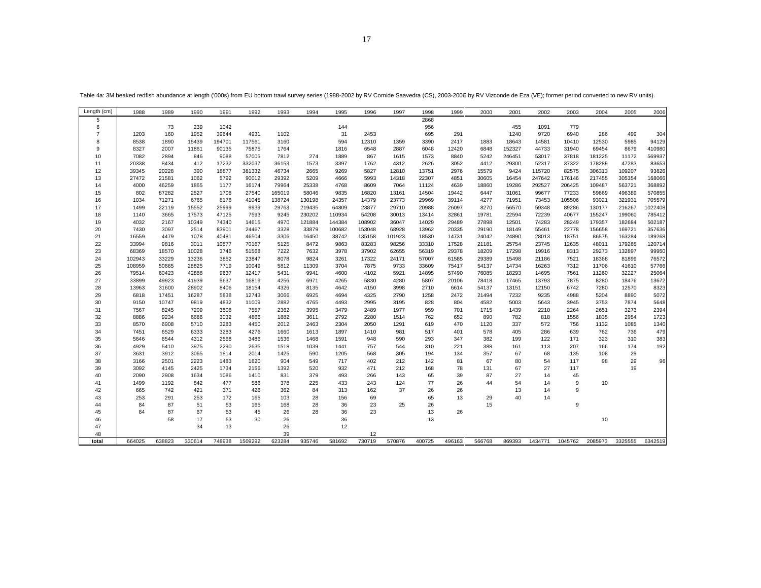| Length (cm)    | 1988            | 1989           | 1990           | 1991           | 1992           | 1993         | 1994          | 1995          | 1996            | 1997            | 1998           | 1999           | 2000           | 2001           | 2002           | 2003           | 2004           | 2005             | 2006             |
|----------------|-----------------|----------------|----------------|----------------|----------------|--------------|---------------|---------------|-----------------|-----------------|----------------|----------------|----------------|----------------|----------------|----------------|----------------|------------------|------------------|
| 5              |                 |                |                |                |                |              |               |               |                 |                 | 2868           |                |                |                |                |                |                |                  |                  |
| 6              |                 | 73             | 239            | 1042           |                |              |               | 144           |                 |                 | 956            |                |                | 455            | 1091           | 779            |                |                  |                  |
| $\overline{7}$ | 1203            | 160            | 1952           | 39644          | 4931           | 1102         |               | 31            | 2453            |                 | 695            | 291            |                | 1240           | 9720           | 6940           | 286            | 499              | 304              |
| 8              | 8538            | 1890           | 15439          | 194701         | 117561         | 3160         |               | 594           | 12310           | 1359            | 3390           | 2417           | 1883           | 18643          | 14581          | 10410          | 12530          | 5985             | 94129            |
| 9              | 8327            | 2007           | 11861          | 90135          | 75875          | 1764         |               | 1816          | 6548            | 2887            | 6048           | 12420          | 6848           | 152327         | 44733          | 31940          | 69454          | 8679             | 410980           |
| 10             | 7082            | 2894           | 846            | 9088           | 57005          | 7812         | 274           | 1889          | 867             | 1615            | 1573           | 8840           | 5242           | 246451         | 53017          | 37818          | 181225         | 11172            | 569937           |
| 11             | 20338           | 8434           | 412            | 17232          | 332037         | 36153        | 1573          | 3397          | 1762            | 4312            | 2626           | 3052           | 4412           | 29300          | 52317          | 37322          | 178289         | 47283            | 83653            |
| 12             | 39345           | 20228          | 390            | 18877          | 381332         | 46734        | 2665          | 9269          | 5827            | 12810           | 13751          | 2976           | 15579          | 9424           | 115720         | 82575          | 306313         | 109207           | 93826            |
| 13             | 27472           | 21581          | 1062           | 5792           | 90012          | 29392        | 5209          | 4666          | 5993            | 14318           | 22307          | 4851           | 30605          | 16454          | 247642         | 176146         | 217455         | 305354           | 168066           |
| 14             | 4000            | 46259          | 1865           | 1177           | 16174          | 79964        | 25338         | 4768          | 8609            | 7064            | 11124          | 4639           | 18860          | 19286          | 292527         | 206425         | 109487         | 563721           | 368892           |
| 15             | 802             | 87282          | 2527           | 1708           | 27540          | 165019       | 58046         | 9835          | 16820           | 13161           | 14504          | 19442          | 6447           | 31061          | 99677          | 77233          | 59669          | 496389           | 570855           |
| 16             | 1034            | 71271          | 6765           | 8178           | 41045          | 138724       | 130198        | 24357         | 14379           | 23773           | 29969          | 39114          | 4277           | 71951          | 73453          | 105506         | 93021          | 321931           | 705579           |
| 17             | 1499            | 22119          | 15552          | 25999          | 9939           | 29763        | 219435        | 64809         | 23877           | 29710           | 20988          | 26097          | 8270           | 56570          | 59348          | 89286          | 130177         | 216267           | 1022408          |
| 18             | 1140            | 3665           | 17573          | 47125          | 7593           | 9245         | 230202        | 110934        | 54208           | 30013           | 13414          | 32861          | 19781          | 22594          | 72239          | 40677          | 155247         | 199060           | 785412           |
| 19             | 4032            | 2167           | 10349          | 74340          | 14615          | 4970         | 121884        | 144384        | 108902          | 36047           | 14029          | 29489          | 27898          | 12501          | 74283          | 28249          | 179357         | 182684           | 502187           |
| 20             | 7430            | 3097           | 2514           | 83901          | 24467          | 3328         | 33879         | 100682        | 153048          | 68928           | 13962          | 20335          | 29190          | 18149          | 55461          | 22778          | 156658         | 169721           | 357636           |
| 21<br>22       | 16559<br>33994  | 4479<br>9816   | 1078<br>3011   | 40481<br>10577 | 46504<br>70167 | 3306<br>5125 | 16450<br>8472 | 38742<br>9863 | 135158<br>83283 | 101923<br>98256 | 18530<br>33310 | 14731<br>17528 | 24042<br>21181 | 24890<br>25754 | 28013<br>23745 | 18751<br>12635 | 86575<br>48011 | 163284<br>179265 | 189268<br>120714 |
|                |                 |                |                | 3746           |                | 7222         | 7632          |               | 37902           |                 |                | 29378          |                |                |                |                | 29273          | 132897           | 99950            |
| 23<br>24       | 68369<br>102943 | 18570<br>33229 | 10028<br>13236 | 3852           | 51568<br>23847 | 8078         | 9824          | 3978<br>3261  | 17322           | 62655<br>24171  | 56319<br>57007 | 61585          | 18209<br>29389 | 17298<br>15498 | 19916<br>21186 | 8313<br>7521   | 18368          | 81899            | 76572            |
| 25             | 108959          | 50665          | 28825          | 7719           | 10049          | 5812         | 11309         | 3704          | 7875            | 9733            | 33609          | 75417          | 54137          | 14734          | 16263          | 7312           | 11706          | 41610            | 57766            |
| 26             | 79514           | 60423          | 42888          | 9637           | 12417          | 5431         | 9941          | 4600          | 4102            | 5921            | 14895          | 57490          | 76085          | 18293          | 14695          | 7561           | 11260          | 32227            | 25064            |
| 27             | 33899           | 49923          | 41939          | 9637           | 16819          | 4256         | 6971          | 4265          | 5830            | 4280            | 5807           | 20106          | 78418          | 17465          | 13793          | 7875           | 8280           | 18476            | 13672            |
| 28             | 13963           | 31600          | 28902          | 8406           | 18154          | 4326         | 8135          | 4642          | 4150            | 3998            | 2710           | 6614           | 54137          | 13151          | 12150          | 6742           | 7280           | 12570            | 8323             |
| 29             | 6818            | 17451          | 16287          | 5838           | 12743          | 3066         | 6925          | 4694          | 4325            | 2790            | 1258           | 2472           | 21494          | 7232           | 9235           | 4988           | 5204           | 8890             | 5072             |
| 30             | 9150            | 10747          | 9819           | 4832           | 11009          | 2882         | 4765          | 4493          | 2995            | 3195            | 828            | 804            | 4582           | 5003           | 5643           | 3945           | 3753           | 7874             | 5648             |
| 31             | 7567            | 8245           | 7209           | 3508           | 7557           | 2362         | 3995          | 3479          | 2489            | 1977            | 959            | 701            | 1715           | 1439           | 2210           | 2264           | 2651           | 3273             | 2394             |
| 32             | 8886            | 9234           | 6686           | 3032           | 4866           | 1882         | 3611          | 2792          | 2280            | 1514            | 762            | 652            | 890            | 782            | 818            | 1556           | 1835           | 2954             | 1723             |
| 33             | 8570            | 6908           | 5710           | 3283           | 4450           | 2012         | 2463          | 2304          | 2050            | 1291            | 619            | 470            | 1120           | 337            | 572            | 756            | 1132           | 1085             | 1340             |
| 34             | 7451            | 6529           | 6333           | 3283           | 4276           | 1660         | 1613          | 1897          | 1410            | 981             | 517            | 401            | 578            | 405            | 286            | 639            | 762            | 736              | 479              |
| 35             | 5646            | 6544           | 4312           | 2568           | 3486           | 1536         | 1468          | 1591          | 948             | 590             | 293            | 347            | 382            | 199            | 122            | 171            | 323            | 310              | 383              |
| 36             | 4929            | 5410           | 3975           | 2290           | 2635           | 1518         | 1039          | 1441          | 757             | 544             | 310            | 221            | 388            | 161            | 113            | 207            | 166            | 174              | 192              |
| 37             | 3631            | 3912           | 3065           | 1814           | 2014           | 1425         | 590           | 1205          | 568             | 305             | 194            | 134            | 357            | 67             | 68             | 135            | 108            | 29               |                  |
| 38             | 3166            | 2501           | 2223           | 1483           | 1620           | 904          | 549           | 717           | 402             | 212             | 142            | 81             | 67             | 80             | 54             | 117            | 98             | 29               | 96               |
| 39             | 3092            | 4145           | 2425           | 1734           | 2156           | 1392         | 520           | 932           | 471             | 212             | 168            | 78             | 131            | 67             | 27             | 117            |                | 19               |                  |
| 40             | 2090            | 2908           | 1634           | 1086           | 1410           | 831          | 379           | 493           | 266             | 143             | 65             | 39             | 87             | 27             | 14             | 45             |                |                  |                  |
| 41             | 1499            | 1192           | 842            | 477            | 586            | 378          | 225           | 433           | 243             | 124             | 77             | 26             | 44             | 54             | 14             | 9              | 10             |                  |                  |
| 42             | 665             | 742            | 421            | 371            | 426            | 362          | 84            | 313           | 162             | 37              | 26             | 26             |                | 13             | 14             | 9              |                |                  |                  |
| 43             | 253             | 291            | 253            | 172            | 165            | 103          | 28            | 156           | 69              |                 | 65             | 13             | 29             | 40             | 14             |                |                |                  |                  |
| 44             | 84              | 87             | 51             | 53             | 165            | 168          | 28            | 36            | 23              | 25              | 26             |                | 15             |                |                | 9              |                |                  |                  |
| 45             | 84              | 87             | 67             | 53             | 45             | 26           | 28            | 36            | 23              |                 | 13             | 26             |                |                |                |                |                |                  |                  |
| 46             |                 | 58             | 17             | 53             | 30             | 26           |               | 36            |                 |                 | 13             |                |                |                |                |                | 10             |                  |                  |
| 47             |                 |                | 34             | 13             |                | 26           |               | 12            |                 |                 |                |                |                |                |                |                |                |                  |                  |
| 48             |                 |                |                |                |                | 39           |               |               | 12              |                 |                |                |                |                |                |                |                |                  |                  |
| total          | 664025          | 638823         | 330614         | 748938         | 1509292        | 623284       | 935746        | 581692        | 730719          | 570876          | 400725         | 496163         | 566768         | 869393         | 1434771        | 1045762        | 2085973        | 3325555          | 6342519          |

Table 4a: 3M beaked redfish abundance at length ('000s) from EU bottom trawl survey series (1988-2002 by RV Cornide Saavedra (CS), 2003-2006 by RV Vizconde de Eza (VE); former period converted to new RV units).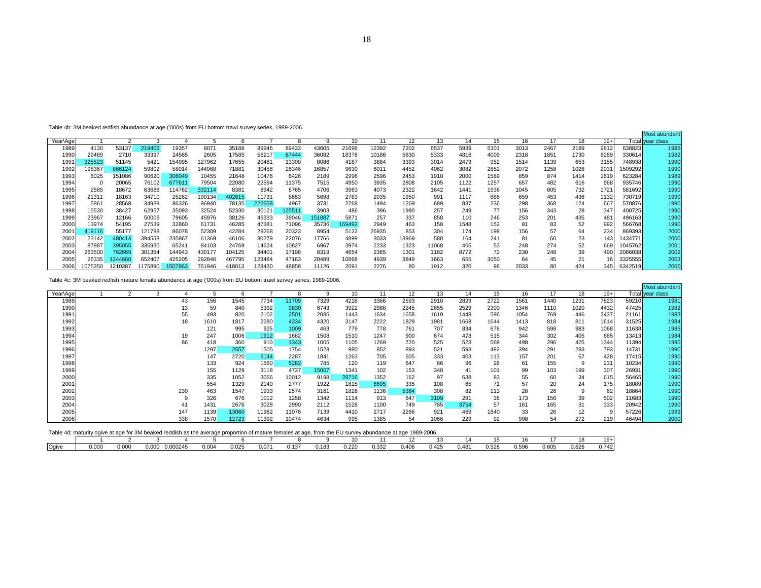|          | Table 4c: 3M beaked redfish mature female abundance at age ('000s) from EU bottom trawl survey series, 1989-2006. |  |     |      |       |       |       |       |       |      |      |      |      |      |      |      |      |       |       |                  |
|----------|-------------------------------------------------------------------------------------------------------------------|--|-----|------|-------|-------|-------|-------|-------|------|------|------|------|------|------|------|------|-------|-------|------------------|
|          |                                                                                                                   |  |     |      |       |       |       |       |       |      |      |      |      |      |      |      |      |       |       | Most abundant    |
| Year\Age |                                                                                                                   |  |     |      |       |       |       |       | 10    | 11   | 12   | 13   | 14   | 15   | 16   | 17   | 18   | $19+$ |       | Total year class |
| 1989     |                                                                                                                   |  | 43  | 156  | 1545  | 7734  | 11709 | 7329  | 4218  | 3366 | 2593 | 2910 | 2829 | 2722 | 1561 | 1440 | 1231 | 7823  | 59210 | 1981             |
| 1990     |                                                                                                                   |  | 13  | 59   | 840   | 5392  | 9830  | 6743  | 3922  | 2988 | 2245 | 2655 | 2529 | 2300 | 1346 | 1110 | 1020 | 4432  | 47425 | 1982             |
| 1991     |                                                                                                                   |  | 55  | 493  | 820   | 2102  | 2501  | 2086  | 1443  | 1634 | 1658 | 1619 | 1448 | 596  | 1054 | 769  | 446  | 2437  | 21161 | 1983             |
| 1992     |                                                                                                                   |  | 18  | 1610 | 1817  | 2280  | 4334  | 4320  | 3147  | 2222 | 1829 | 1981 | 1668 | 1644 | 1413 | 818  | 811  | 1614  | 31525 | 1984             |
| 1993     |                                                                                                                   |  |     | 121  | 995   | 925   | 1009  | 463   | 779   | 778  | 761  | 707  | 834  | 676  | 942  | 598  | 983  | 1068  | 11638 | 1985             |
| 1994     |                                                                                                                   |  | 19  | 247  | 1006  | 1912  | 1682  | 1508  | 1510  | 1247 | 900  | 674  | 478  | 515  | 344  | 302  | 405  | 665   | 13413 | 1984             |
| 1995     |                                                                                                                   |  | 86  | 418  | 360   | 910   | 1343  | 1005  | 1105  | 1269 | 720  | 525  | 523  | 568  | 498  | 296  | 425  | 1344  | 11394 | 1990             |
| 1996     |                                                                                                                   |  |     | 1297 | 2557  | 1505  | 1754  | 1528  | 980   | 852  | 893  | 521  | 593  | 492  | 394  | 291  | 283  | 793   | 14731 | 1990             |
| 1997     |                                                                                                                   |  |     | 147  | 2720  | 6144  | 2287  | 1841  | 1263  | 705  | 605  | 333  | 403  | 113  | 157  | 201  | 67   | 428   | 17415 | 1990             |
| 1998     |                                                                                                                   |  |     | 133  | 924   | 1560  | 5282  | 785   | 120   | 119  | 647  | 86   | 96   | 26   | 61   | 155  |      | 231   | 10234 | 1990             |
| 1999     |                                                                                                                   |  |     | 155  | 1129  | 3118  | 4737  | 15007 | 1341  | 102  | 153  | 340  |      | 101  | 99   | 103  | 199  | 307   | 26931 | 1990             |
| 2000     |                                                                                                                   |  |     | 335  | 1052  | 3056  | 10012 | 9198  | 29716 | 1352 | 162  | 97   | 638  | 83   | 55   | 60   | 34   | 615   | 56465 | 1990             |
| 2001     |                                                                                                                   |  |     | 554  | 1329  | 2140  | 2777  | 1922  | 1815  | 6695 | 335  | 108  | 65   | 71   | 57   | 20   | 24   | 175   | 18089 | 1990             |
| 2002     |                                                                                                                   |  | 230 | 463  | 1547  | 1933  | 2574  | 3161  | 1826  | 1136 | 5364 | 308  | 82   | 113  | 28   | 26   |      | 62    | 18864 | 1990             |
| 2003     |                                                                                                                   |  |     | 326  | 676   | 1012  | 1258  | 1342  | 1114  | 913  | 647  | 3199 | 281  | 36   | 173  | 156  | 39   | 502   | 11683 | 1990             |
| 2004     |                                                                                                                   |  | 41  | 1431 | 2676  | 3028  | 2990  | 2112  | 1528  | 1100 | 749  | 785  | 3754 | 57   | 161  | 165  | 31   | 333   | 20942 | 1990             |
| 2005     |                                                                                                                   |  | 147 | 1139 | 13060 | 11962 | 11076 | 7139  | 4410  | 2717 | 2266 | 921  | 469  | 1840 | 33   | 26   | 12   |       | 57226 | 1999             |
| 2006     |                                                                                                                   |  | 338 | 1570 | 12723 | 11392 | 10474 | 4634  | 995   | 1385 | 54   | 1066 | 229  | 92   | 998  | 54   | 272  | 219   | 46494 | 2000             |

0.332

13 14 15 16 17 18 19+

0.406 0.425 0.481 0.528 0.596 0.605 0.626 0.742

 $\frac{19+}{0.742}$ 

| Table 4c: 3M beaked redfish mature female abundance at age ('000s) from EU bottom trawl survey series, 1989-2006. |  |  |
|-------------------------------------------------------------------------------------------------------------------|--|--|
|                                                                                                                   |  |  |

Ogive 0.000 0.000 0.000 0.000245 0.004 0.025 0.071 0.137 0.183 0.220

Table 4d: maturity ogive at age for 3M beaked reddish as the average proportion of mature females at age, from the EU survey abundanc ce at age 1989-2006. 2 3 4 5 6 7 8 9 10 11

|          |         |         |         |         |        |        |        |        |        |        |       |       |       |      |      |      |      |      |       |         | Most abundant    |
|----------|---------|---------|---------|---------|--------|--------|--------|--------|--------|--------|-------|-------|-------|------|------|------|------|------|-------|---------|------------------|
| Year\Age |         |         |         |         |        |        |        |        |        | 10     |       | 12    | 13    | 14   | 15   | 16   | 17   | 18   | $19+$ |         | Total vear class |
| 1989     | 4130    | 53137   | 219406  | 19357   | 8071   | 35188  | 89946  | 89433  | 43605  | 21698  | 12392 | 7202  | 6537  | 5939 | 5301 | 3013 | 2467 | 2189 | 9812  | 638823  | 1985             |
| 1990     | 29489   | 2710    | 33397   | 24565   | 2605   | 17585  | 56217  | 67444  | 36082  | 18378  | 10186 | 5630  | 5333  | 4816 | 4009 | 2318 | 1851 | 1730 | 6269  | 330614  | 1982             |
| $199 -$  | 325523  | 51145   | 5421    | 154995  | 127962 | 17655  | 20481  | 13300  | 8086   | 4187   | 3884  | 3393  | 3014  | 2479 | 952  | 1514 | 1139 | 653  | 3155  | 748938  | 1990             |
| 1992     | 198367  | 866124  | 59802   | 58014   | 144968 | 71881  | 30456  | 26346  | 16857  | 9630   | 6011  | 4452  | 4062  | 3082 | 2852 | 2072 | 1258 | 1028 | 2031  | 1509292 | 1990             |
| 1993     | 6025    | 151086  | 90620   | 306049  | 10455  | 21648  | 10476  | 6426   | 2189   | 2996   | 2596  | 2453  | 1910  | 2000 | 1589 | 859  | 874  | 1414 | 1619  | 623284  | 1989             |
| 1994     | 0       | 20065   | 76102   | 677611  | 79504  | 22080  | 22594  | 11375  | 7515   | 4950   | 3935  | 2808  | 2105  | 1122 | 1257 | 657  | 482  | 616  | 968   | 935746  | 1990             |
| 1995     | 2585    | 18672   | 63686   | 114762  | 332114 | 8381   | 8942   | 8765   | 4706   | 3963   | 4073  | 2322  | 1642  | 1441 | 1536 | 1045 | 605  | 732  | 1721  | 581692  | 1990             |
| 1996     | 21311   | 18163   | 34710   | 25262   | 190134 | 402615 | 11731  | 8653   | 5698   | 2783   | 2035  | 1950  | 991   | 1117 | 886  | 659  | 453  | 436  | 1132  | 730719  | 1990             |
| 1997     | 5861    | 28568   | 34939   | 86326   | 96940  | 78135  | 222658 | 4967   | 3731   | 2768   | 1494  | 1269  | 689   | 837  | 236  | 298  | 368  | 124  | 667   | 570876  | 1990             |
| 1998     | 15530   | 38427   | 62957   | 35093   | 32524  | 52330  | 30121  | 125511 | 3903   | 486    | 396   | 1990  | 257   | 249  | 77   | 156  | 343  | 28   | 347   | 400725  | 1990             |
| 1999     | 23967   | 12166   | 50006   | 79605   | 45976  | 38126  | 46333  | 39046  | 151887 | 5871   | 257   | 337   | 858   | 110  | 246  | 253  | 201  | 435  | 481   | 496163  | 1990             |
| 2000     | 13974   | 54195   | 27539   | 32860   | 61731  | 46285  | 47381  | 71096  | 35736  | 169492 | 2949  | 463   | 158   | 1548 | 152  | 81   | 83   | 52   | 992   | 566768  | 1990             |
| 200      | 419116  | 55177   | 121788  | 86078   | 52309  | 42284  | 29268  | 20323  | 8954   | 5122   | 26935 | 853   | 304   | 174  | 198  | 156  | 57   | 64   | 234   | 869393  | 2000             |
| 2002     | 123142  | 480414  | 394558  | 235867  | 61369  | 46106  | 30279  | 22076  | 17766  | 4899   | 3033  | 13969 | 580   | 164  | 241  | 81   | 60   | 23   | 143   | 1434771 | 2000             |
| 2003     | 87887   | 395055  | 335930  | 6524    | 84103  | 24769  | 14624  | 10827  | 6967   | 3974   | 2233  | 1323  | 11068 | 465  | 53   | 248  | 274  | 52   | 669   | 1045762 | 2001             |
| 2004     | 263500  | 762669  | 301354  | 44943   | 430177 | 104125 | 34401  | 17198  | 8319   | 4654   | 2365  | 1301  | 1182  | 8772 | 72   | 230  | 248  | 39   | 490   | 2086038 | 2002             |
| 2005     | 26335   | 244660  | 652407  | 425205  | 292846 | 467795 | 123484 | 47163  | 20489  | 10868  | 4939  | 3849  | 1663  | 655  | 3050 | 64   | 45   | 21   |       | 3325555 | 2003             |
| 2006     | 1075350 | 1210387 | 1175890 | 1507863 | 761946 | 418013 | 123430 | 48858  | 11126  | 2091   | 2276  | 80    | 1912  | 320  | 96   | 2033 | 80   | 424  | 345   | 6342519 | 2000             |

Table 4b: 3M beaked redfish abundance at age ('000s) from EU bottom trawl survey series, 1989-2006.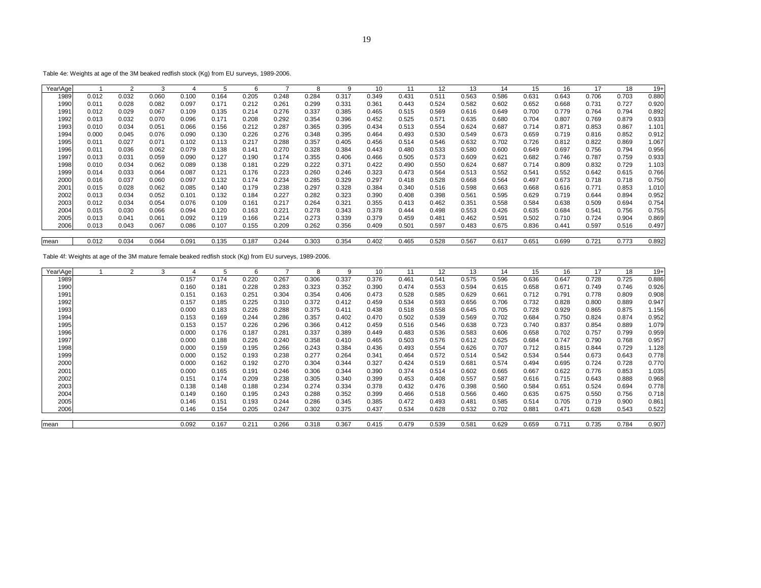Table 4e: Weights at age of the 3M beaked redfish stock (Kg) from EU surveys, 1989-2006.

| Year\Age |       | 2     |                   |       | 5     | b     |       | 8     | 9     | 10    | 11    | 12    | 13    | 14    | 15    | 16    | 17    | 18    | $19+$ |
|----------|-------|-------|-------------------|-------|-------|-------|-------|-------|-------|-------|-------|-------|-------|-------|-------|-------|-------|-------|-------|
| 1989     | 0.012 | 0.032 | 0.060             | 0.100 | 0.164 | 0.205 | 0.248 | 0.284 | 0.317 | 0.349 | 0.431 | 0.511 | 0.563 | 0.586 | 0.631 | 0.643 | 0.706 | 0.703 | 0.880 |
| 1990     | 0.011 | 0.028 | 0.082             | 0.097 | 0.171 | 0.212 | 0.261 | 0.299 | 0.331 | 0.361 | 0.443 | 0.524 | 0.582 | 0.602 | 0.652 | 0.668 | 0.731 | 0.727 | 0.920 |
| 1991     | 0.012 | 0.029 | 0.067             | 0.109 | 0.135 | 0.214 | 0.276 | 0.337 | 0.385 | 0.465 | 0.515 | 0.569 | 0.616 | 0.649 | 0.700 | 0.779 | 0.764 | 0.794 | 0.892 |
| 1992     | 0.013 | 0.032 | 0.070             | 0.096 | 0.171 | 0.208 | 0.292 | 0.354 | 0.396 | 0.452 | 0.525 | 0.571 | 0.635 | 0.680 | 0.704 | 0.807 | 0.769 | 0.879 | 0.933 |
| 1993     | 0.010 | 0.034 | 0.051             | 0.066 | 0.156 | 0.212 | 0.287 | 0.365 | 0.395 | 0.434 | 0.513 | 0.554 | 0.624 | 0.687 | 0.714 | 0.871 | 0.853 | 0.867 | 1.101 |
| 1994     | 0.000 | 0.045 | 0.076             | 0.090 | 0.130 | 0.226 | 0.276 | 0.348 | 0.395 | 0.464 | 0.493 | 0.530 | 0.549 | 0.673 | 0.659 | 0.719 | 0.816 | 0.852 | 0.912 |
| 1995     | 0.011 | 0.027 | 0.071             | 0.102 | 0.113 | 0.217 | 0.288 | 0.357 | 0.405 | 0.456 | 0.514 | 0.546 | 0.632 | 0.702 | 0.726 | 0.812 | 0.822 | 0.869 | 1.067 |
| 1996     | 0.011 | 0.036 | 0.062             | 0.079 | 0.138 | 0.141 | 0.270 | 0.328 | 0.384 | 0.443 | 0.480 | 0.533 | 0.580 | 0.600 | 0.649 | 0.697 | 0.756 | 0.794 | 0.956 |
| 1997     | 0.013 | 0.031 | 0.059             | 0.090 | 0.127 | 0.190 | 0.174 | 0.355 | 0.406 | 0.466 | 0.505 | 0.573 | 0.609 | 0.621 | 0.682 | 0.746 | 0.787 | 0.759 | 0.933 |
| 1998     | 0.010 | 0.034 | 0.062             | 0.089 | 0.138 | 0.181 | 0.229 | 0.222 | 0.371 | 0.422 | 0.490 | 0.550 | 0.624 | 0.687 | 0.714 | 0.809 | 0.832 | 0.729 | 1.103 |
| 1999     | 0.014 | 0.033 | 0.064             | 0.087 | 0.121 | 0.176 | 0.223 | 0.260 | 0.246 | 0.323 | 0.473 | 0.564 | 0.513 | 0.552 | 0.541 | 0.552 | 0.642 | 0.615 | 0.766 |
| 2000     | 0.016 | 0.037 | 0.060             | 0.097 | 0.132 | 0.174 | 0.234 | 0.285 | 0.329 | 0.297 | 0.418 | 0.528 | 0.668 | 0.564 | 0.497 | 0.673 | 0.718 | 0.718 | 0.750 |
| 2001     | 0.015 | 0.028 | 0.062             | 0.085 | 0.140 | 0.179 | 0.238 | 0.297 | 0.328 | 0.384 | 0.340 | 0.516 | 0.598 | 0.663 | 0.668 | 0.616 | 0.771 | 0.853 | 1.010 |
| 2002     | 0.013 | 0.034 | 0.052             | 0.101 | 0.132 | 0.184 | 0.227 | 0.282 | 0.323 | 0.390 | 0.408 | 0.398 | 0.561 | 0.595 | 0.629 | 0.719 | 0.644 | 0.894 | 0.952 |
| 2003     | 0.012 | 0.034 | 0.054             | 0.076 | 0.109 | 0.161 | 0.217 | 0.264 | 0.321 | 0.355 | 0.413 | 0.462 | 0.351 | 0.558 | 0.584 | 0.638 | 0.509 | 0.694 | 0.754 |
| 2004     | 0.015 | 0.030 | 0.066             | 0.094 | 0.120 | 0.163 | 0.221 | 0.278 | 0.343 | 0.378 | 0.444 | 0.498 | 0.553 | 0.426 | 0.635 | 0.684 | 0.541 | 0.756 | 0.755 |
| 2005     | 0.013 | 0.041 | 0.06 <sup>2</sup> | 0.092 | 0.119 | 0.166 | 0.214 | 0.273 | 0.339 | 0.379 | 0.459 | 0.481 | 0.462 | 0.591 | 0.502 | 0.710 | 0.724 | 0.904 | 0.869 |
| 2006     | 0.013 | 0.043 | 0.067             | 0.086 | 0.107 | 0.155 | 0.209 | 0.262 | 0.356 | 0.409 | 0.501 | 0.597 | 0.483 | 0.675 | 0.836 | 0.441 | 0.597 | 0.516 | 0.497 |
|          |       |       |                   |       |       |       |       |       |       |       |       |       |       |       |       |       |       |       |       |
| mean     | 0.012 | 0.034 | 0.064             | 0.091 | 0.135 | 0.187 | 0.244 | 0.303 | 0.354 | 0.402 | 0.465 | 0.528 | 0.567 | 0.617 | 0.651 | 0.699 | 0.721 | 0.773 | 0.892 |

Table 4f: Weights at age of the 3M mature female beaked redfish stock (Kg) from EU surveys, 1989-2006.

| Year\Age |  | 3 |       | $\mathbf{b}$ | 6     |       | 8     | 9     | 10    | 11    | 12    | 13    | 14    | 15    | 16    | 17    | 18    | $19+$ |
|----------|--|---|-------|--------------|-------|-------|-------|-------|-------|-------|-------|-------|-------|-------|-------|-------|-------|-------|
| 1989     |  |   | 0.157 | 0.174        | 0.220 | 0.267 | 0.306 | 0.337 | 0.376 | 0.461 | 0.541 | 0.575 | 0.596 | 0.636 | 0.647 | 0.728 | 0.725 | 0.886 |
| 1990     |  |   | 0.160 | 0.181        | 0.228 | 0.283 | 0.323 | 0.352 | 0.390 | 0.474 | 0.553 | 0.594 | 0.615 | 0.658 | 0.671 | 0.749 | 0.746 | 0.926 |
| 1991     |  |   | 0.151 | 0.163        | 0.251 | 0.304 | 0.354 | 0.406 | 0.473 | 0.528 | 0.585 | 0.629 | 0.661 | 0.712 | 0.791 | 0.778 | 0.809 | 0.908 |
| 1992     |  |   | 0.157 | 0.185        | 0.225 | 0.310 | 0.372 | 0.412 | 0.459 | 0.534 | 0.593 | 0.656 | 0.706 | 0.732 | 0.828 | 0.800 | 0.889 | 0.947 |
| 1993     |  |   | 0.000 | 0.183        | 0.226 | 0.288 | 0.375 | 0.411 | 0.438 | 0.518 | 0.558 | 0.645 | 0.705 | 0.728 | 0.929 | 0.865 | 0.875 | 1.156 |
| 1994     |  |   | 0.153 | 0.169        | 0.244 | 0.286 | 0.357 | 0.402 | 0.470 | 0.502 | 0.539 | 0.569 | 0.702 | 0.684 | 0.750 | 0.824 | 0.874 | 0.952 |
| 1995     |  |   | 0.153 | 0.157        | 0.226 | 0.296 | 0.366 | 0.412 | 0.459 | 0.516 | 0.546 | 0.638 | 0.723 | 0.740 | 0.837 | 0.854 | 0.889 | 1.079 |
| 1996     |  |   | 0.000 | 0.176        | 0.187 | 0.281 | 0.337 | 0.389 | 0.449 | 0.483 | 0.536 | 0.583 | 0.606 | 0.658 | 0.702 | 0.757 | 0.799 | 0.959 |
| 1997     |  |   | 0.000 | 0.188        | 0.226 | 0.240 | 0.358 | 0.410 | 0.465 | 0.503 | 0.576 | 0.612 | 0.625 | 0.684 | 0.747 | 0.790 | 0.768 | 0.957 |
| 1998     |  |   | 0.000 | 0.159        | 0.195 | 0.266 | 0.243 | 0.384 | 0.436 | 0.493 | 0.554 | 0.626 | 0.707 | 0.712 | 0.815 | 0.844 | 0.729 | 1.128 |
| 1999     |  |   | 0.000 | 0.152        | 0.193 | 0.238 | 0.277 | 0.264 | 0.341 | 0.464 | 0.572 | 0.514 | 0.542 | 0.534 | 0.544 | 0.673 | 0.643 | 0.778 |
| 2000     |  |   | 0.000 | 0.162        | 0.192 | 0.270 | 0.304 | 0.344 | 0.327 | 0.424 | 0.519 | 0.681 | 0.574 | 0.494 | 0.695 | 0.724 | 0.728 | 0.770 |
| 2001     |  |   | 0.000 | 0.165        | 0.191 | 0.246 | 0.306 | 0.344 | 0.390 | 0.374 | 0.514 | 0.602 | 0.665 | 0.667 | 0.622 | 0.776 | 0.853 | 1.035 |
| 2002     |  |   | 0.151 | 0.174        | 0.209 | 0.238 | 0.305 | 0.340 | 0.399 | 0.453 | 0.408 | 0.557 | 0.587 | 0.616 | 0.715 | 0.643 | 0.888 | 0.968 |
| 2003     |  |   | 0.138 | 0.148        | 0.188 | 0.234 | 0.274 | 0.334 | 0.378 | 0.432 | 0.476 | 0.398 | 0.560 | 0.584 | 0.651 | 0.524 | 0.694 | 0.778 |
| 2004     |  |   | 0.149 | 0.160        | 0.195 | 0.243 | 0.288 | 0.352 | 0.399 | 0.466 | 0.518 | 0.566 | 0.460 | 0.635 | 0.675 | 0.550 | 0.756 | 0.718 |
| 2005     |  |   | 0.146 | 0.151        | 0.193 | 0.244 | 0.286 | 0.345 | 0.385 | 0.472 | 0.493 | 0.481 | 0.585 | 0.514 | 0.705 | 0.719 | 0.900 | 0.861 |
| 2006     |  |   | 0.146 | 0.154        | 0.205 | 0.247 | 0.302 | 0.375 | 0.437 | 0.534 | 0.628 | 0.532 | 0.702 | 0.881 | 0.471 | 0.628 | 0.543 | 0.522 |
| mean     |  |   | 0.092 | 0.167        | 0.211 | 0.266 | 0.318 | 0.367 | 0.415 | 0.479 | 0.539 | 0.581 | 0.629 | 0.659 | 0.711 | 0.735 | 0.784 | 0.907 |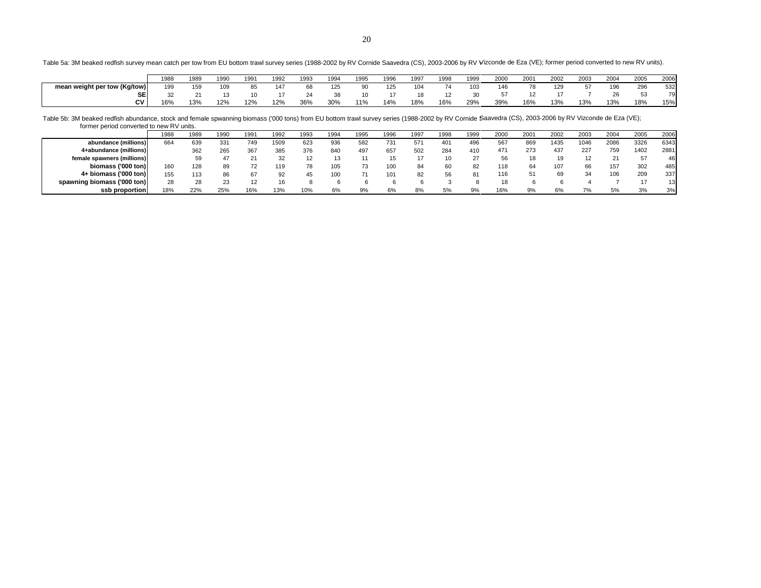Table 5a: 3M beaked redfish survey mean catch per tow from EU bottom trawl survey series (1988-2002 by RV Cornide Saavedra (CS), 2003-2006 by RV V Vizconde de Eza (VE); former period converted to new RV units).

|                              | 1988 | 1989         | 1990            | 1991 | 1992 | ags | 1994 | 1995 | 1996 | 1997 | 1998 | 1999 | 2000 | 2001 | 2002 | 2003 | 2004 | 2005 | 2006 |
|------------------------------|------|--------------|-----------------|------|------|-----|------|------|------|------|------|------|------|------|------|------|------|------|------|
| mean weight per tow (Kg/tow) | 199  | 159          | 10 <sup>c</sup> |      | 147  | 68  | 125  | 90   | 125  | 104  | 74   | 103  | 146  | 78   | 129  | 57   | 196  | 296  | 532  |
| SE                           |      | $\mathbf{a}$ |                 |      |      |     | 38   | 10   |      | 18   |      |      | 5/   |      |      |      | 26   |      | 79   |
| CV.                          | 16%  | 13%          | 12%             | 12%  | 12%  | 36% | 30%  | 11%  | 14%  | 18%  | 16%  | 29%  | 39%  | 16%  | 13%  | 13%  | 13%  | 18%  | 15%  |

Table 5b: 3M beaked redfish abundance, stock and female spwanning biomass ('000 tons) from EU bottom trawl survey series (1988-2002 by RV Cornide Saavedra (CS), 2003-2006 by RV Vizconde de Eza (VE); former period converted to new RV units.

| <b>TOTTICL POTTOG COTTVCITCG TO TIGN TVV GITTO.</b> |      |      |      |      |      |      |      |      |      |      |      |      |      |      |      |      |      |      |      |
|-----------------------------------------------------|------|------|------|------|------|------|------|------|------|------|------|------|------|------|------|------|------|------|------|
|                                                     | 1988 | 1989 | 1990 | 1991 | 1992 | 1993 | 1994 | 1995 | 1996 | 1997 | 1998 | 1999 | 2000 | 2001 | 2002 | 2003 | 2004 | 2005 | 2006 |
| abundance (millions)                                | 664  | 639  | 331  | 749  | 1509 | 623  | 936  | 582  | 731  | 57'  | 40٬  | 496  | 567  | 869  | 1435 | 1046 | 2086 | 3326 | 6343 |
| 4+abundance (millions)                              |      | 362  | 265  | 367  | 385  | 376  | 840  | 497  | 657  | 502  | 284  | 410  | 471  | 273  | 437  | 227  | 759  | 1402 | 2881 |
| female spawners (millions)                          |      | 59   | 47   |      | 32   |      |      |      |      |      | 10   |      | 56   | 18   | 19   | 12   |      |      | 46   |
| biomass ('000 ton)                                  | 160  | 128  | 89   |      | 119  | 78   |      | 73   |      | 84   | 60   |      | 118  | 64   | 107  | 66   | 157  | 302  | 485  |
| $4+$ biomass ('000 ton)                             | 155  | 113  | 86   | 67   | 92   | 45   | 100  |      |      | 82   | 56   |      | 116  | 51   | 69   | 34   | 106  | 209  | 337  |
| spawning biomass ('000 ton)                         | 28   | 28   | 23   |      | 16   |      |      |      |      |      |      |      |      |      |      |      |      |      | 13   |
| ssb proportion                                      | 18%  | 22%  | 25%  | 16%  | 13%  | 10%  | 6%   | 9%   | 6%   | 8%   | 5%   | 9%   | 16%  | 9%   | 6%   | 7%   | 5%   | 3%   | 3%   |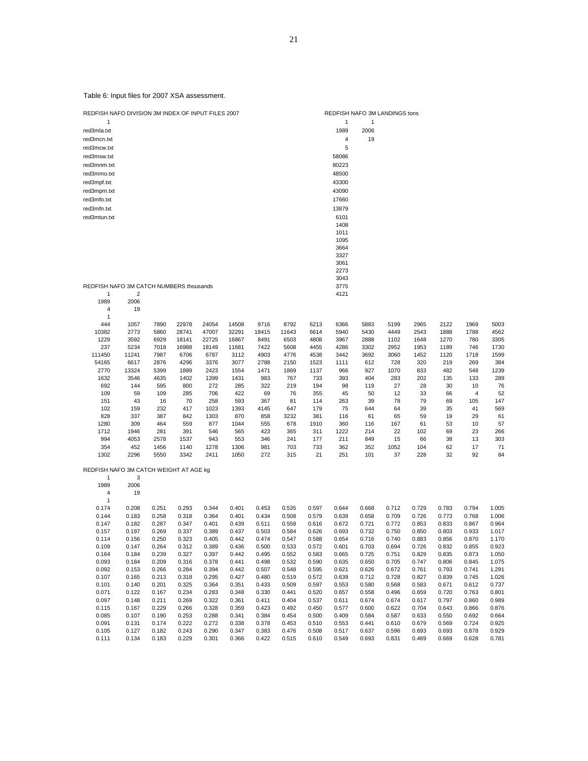| red3msw.txt                             |                |                |                |                |                |                |                |                | 58086          |                |                |                |                |                         |                |
|-----------------------------------------|----------------|----------------|----------------|----------------|----------------|----------------|----------------|----------------|----------------|----------------|----------------|----------------|----------------|-------------------------|----------------|
| red3mnm.txt                             |                |                |                |                |                |                |                |                | 80223          |                |                |                |                |                         |                |
| red3mmo.txt                             |                |                |                |                |                |                |                |                | 48500          |                |                |                |                |                         |                |
| red3mpf.txt                             |                |                |                |                |                |                |                |                | 43300          |                |                |                |                |                         |                |
| red3mpm.txt                             |                |                |                |                |                |                |                |                | 43090          |                |                |                |                |                         |                |
| red3mfo.txt                             |                |                |                |                |                |                |                |                | 17660          |                |                |                |                |                         |                |
| red3mfn.txt                             |                |                |                |                |                |                |                |                | 13879          |                |                |                |                |                         |                |
| red3mtun.txt                            |                |                |                |                |                |                |                |                | 6101           |                |                |                |                |                         |                |
|                                         |                |                |                |                |                |                |                |                | 1408           |                |                |                |                |                         |                |
|                                         |                |                |                |                |                |                |                |                | 1011           |                |                |                |                |                         |                |
|                                         |                |                |                |                |                |                |                |                | 1095           |                |                |                |                |                         |                |
|                                         |                |                |                |                |                |                |                |                | 3664           |                |                |                |                |                         |                |
|                                         |                |                |                |                |                |                |                |                | 3327           |                |                |                |                |                         |                |
|                                         |                |                |                |                |                |                |                |                | 3061           |                |                |                |                |                         |                |
|                                         |                |                |                |                |                |                |                |                | 2273           |                |                |                |                |                         |                |
|                                         |                |                |                |                |                |                |                |                | 3043           |                |                |                |                |                         |                |
| REDFISH NAFO 3M CATCH NUMBERS thousands |                |                |                |                |                |                |                |                | 3775           |                |                |                |                |                         |                |
| 1                                       | 2              |                |                |                |                |                |                |                | 4121           |                |                |                |                |                         |                |
| 1989                                    | 2006           |                |                |                |                |                |                |                |                |                |                |                |                |                         |                |
| 4<br>$\mathbf{1}$                       | 19             |                |                |                |                |                |                |                |                |                |                |                |                |                         |                |
| 444                                     | 1057           | 7890           | 22978          | 24054          | 14508          | 9716           | 8792           | 6213           | 6366           | 5883           | 5199           | 2965           | 2122           | 1969                    | 5003           |
| 10382                                   | 2773           | 5860           | 28741          | 47007          | 32291          | 18415          | 11643          | 6614           | 5940           | 5430           | 4449           | 2543           | 1888           | 1788                    | 4562           |
| 1229                                    | 3592           | 6929           | 18141          | 22725          | 16867          | 8491           | 6503           | 4808           | 3967           | 2888           | 1102           | 1648           | 1270           | 780                     | 3305           |
| 237                                     | 5234           | 7018           | 16988          | 18149          | 11681          | 7422           | 5608           | 4455           | 4286           | 3302           | 2952           | 1953           | 1189           | 746                     | 1730           |
| 111450                                  | 11241          | 7987           | 6706           | 6787           | 3112           | 4903           | 4776           | 4538           | 3442           | 3692           | 3060           | 1452           | 1120           | 1718                    | 1599           |
| 54165                                   | 6617           | 2876           | 4296           | 3376           | 3077           | 2788           | 2150           | 1523           | 1111           | 612            | 728            | 320            | 219            | 269                     | 384            |
| 2770                                    | 13324          | 5399           | 1889           | 2423           | 1554           | 1471           | 1869           | 1137           | 966            | 927            | 1070           | 833            | 482            | 548                     | 1239           |
| 1632                                    | 3546           | 4635           | 1402           | 1399           | 1431           | 983            | 767            | 733            | 393            | 404            | 283            | 202            | 135            | 133                     | 289            |
| 692                                     | 144            | 595            | 800            | 272            | 285            | 322            | 219            | 194            | 98             | 119            | 27             | 28             | 30             | 10                      | 76             |
| 109                                     | 59             | 109            | 285            | 706            | 422            | 69             | 76             | 355            | 45             | 50             | 12             | 33             | 66             | $\overline{\mathbf{4}}$ | 52             |
| 151                                     | 43             | 16             | 70             | 258            | 593            | 367            | 81             | 114            | 263            | 39             | 78             | 79             | 69             | 105                     | 147            |
| 102                                     | 159            | 232            | 417            | 1023           | 1393           | 4145           | 647            | 179            | 75             | 644            | 64             | 39             | 35             | 41                      | 569            |
| 828                                     | 337            | 387            | 842            | 1303           | 870            | 858            | 3232           | 381            | 116            | 61             | 65             | 59             | 19<br>53       | 29                      | 61             |
| 1280<br>1712                            | 309<br>1946    | 464<br>281     | 559<br>391     | 877<br>546     | 1044<br>565    | 555<br>423     | 678<br>365     | 1910<br>311    | 360<br>1222    | 116<br>214     | 167<br>22      | 61<br>102      | 69             | 10<br>23                | 57<br>266      |
| 994                                     | 4053           | 2578           | 1537           | 943            | 553            | 346            | 241            | 177            | 211            | 849            | 15             | 66             | 38             | 13                      | 303            |
| 354                                     | 452            | 1456           | 1140           | 1278           | 1306           | 981            | 703            | 733            | 362            | 352            | 1052           | 104            | 62             | 17                      | 71             |
| 1302                                    | 2296           | 5550           | 3342           | 2411           | 1050           | 272            | 315            | 21             | 251            | 101            | 37             | 228            | 32             | 92                      | 84             |
|                                         |                |                |                |                |                |                |                |                |                |                |                |                |                |                         |                |
| REDFISH NAFO 3M CATCH WEIGHT AT AGE kg  |                |                |                |                |                |                |                |                |                |                |                |                |                |                         |                |
| 1                                       | 3              |                |                |                |                |                |                |                |                |                |                |                |                |                         |                |
| 1989                                    | 2006           |                |                |                |                |                |                |                |                |                |                |                |                |                         |                |
| 4                                       | 19             |                |                |                |                |                |                |                |                |                |                |                |                |                         |                |
| 1                                       |                |                |                |                |                |                |                |                |                |                |                |                |                |                         |                |
| 0.174<br>0.144                          | 0.208<br>0.183 | 0.251<br>0.258 | 0.293<br>0.318 | 0.344<br>0.364 | 0.401<br>0.401 | 0.453<br>0.434 | 0.535<br>0.508 | 0.597<br>0.579 | 0.644<br>0.639 | 0.668<br>0.658 | 0.712<br>0.709 | 0.729<br>0.726 | 0.783<br>0.773 | 0.794<br>0.768          | 1.005<br>1.006 |
| 0.147                                   | 0.182          | 0.287          | 0.347          | 0.401          | 0.439          | 0.511          | 0.558          | 0.616          | 0.672          | 0.721          | 0.772          | 0.853          | 0.833          | 0.867                   | 0.964          |
| 0.157                                   | 0.197          | 0.269          | 0.337          | 0.389          | 0.437          | 0.503          | 0.584          | 0.626          | 0.693          | 0.732          | 0.750          | 0.850          | 0.803          | 0.933                   | 1.017          |
| 0.114                                   | 0.156          | 0.250          | 0.323          | 0.405          | 0.442          | 0.474          | 0.547          | 0.588          | 0.654          | 0.716          | 0.740          | 0.883          | 0.856          | 0.870                   | 1.170          |
| 0.109                                   | 0.147          | 0.264          | 0.312          | 0.389          | 0.436          | 0.500          | 0.533          | 0.572          | 0.601          | 0.703          | 0.694          | 0.726          | 0.832          | 0.855                   | 0.923          |
| 0.164                                   | 0.184          | 0.239          | 0.327          | 0.397          | 0.442          | 0.495          | 0.552          | 0.583          | 0.665          | 0.725          | 0.751          | 0.829          | 0.835          | 0.873                   | 1.050          |
| 0.093                                   | 0.184          | 0.209          | 0.316          | 0.378          | 0.441          | 0.498          | 0.532          | 0.590          | 0.635          | 0.650          | 0.705          | 0.747          | 0.806          | 0.845                   | 1.075          |
| 0.092                                   | 0.153          | 0.266          | 0.284          | 0.394          | 0.442          | 0.507          | 0.548          | 0.595          | 0.621          | 0.626          | 0.672          | 0.761          | 0.793          | 0.741                   | 1.291          |
| 0.107                                   | 0.165          | 0.213          | 0.318          | 0.295          | 0.427          | 0.480          | 0.519          | 0.572          | 0.639          | 0.712          | 0.728          | 0.827          | 0.839          | 0.745                   | 1.026          |
| 0.101                                   | 0.140          | 0.201          | 0.325          | 0.364          | 0.351          | 0.433          | 0.509          | 0.597          | 0.553          | 0.580          | 0.568          | 0.583          | 0.671          | 0.612                   | 0.737          |
| 0.071                                   | 0.122          | 0.167          | 0.234          | 0.283          | 0.348          | 0.330          | 0.441          | 0.520          | 0.657          | 0.558          | 0.496          | 0.659          | 0.720          | 0.763                   | 0.801          |
| 0.097                                   | 0.148          | 0.211          | 0.269          | 0.322          | 0.361          | 0.411          | 0.404          | 0.537          | 0.611          | 0.674          | 0.674          | 0.617          | 0.797          | 0.860                   | 0.989          |
| 0.115                                   | 0.167          | 0.229          | 0.266          | 0.328          | 0.359          | 0.423          | 0.492          | 0.450          | 0.577          | 0.600          | 0.622          | 0.704          | 0.643          | 0.866                   | 0.876          |
| 0.085                                   | 0.107          | 0.190          | 0.253          | 0.288          | 0.341          | 0.384          | 0.454          | 0.500          | 0.409          | 0.584          | 0.587          | 0.633          | 0.550          | 0.692                   | 0.664          |
| 0.091<br>0.105                          | 0.131<br>0.127 | 0.174<br>0.182 | 0.222<br>0.243 | 0.272<br>0.290 | 0.338<br>0.347 | 0.378<br>0.383 | 0.453<br>0.476 | 0.510<br>0.508 | 0.553<br>0.517 | 0.441<br>0.637 | 0.610<br>0.596 | 0.679<br>0.693 | 0.569<br>0.693 | 0.724<br>0.878          | 0.925<br>0.929 |
| 0.111                                   | 0.134          | 0.183          | 0.229          | 0.301          | 0.366          | 0.422          | 0.515          | 0.610          | 0.549          | 0.693          | 0.831          | 0.469          | 0.669          | 0.628                   | 0.781          |
|                                         |                |                |                |                |                |                |                |                |                |                |                |                |                |                         |                |

Table 6: Input files for 2007 XSA assessment.

red3mcw.txt

REDFISH NAFO DIVISION 3M INDEX OF INPUT FILES 2007 REDFISH NAFO 3M LANDINGS tons 1  $\overline{1}$  1 1 red3mla.txt 1989 2006 red3mcn.txt 4 19<br>red3mcw.txt 5

21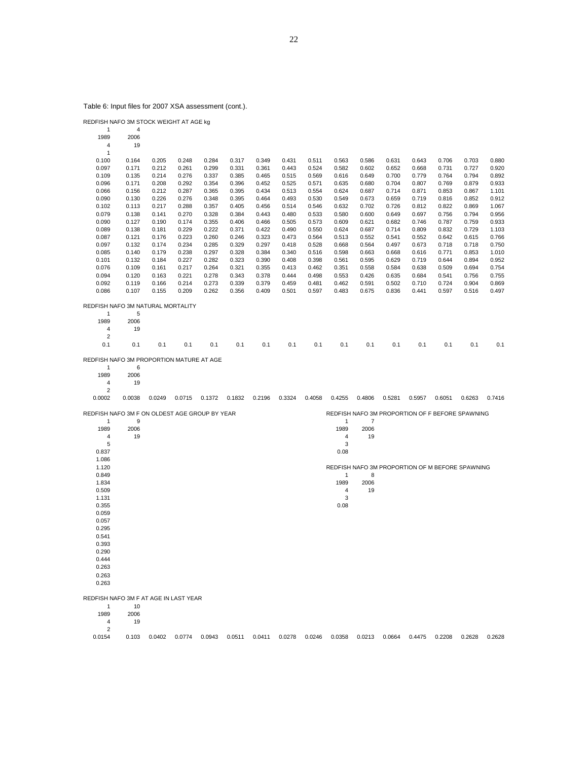Table 6: Input files for 2007 XSA assessment (cont.).

|      |      | REDFISH NAFO 3M STOCK WEIGHT AT AGE ka |
|------|------|----------------------------------------|
|      |      |                                        |
| 1989 | 2006 |                                        |

| 4     | 19    |       |       |       |       |       |       |       |       |       |       |       |       |       |       |
|-------|-------|-------|-------|-------|-------|-------|-------|-------|-------|-------|-------|-------|-------|-------|-------|
|       |       |       |       |       |       |       |       |       |       |       |       |       |       |       |       |
| 0.100 | 0.164 | 0.205 | 0.248 | 0.284 | 0.317 | 0.349 | 0.431 | 0.511 | 0.563 | 0.586 | 0.631 | 0.643 | 0.706 | 0.703 | 0.880 |
| 0.097 | 0.171 | 0.212 | 0.261 | 0.299 | 0.331 | 0.361 | 0.443 | 0.524 | 0.582 | 0.602 | 0.652 | 0.668 | 0.731 | 0.727 | 0.920 |
| 0.109 | 0.135 | 0.214 | 0.276 | 0.337 | 0.385 | 0.465 | 0.515 | 0.569 | 0.616 | 0.649 | 0.700 | 0.779 | 0.764 | 0.794 | 0.892 |
| 0.096 | 0.171 | 0.208 | 0.292 | 0.354 | 0.396 | 0.452 | 0.525 | 0.571 | 0.635 | 0.680 | 0.704 | 0.807 | 0.769 | 0.879 | 0.933 |
| 0.066 | 0.156 | 0.212 | 0.287 | 0.365 | 0.395 | 0.434 | 0.513 | 0.554 | 0.624 | 0.687 | 0.714 | 0.871 | 0.853 | 0.867 | 1.101 |
| 0.090 | 0.130 | 0.226 | 0.276 | 0.348 | 0.395 | 0.464 | 0.493 | 0.530 | 0.549 | 0.673 | 0.659 | 0.719 | 0.816 | 0.852 | 0.912 |
| 0.102 | 0.113 | 0.217 | 0.288 | 0.357 | 0.405 | 0.456 | 0.514 | 0.546 | 0.632 | 0.702 | 0.726 | 0.812 | 0.822 | 0.869 | 1.067 |
| 0.079 | 0.138 | 0.141 | 0.270 | 0.328 | 0.384 | 0.443 | 0.480 | 0.533 | 0.580 | 0.600 | 0.649 | 0.697 | 0.756 | 0.794 | 0.956 |
| 0.090 | 0.127 | 0.190 | 0.174 | 0.355 | 0.406 | 0.466 | 0.505 | 0.573 | 0.609 | 0.621 | 0.682 | 0.746 | 0.787 | 0.759 | 0.933 |
| 0.089 | 0.138 | 0.181 | 0.229 | 0.222 | 0.371 | 0.422 | 0.490 | 0.550 | 0.624 | 0.687 | 0.714 | 0.809 | 0.832 | 0.729 | 1.103 |
| 0.087 | 0.121 | 0.176 | 0.223 | 0.260 | 0.246 | 0.323 | 0.473 | 0.564 | 0.513 | 0.552 | 0.541 | 0.552 | 0.642 | 0.615 | 0.766 |
| 0.097 | 0.132 | 0.174 | 0.234 | 0.285 | 0.329 | 0.297 | 0.418 | 0.528 | 0.668 | 0.564 | 0.497 | 0.673 | 0.718 | 0.718 | 0.750 |
| 0.085 | 0.140 | 0.179 | 0.238 | 0.297 | 0.328 | 0.384 | 0.340 | 0.516 | 0.598 | 0.663 | 0.668 | 0.616 | 0.771 | 0.853 | 1.010 |
| 0.101 | 0.132 | 0.184 | 0.227 | 0.282 | 0.323 | 0.390 | 0.408 | 0.398 | 0.561 | 0.595 | 0.629 | 0.719 | 0.644 | 0.894 | 0.952 |
| 0.076 | 0.109 | 0.161 | 0.217 | 0.264 | 0.321 | 0.355 | 0.413 | 0.462 | 0.351 | 0.558 | 0.584 | 0.638 | 0.509 | 0.694 | 0.754 |
| 0.094 | 0.120 | 0.163 | 0.221 | 0.278 | 0.343 | 0.378 | 0.444 | 0.498 | 0.553 | 0.426 | 0.635 | 0.684 | 0.541 | 0.756 | 0.755 |
| 0.092 | 0.119 | 0.166 | 0.214 | 0.273 | 0.339 | 0.379 | 0.459 | 0.481 | 0.462 | 0.591 | 0.502 | 0.710 | 0.724 | 0.904 | 0.869 |
| 0.086 | 0.107 | 0.155 | 0.209 | 0.262 | 0.356 | 0.409 | 0.501 | 0.597 | 0.483 | 0.675 | 0.836 | 0.441 | 0.597 | 0.516 | 0.497 |

REDFISH NAFO 3M NATURAL MORTALITY

| 1    | 5    |
|------|------|
| 1989 | 2006 |
| Δ    | 19   |

| $\overline{4}$ | 19 |  |  |  |  |  |  |  |
|----------------|----|--|--|--|--|--|--|--|
| 2              |    |  |  |  |  |  |  |  |
|                |    |  |  |  |  |  |  |  |
|                |    |  |  |  |  |  |  |  |

REDFISH NAFO 3M PROPORTION MATURE AT AGE

1 6<br>1989 2006 2006 19  $\begin{array}{c} 4 \\ 4 \\ 2 \end{array}$ 

0.0002 0.0038 0.0249 0.0715 0.1372 0.1832 0.2196 0.3324 0.4058 0.4255 0.4806 0.5281 0.5957 0.6051 0.6263 0.7416

REDFISH NAFO 3M PROPORTION OF F BEFORE SPAWNING

|           |                      | REDFISH NAFO 3M F ON OLDEST AGE GROUP BY YEAR |
|-----------|----------------------|-----------------------------------------------|
|           |                      |                                               |
| $\lambda$ | $\sim$ $\sim$ $\sim$ |                                               |

| $\mathbf{1}$   | 9    | $\overline{7}$<br>$\mathbf{1}$                  |
|----------------|------|-------------------------------------------------|
| 1989           | 2006 | 1989<br>2006                                    |
| $\overline{4}$ | 19   | 19<br>$\overline{4}$                            |
| 5              |      | 3                                               |
| 0.837          |      | 0.08                                            |
| 1.086          |      |                                                 |
| 1.120          |      | REDFISH NAFO 3M PROPORTION OF M BEFORE SPAWNING |
| 0.849          |      | 8<br>$\mathbf{1}$                               |
| 1.834          |      | 2006<br>1989                                    |
| 0.509          |      | 19<br>4                                         |
| 1.131          |      | 3                                               |
| 0.355          |      | 0.08                                            |
| 0.059          |      |                                                 |
| 0.057          |      |                                                 |
| 0.295          |      |                                                 |
| 0.541          |      |                                                 |
| 0.393          |      |                                                 |
| 0.290          |      |                                                 |
| 0.444          |      |                                                 |
| 0.263          |      |                                                 |
| 0.263          |      |                                                 |
| 0.263          |      |                                                 |
|                |      |                                                 |

REDFISH NAFO 3M F AT AGE IN LAST YEAR

1 10<br>1989 2006 2006

19  $\begin{array}{c} 4 \ 4 \ 2 \end{array}$ 

0.0154 0.103 0.0402 0.0774 0.0943 0.0511 0.0411 0.0278 0.0246 0.0358 0.0213 0.0664 0.4475 0.2208 0.2628 0.2628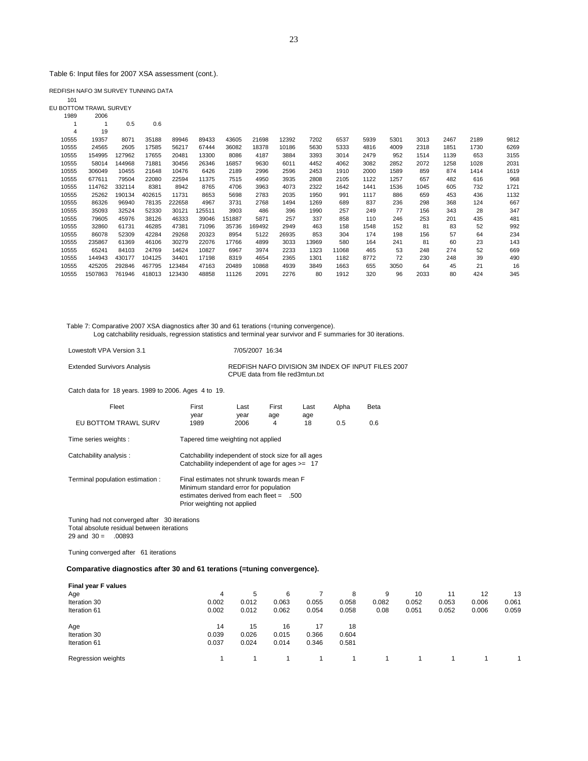Table 6: Input files for 2007 XSA assessment (cont.).

REDFISH NAFO 3M SURVEY TUNNING DATA

101 EU BOTTOM TRAWL SURVEY 1989 2006

| ເລດລ  | zuuo    |        |        |        |        |        |        |       |       |       |      |      |      |      |      |      |
|-------|---------|--------|--------|--------|--------|--------|--------|-------|-------|-------|------|------|------|------|------|------|
|       |         | 0.5    | 0.6    |        |        |        |        |       |       |       |      |      |      |      |      |      |
| 4     | 19      |        |        |        |        |        |        |       |       |       |      |      |      |      |      |      |
| 10555 | 19357   | 8071   | 35188  | 89946  | 89433  | 43605  | 21698  | 12392 | 7202  | 6537  | 5939 | 5301 | 3013 | 2467 | 2189 | 9812 |
| 10555 | 24565   | 2605   | 17585  | 56217  | 67444  | 36082  | 18378  | 10186 | 5630  | 5333  | 4816 | 4009 | 2318 | 1851 | 1730 | 6269 |
| 10555 | 154995  | 127962 | 17655  | 20481  | 13300  | 8086   | 4187   | 3884  | 3393  | 3014  | 2479 | 952  | 1514 | 1139 | 653  | 3155 |
| 10555 | 58014   | 144968 | 71881  | 30456  | 26346  | 16857  | 9630   | 6011  | 4452  | 4062  | 3082 | 2852 | 2072 | 1258 | 1028 | 2031 |
| 10555 | 306049  | 10455  | 21648  | 10476  | 6426   | 2189   | 2996   | 2596  | 2453  | 1910  | 2000 | 1589 | 859  | 874  | 1414 | 1619 |
| 10555 | 677611  | 79504  | 22080  | 22594  | 11375  | 7515   | 4950   | 3935  | 2808  | 2105  | 1122 | 1257 | 657  | 482  | 616  | 968  |
| 10555 | 114762  | 332114 | 8381   | 8942   | 8765   | 4706   | 3963   | 4073  | 2322  | 1642  | 1441 | 1536 | 1045 | 605  | 732  | 1721 |
| 10555 | 25262   | 190134 | 402615 | 11731  | 8653   | 5698   | 2783   | 2035  | 1950  | 991   | 1117 | 886  | 659  | 453  | 436  | 1132 |
| 10555 | 86326   | 96940  | 78135  | 222658 | 4967   | 3731   | 2768   | 1494  | 1269  | 689   | 837  | 236  | 298  | 368  | 124  | 667  |
| 10555 | 35093   | 32524  | 52330  | 30121  | 125511 | 3903   | 486    | 396   | 1990  | 257   | 249  | 77   | 156  | 343  | 28   | 347  |
| 10555 | 79605   | 45976  | 38126  | 46333  | 39046  | 151887 | 5871   | 257   | 337   | 858   | 110  | 246  | 253  | 201  | 435  | 481  |
| 10555 | 32860   | 61731  | 46285  | 47381  | 71096  | 35736  | 169492 | 2949  | 463   | 158   | 1548 | 152  | 81   | 83   | 52   | 992  |
| 10555 | 86078   | 52309  | 42284  | 29268  | 20323  | 8954   | 5122   | 26935 | 853   | 304   | 174  | 198  | 156  | 57   | 64   | 234  |
| 10555 | 235867  | 61369  | 46106  | 30279  | 22076  | 17766  | 4899   | 3033  | 13969 | 580   | 164  | 241  | 81   | 60   | 23   | 143  |
| 10555 | 65241   | 84103  | 24769  | 14624  | 10827  | 6967   | 3974   | 2233  | 1323  | 11068 | 465  | 53   | 248  | 274  | 52   | 669  |
| 10555 | 144943  | 430177 | 104125 | 34401  | 17198  | 8319   | 4654   | 2365  | 1301  | 1182  | 8772 | 72   | 230  | 248  | 39   | 490  |
| 10555 | 425205  | 292846 | 467795 | 123484 | 47163  | 20489  | 10868  | 4939  | 3849  | 1663  | 655  | 3050 | 64   | 45   | 21   | 16   |
| 10555 | 1507863 | 761946 | 418013 | 123430 | 48858  | 11126  | 2091   | 2276  | 80    | 1912  | 320  | 96   | 2033 | 80   | 424  | 345  |

Table 7: Comparative 2007 XSA diagnostics after 30 and 61 terations (=tuning convergence). Log catchability residuals, regression statistics and terminal year survivor and F summaries for 30 iterations.

Lowestoft VPA Version 3.1 7/05/2007 16:34

Extended Survivors Analysis REDFISH NAFO DIVISION 3M INDEX OF INPUT FILES 2007 CPUE data from file red3mtun.txt

Catch data for 18 years. 1989 to 2006. Ages 4 to 19.

| Fleet                            | First                                                                                                                                                          | Last                                                                                                    | First | Last | Alpha | Beta |  |  |  |  |  |
|----------------------------------|----------------------------------------------------------------------------------------------------------------------------------------------------------------|---------------------------------------------------------------------------------------------------------|-------|------|-------|------|--|--|--|--|--|
|                                  | year                                                                                                                                                           | year                                                                                                    | age   | age  |       |      |  |  |  |  |  |
| EU BOTTOM TRAWL SURV             | 1989                                                                                                                                                           | 2006                                                                                                    | 4     | 18   | 0.5   | 0.6  |  |  |  |  |  |
| Time series weights :            |                                                                                                                                                                | Tapered time weighting not applied                                                                      |       |      |       |      |  |  |  |  |  |
| Catchability analysis:           |                                                                                                                                                                | Catchability independent of stock size for all ages<br>Catchability independent of age for ages $>=$ 17 |       |      |       |      |  |  |  |  |  |
| Terminal population estimation : | Final estimates not shrunk towards mean F<br>Minimum standard error for population<br>estimates derived from each fleet $= 500$<br>Prior weighting not applied |                                                                                                         |       |      |       |      |  |  |  |  |  |

 Tuning had not converged after 30 iterations Total absolute residual between iterations  $29$  and  $30 = 0.00893$ 

Tuning converged after 61 iterations

**Comparative diagnostics after 30 and 61 terations (=tuning convergence).**

| Final year F values |       |       |       |       |       |       |       |       |       |       |
|---------------------|-------|-------|-------|-------|-------|-------|-------|-------|-------|-------|
| Age                 | 4     | 5     | 6     |       | 8     | 9     | 10    | 11    | 12    | 13    |
| Iteration 30        | 0.002 | 0.012 | 0.063 | 0.055 | 0.058 | 0.082 | 0.052 | 0.053 | 0.006 | 0.061 |
| Iteration 61        | 0.002 | 0.012 | 0.062 | 0.054 | 0.058 | 0.08  | 0.051 | 0.052 | 0.006 | 0.059 |
| Age                 | 14    | 15    | 16    | 17    | 18    |       |       |       |       |       |
| Iteration 30        | 0.039 | 0.026 | 0.015 | 0.366 | 0.604 |       |       |       |       |       |
| Iteration 61        | 0.037 | 0.024 | 0.014 | 0.346 | 0.581 |       |       |       |       |       |
| Regression weights  |       |       |       |       |       |       |       |       |       |       |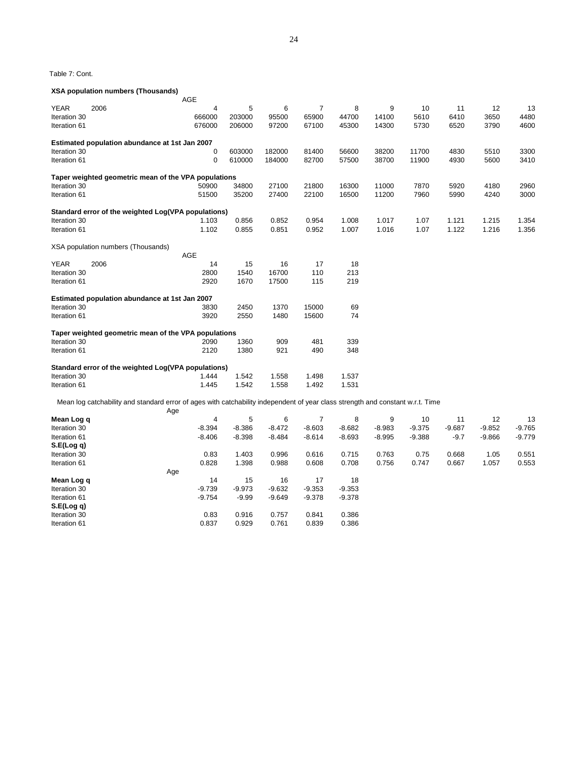Table 7: Cont.

#### **XSA population numbers (Thousands)**

|              |                                                                                                                                | AGE         |          |          |                |          |          |          |          |          |          |
|--------------|--------------------------------------------------------------------------------------------------------------------------------|-------------|----------|----------|----------------|----------|----------|----------|----------|----------|----------|
| <b>YEAR</b>  | 2006                                                                                                                           | 4           | 5        | 6        | $\overline{7}$ | 8        | 9        | 10       | 11       | 12       | 13       |
| Iteration 30 |                                                                                                                                | 666000      | 203000   | 95500    | 65900          | 44700    | 14100    | 5610     | 6410     | 3650     | 4480     |
| Iteration 61 |                                                                                                                                | 676000      | 206000   | 97200    | 67100          | 45300    | 14300    | 5730     | 6520     | 3790     | 4600     |
|              | Estimated population abundance at 1st Jan 2007                                                                                 |             |          |          |                |          |          |          |          |          |          |
| Iteration 30 |                                                                                                                                | $\mathbf 0$ | 603000   | 182000   | 81400          | 56600    | 38200    | 11700    | 4830     | 5510     | 3300     |
| Iteration 61 |                                                                                                                                | $\mathbf 0$ | 610000   | 184000   | 82700          | 57500    | 38700    | 11900    | 4930     | 5600     | 3410     |
|              | Taper weighted geometric mean of the VPA populations                                                                           |             |          |          |                |          |          |          |          |          |          |
| Iteration 30 |                                                                                                                                | 50900       | 34800    | 27100    | 21800          | 16300    | 11000    | 7870     | 5920     | 4180     | 2960     |
| Iteration 61 |                                                                                                                                | 51500       | 35200    | 27400    | 22100          | 16500    | 11200    | 7960     | 5990     | 4240     | 3000     |
|              | Standard error of the weighted Log(VPA populations)                                                                            |             |          |          |                |          |          |          |          |          |          |
| Iteration 30 |                                                                                                                                | 1.103       | 0.856    | 0.852    | 0.954          | 1.008    | 1.017    | 1.07     | 1.121    | 1.215    | 1.354    |
| Iteration 61 |                                                                                                                                | 1.102       | 0.855    | 0.851    | 0.952          | 1.007    | 1.016    | 1.07     | 1.122    | 1.216    | 1.356    |
|              |                                                                                                                                |             |          |          |                |          |          |          |          |          |          |
|              | XSA population numbers (Thousands)                                                                                             |             |          |          |                |          |          |          |          |          |          |
| YEAR         | 2006                                                                                                                           | AGE<br>14   | 15       | 16       | 17             | 18       |          |          |          |          |          |
| Iteration 30 |                                                                                                                                | 2800        | 1540     | 16700    | 110            | 213      |          |          |          |          |          |
| Iteration 61 |                                                                                                                                | 2920        | 1670     | 17500    | 115            | 219      |          |          |          |          |          |
|              |                                                                                                                                |             |          |          |                |          |          |          |          |          |          |
|              | Estimated population abundance at 1st Jan 2007                                                                                 |             |          |          |                |          |          |          |          |          |          |
| Iteration 30 |                                                                                                                                | 3830        | 2450     | 1370     | 15000          | 69       |          |          |          |          |          |
| Iteration 61 |                                                                                                                                | 3920        | 2550     | 1480     | 15600          | 74       |          |          |          |          |          |
|              | Taper weighted geometric mean of the VPA populations                                                                           |             |          |          |                |          |          |          |          |          |          |
| Iteration 30 |                                                                                                                                | 2090        | 1360     | 909      | 481            | 339      |          |          |          |          |          |
| Iteration 61 |                                                                                                                                | 2120        | 1380     | 921      | 490            | 348      |          |          |          |          |          |
|              | Standard error of the weighted Log(VPA populations)                                                                            |             |          |          |                |          |          |          |          |          |          |
| Iteration 30 |                                                                                                                                | 1.444       | 1.542    | 1.558    | 1.498          | 1.537    |          |          |          |          |          |
| Iteration 61 |                                                                                                                                | 1.445       | 1.542    | 1.558    | 1.492          | 1.531    |          |          |          |          |          |
|              | Mean log catchability and standard error of ages with catchability independent of year class strength and constant w.r.t. Time |             |          |          |                |          |          |          |          |          |          |
|              | Age                                                                                                                            |             |          |          |                |          |          |          |          |          |          |
| Mean Log q   |                                                                                                                                | 4           | 5        | 6        | $\overline{7}$ | 8        | 9        | 10       | 11       | 12       | 13       |
| Iteration 30 |                                                                                                                                | $-8.394$    | $-8.386$ | $-8.472$ | $-8.603$       | $-8.682$ | $-8.983$ | $-9.375$ | $-9.687$ | $-9.852$ | $-9.765$ |
| Iteration 61 |                                                                                                                                | $-8.406$    | $-8.398$ | $-8.484$ | $-8.614$       | $-8.693$ | $-8.995$ | $-9.388$ | $-9.7$   | $-9.866$ | $-9.779$ |
| S.E(Log q)   |                                                                                                                                |             |          |          |                |          |          |          |          |          |          |
| Iteration 30 |                                                                                                                                | 0.83        | 1.403    | 0.996    | 0.616          | 0.715    | 0.763    | 0.75     | 0.668    | 1.05     | 0.551    |
| Iteration 61 |                                                                                                                                | 0.828       | 1.398    | 0.988    | 0.608          | 0.708    | 0.756    | 0.747    | 0.667    | 1.057    | 0.553    |
|              | Age                                                                                                                            |             |          |          |                |          |          |          |          |          |          |
| Mean Log q   |                                                                                                                                | 14          | 15       | 16       | 17             | 18       |          |          |          |          |          |
| Iteration 30 |                                                                                                                                | $-9.739$    | $-9.973$ | $-9.632$ | $-9.353$       | $-9.353$ |          |          |          |          |          |
| Iteration 61 |                                                                                                                                | $-9.754$    | $-9.99$  | $-9.649$ | $-9.378$       | $-9.378$ |          |          |          |          |          |
| S.E(Log q)   |                                                                                                                                |             |          |          |                |          |          |          |          |          |          |
| Iteration 30 |                                                                                                                                | 0.83        | 0.916    | 0.757    | 0.841          | 0.386    |          |          |          |          |          |
| Iteration 61 |                                                                                                                                | 0.837       | 0.929    | 0.761    | 0.839          | 0.386    |          |          |          |          |          |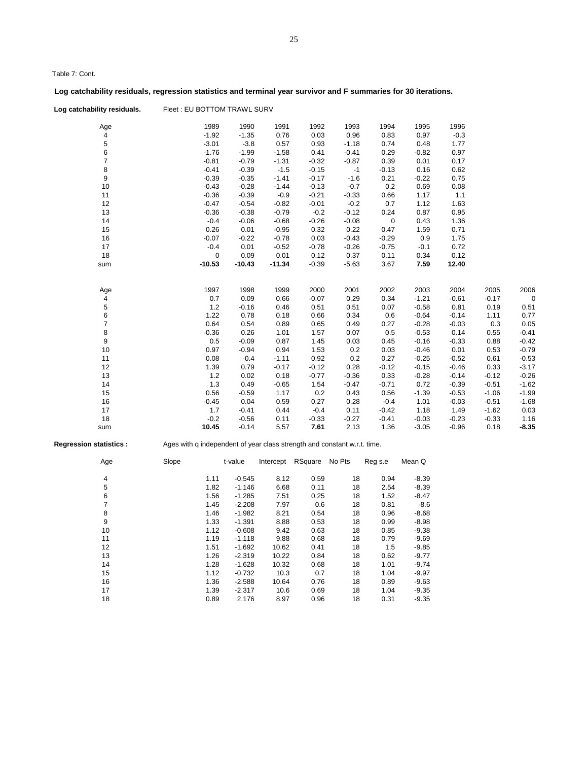Table 7: Cont.

# **Log catchability residuals, regression statistics and terminal year survivor and F summaries for 30 iterations.**

Log catchability residuals. Fleet : EU BOTTOM TRAWL SURV

| Age            | 1989        | 1990     | 1991     | 1992    | 1993    | 1994        | 1995    | 1996    |         |             |
|----------------|-------------|----------|----------|---------|---------|-------------|---------|---------|---------|-------------|
| 4              | $-1.92$     | $-1.35$  | 0.76     | 0.03    | 0.96    | 0.83        | 0.97    | $-0.3$  |         |             |
| 5              | $-3.01$     | $-3.8$   | 0.57     | 0.93    | $-1.18$ | 0.74        | 0.48    | 1.77    |         |             |
| 6              | $-1.76$     | $-1.99$  | $-1.58$  | 0.41    | $-0.41$ | 0.29        | $-0.82$ | 0.97    |         |             |
| $\overline{7}$ | $-0.81$     | $-0.79$  | $-1.31$  | $-0.32$ | $-0.87$ | 0.39        | 0.01    | 0.17    |         |             |
| 8              | $-0.41$     | $-0.39$  | $-1.5$   | $-0.15$ | $-1$    | $-0.13$     | 0.16    | 0.62    |         |             |
| 9              | $-0.39$     | $-0.35$  | $-1.41$  | $-0.17$ | $-1.6$  | 0.21        | $-0.22$ | 0.75    |         |             |
| 10             | $-0.43$     | $-0.28$  | $-1.44$  | $-0.13$ | $-0.7$  | 0.2         | 0.69    | 0.08    |         |             |
| 11             | $-0.36$     | $-0.39$  | $-0.9$   | $-0.21$ | $-0.33$ | 0.66        | 1.17    | 1.1     |         |             |
| 12             | $-0.47$     | $-0.54$  | $-0.82$  | $-0.01$ | $-0.2$  | 0.7         | 1.12    | 1.63    |         |             |
| 13             | $-0.36$     | $-0.38$  | $-0.79$  | $-0.2$  | $-0.12$ | 0.24        | 0.87    | 0.95    |         |             |
| 14             | $-0.4$      | $-0.06$  | $-0.68$  | $-0.26$ | $-0.08$ | $\mathbf 0$ | 0.43    | 1.36    |         |             |
| 15             | 0.26        | 0.01     | $-0.95$  | 0.32    | 0.22    | 0.47        | 1.59    | 0.71    |         |             |
| 16             | $-0.07$     | $-0.22$  | $-0.78$  | 0.03    | $-0.43$ | $-0.29$     | 0.9     | 1.75    |         |             |
| 17             | $-0.4$      | 0.01     | $-0.52$  | $-0.78$ | $-0.26$ | $-0.75$     | $-0.1$  | 0.72    |         |             |
| 18             | $\mathbf 0$ | 0.09     | 0.01     | 0.12    | 0.37    | 0.11        | 0.34    | 0.12    |         |             |
| sum            | $-10.53$    | $-10.43$ | $-11.34$ | $-0.39$ | $-5.63$ | 3.67        | 7.59    | 12.40   |         |             |
|                |             |          |          |         |         |             |         |         |         |             |
| Age            | 1997        | 1998     | 1999     | 2000    | 2001    | 2002        | 2003    | 2004    | 2005    | 2006        |
| 4              | 0.7         | 0.09     | 0.66     | $-0.07$ | 0.29    | 0.34        | $-1.21$ | $-0.61$ | $-0.17$ | $\mathbf 0$ |
| 5              | 1.2         | $-0.16$  | 0.46     | 0.51    | 0.51    | 0.07        | $-0.58$ | 0.81    | 0.19    | 0.51        |
| 6              | 1.22        | 0.78     | 0.18     | 0.66    | 0.34    | 0.6         | $-0.64$ | $-0.14$ | 1.11    | 0.77        |
| $\overline{7}$ | 0.64        | 0.54     | 0.89     | 0.65    | 0.49    | 0.27        | $-0.28$ | $-0.03$ | 0.3     | 0.05        |
| 8              | $-0.36$     | 0.26     | 1.01     | 1.57    | 0.07    | 0.5         | $-0.53$ | 0.14    | 0.55    | $-0.41$     |
| 9              | 0.5         | $-0.09$  | 0.87     | 1.45    | 0.03    | 0.45        | $-0.16$ | $-0.33$ | 0.88    | $-0.42$     |
| 10             | 0.97        | $-0.94$  | 0.94     | 1.53    | 0.2     | 0.03        | $-0.46$ | 0.01    | 0.53    | $-0.79$     |
| 11             | 0.08        | $-0.4$   | $-1.11$  | 0.92    | 0.2     | 0.27        | $-0.25$ | $-0.52$ | 0.61    | $-0.53$     |
| 12             | 1.39        | 0.79     | $-0.17$  | $-0.12$ | 0.28    | $-0.12$     | $-0.15$ | $-0.46$ | 0.33    | $-3.17$     |
| 13             | 1.2         | 0.02     | 0.18     | $-0.77$ | $-0.36$ | 0.33        | $-0.28$ | $-0.14$ | $-0.12$ | $-0.26$     |
| 14             | 1.3         | 0.49     | $-0.65$  | 1.54    | $-0.47$ | $-0.71$     | 0.72    | $-0.39$ | $-0.51$ | $-1.62$     |
| 15             | 0.56        | $-0.59$  | 1.17     | 0.2     | 0.43    | 0.56        | $-1.39$ | $-0.53$ | $-1.06$ | $-1.99$     |
| 16             | $-0.45$     | 0.04     | 0.59     | 0.27    | 0.28    | $-0.4$      | 1.01    | $-0.03$ | $-0.51$ | $-1.68$     |
| 17             | 1.7         | $-0.41$  | 0.44     | $-0.4$  | 0.11    | $-0.42$     | 1.18    | 1.49    | $-1.62$ | 0.03        |
| 18             | $-0.2$      | $-0.56$  | 0.11     | $-0.33$ | $-0.27$ | $-0.41$     | $-0.03$ | $-0.23$ | $-0.33$ | 1.16        |
| sum            | 10.45       | $-0.14$  | 5.57     | 7.61    | 2.13    | 1.36        | $-3.05$ | $-0.96$ | 0.18    | $-8.35$     |
|                |             |          |          |         |         |             |         |         |         |             |

**Regression statistics :** Ages with q independent of year class strength and constant w.r.t. time.

| Age | Slope |      | t-value  | Intercept | RSquare | No Pts | Reg s.e | Mean Q  |
|-----|-------|------|----------|-----------|---------|--------|---------|---------|
| 4   |       | 1.11 | $-0.545$ | 8.12      | 0.59    | 18     | 0.94    | $-8.39$ |
| 5   |       | 1.82 | $-1.146$ | 6.68      | 0.11    | 18     | 2.54    | $-8.39$ |
| 6   |       | 1.56 | $-1.285$ | 7.51      | 0.25    | 18     | 1.52    | $-8.47$ |
| 7   |       | 1.45 | $-2.208$ | 7.97      | 0.6     | 18     | 0.81    | $-8.6$  |
| 8   |       | 1.46 | $-1.982$ | 8.21      | 0.54    | 18     | 0.96    | $-8.68$ |
| 9   |       | 1.33 | $-1.391$ | 8.88      | 0.53    | 18     | 0.99    | $-8.98$ |
| 10  |       | 1.12 | $-0.608$ | 9.42      | 0.63    | 18     | 0.85    | $-9.38$ |
| 11  |       | 1.19 | $-1.118$ | 9.88      | 0.68    | 18     | 0.79    | $-9.69$ |
| 12  |       | 1.51 | $-1.692$ | 10.62     | 0.41    | 18     | 1.5     | $-9.85$ |
| 13  |       | 1.26 | $-2.319$ | 10.22     | 0.84    | 18     | 0.62    | $-9.77$ |
| 14  |       | 1.28 | $-1.628$ | 10.32     | 0.68    | 18     | 1.01    | $-9.74$ |
| 15  |       | 1.12 | $-0.732$ | 10.3      | 0.7     | 18     | 1.04    | $-9.97$ |
| 16  |       | 1.36 | $-2.588$ | 10.64     | 0.76    | 18     | 0.89    | $-9.63$ |
| 17  |       | 1.39 | $-2.317$ | 10.6      | 0.69    | 18     | 1.04    | $-9.35$ |
| 18  |       | 0.89 | 2.176    | 8.97      | 0.96    | 18     | 0.31    | $-9.35$ |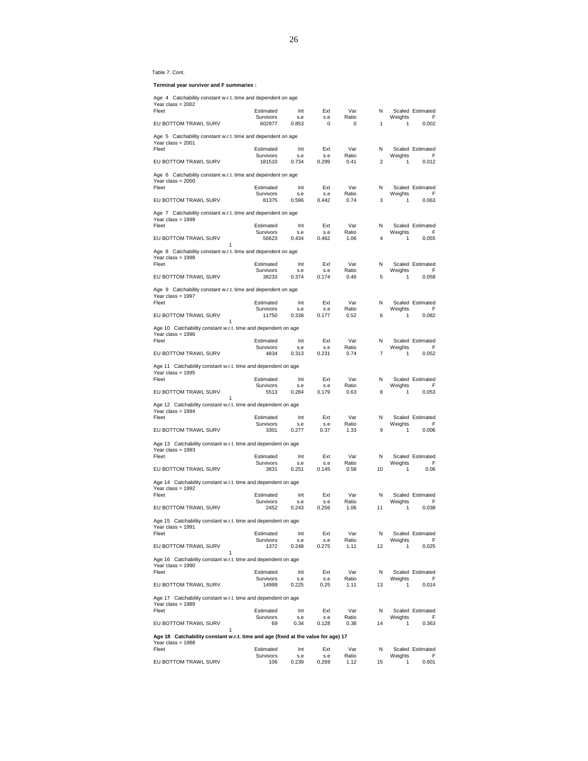#### Table 7: Cont.

 **Terminal year survivor and F summaries :**

| Age 4 Catchability constant w.r.t. time and dependent on age                             |                        |              |                    |                   |                |              |                       |
|------------------------------------------------------------------------------------------|------------------------|--------------|--------------------|-------------------|----------------|--------------|-----------------------|
| Year class = $2002$<br>Fleet                                                             | Estimated              | Int          | Ext                | Var               | N              |              | Scaled Estimated      |
| EU BOTTOM TRAWL SURV                                                                     | Survivors<br>602977    | s.e<br>0.853 | s.e<br>$\mathbf 0$ | Ratio<br>$\Omega$ | 1              | Weights<br>1 | F<br>0.002            |
| Age 5 Catchability constant w.r.t. time and dependent on age                             |                        |              |                    |                   |                |              |                       |
| Year class = 2001<br>Fleet                                                               | Estimated              | Int          | Ext                | Var               | Ν              |              | Scaled Estimated      |
|                                                                                          | Survivors              | s.e          | s.e                | Ratio             |                | Weights      | F                     |
| EU BOTTOM TRAWL SURV                                                                     | 181510                 | 0.734        | 0.299              | 0.41              | $\overline{2}$ | 1            | 0.012                 |
| Age 6 Catchability constant w.r.t. time and dependent on age<br>Year class = $2000$      |                        |              |                    |                   |                |              |                       |
| Fleet                                                                                    | Estimated<br>Survivors | Int<br>s.e   | Ext<br>s.e         | Var<br>Ratio      | N              | Weights      | Scaled Estimated<br>F |
| EU BOTTOM TRAWL SURV                                                                     | 81375                  | 0.596        | 0.442              | 0.74              | 3              | 1            | 0.063                 |
| Age 7 Catchability constant w.r.t. time and dependent on age<br>Year class = $1999$      |                        |              |                    |                   |                |              |                       |
| Fleet                                                                                    | Estimated<br>Survivors | Int<br>s.e   | Ext<br>s.e         | Var<br>Ratio      | N              | Weights      | Scaled Estimated<br>F |
| EU BOTTOM TRAWL SURV                                                                     | 56623                  | 0.434        | 0.462              | 1.06              | $\overline{4}$ | 1            | 0.055                 |
| 1<br>Age 8 Catchability constant w.r.t. time and dependent on age<br>Year class = $1998$ |                        |              |                    |                   |                |              |                       |
| Fleet                                                                                    | Estimated              | Int          | Ext                | Var               | N              |              | Scaled Estimated      |
|                                                                                          | Survivors              | s.e          | s.e                | Ratio             |                | Weights      | F                     |
| EU BOTTOM TRAWL SURV                                                                     | 38233                  | 0.374        | 0.174              | 0.46              | 5              | 1            | 0.058                 |
| Age 9 Catchability constant w.r.t. time and dependent on age<br>Year class = $1997$      |                        |              |                    |                   |                |              |                       |
| Fleet                                                                                    | Estimated<br>Survivors | Int<br>s.e   | Ext<br>s.e         | Var<br>Ratio      | N              | Weights      | Scaled Estimated<br>F |
| EU BOTTOM TRAWL SURV                                                                     | 11750                  | 0.338        | 0.177              | 0.52              | 6              | 1            | 0.082                 |
| 1<br>Age 10 Catchability constant w.r.t. time and dependent on age                       |                        |              |                    |                   |                |              |                       |
| Year class = $1996$<br>Fleet                                                             | Estimated              | Int          | Ext                | Var               | N              |              | Scaled Estimated      |
|                                                                                          | Survivors              | s.e          | s.e                | Ratio             |                | Weights      | F                     |
| EU BOTTOM TRAWL SURV                                                                     | 4834                   | 0.313        | 0.231              | 0.74              | $\overline{7}$ | 1            | 0.052                 |
| Age 11 Catchability constant w.r.t. time and dependent on age<br>Year class = $1995$     |                        |              |                    |                   |                |              |                       |
| Fleet                                                                                    | Estimated<br>Survivors | Int<br>s.e   | Ext<br>s.e         | Var<br>Ratio      | N              | Weights      | Scaled Estimated<br>F |
| EU BOTTOM TRAWL SURV<br>1                                                                | 5513                   | 0.284        | 0.179              | 0.63              | 8              | 1            | 0.053                 |
| Age 12 Catchability constant w.r.t. time and dependent on age<br>Year class = $1994$     |                        |              |                    |                   |                |              |                       |
| Fleet                                                                                    | Estimated              | Int          | Ext                | Var               | N              |              | Scaled Estimated      |
| EU BOTTOM TRAWL SURV                                                                     | Survivors<br>3301      | s.e<br>0.277 | s.e<br>0.37        | Ratio<br>1.33     | 9              | Weights<br>1 | F<br>0.006            |
| Age 13 Catchability constant w.r.t. time and dependent on age                            |                        |              |                    |                   |                |              |                       |
| Year class = $1993$                                                                      |                        |              |                    |                   |                |              |                       |
| Fleet                                                                                    | Estimated              | Int          | Ext                | Var               | N              |              | Scaled Estimated      |
| EU BOTTOM TRAWL SURV                                                                     | Survivors<br>3831      | s.e<br>0.251 | s.e<br>0.145       | Ratio<br>0.58     | 10             | Weights<br>1 | F<br>0.06             |
|                                                                                          |                        |              |                    |                   |                |              |                       |
| Age 14 Catchability constant w.r.t. time and dependent on age<br>Year class = $1992$     |                        |              |                    |                   |                |              |                       |
| Fleet                                                                                    | Estimated              | Int          | Ext                | Var               | Ν              |              | Scaled Estimated      |
| EU BOTTOM TRAWL SURV                                                                     | Survivors<br>2452      | s.e<br>0.243 | s.e<br>0.256       | Ratio<br>1.06     | 11             | Weights<br>1 | F<br>0.038            |
| Age 15 Catchability constant w.r.t. time and dependent on age                            |                        |              |                    |                   |                |              |                       |
| Year class = 1991                                                                        |                        |              |                    |                   |                |              |                       |
| Fleet                                                                                    | Estimated              | Int          | Ext                | Var               | Ν              |              | Scaled Estimated      |
| EU BOTTOM TRAWL SURV                                                                     | Survivors<br>1372      | s.e<br>0.248 | s.e<br>0.275       | Ratio<br>1.11     | 12             | Weights<br>1 | F<br>0.025            |
| 1<br>Age 16 Catchability constant w.r.t. time and dependent on age                       |                        |              |                    |                   |                |              |                       |
| Year class = $1990$<br>Fleet                                                             | Estimated              | Int          | Ext                | Var               | N              |              | Scaled Estimated      |
|                                                                                          | Survivors              | s.e          | s.e                | Ratio             |                | Weights      | F                     |
| EU BOTTOM TRAWL SURV                                                                     | 14999                  | 0.225        | 0.25               | 1.11              | 13             | 1            | 0.014                 |
| Age 17 Catchability constant w.r.t. time and dependent on age<br>Year class = $1989$     |                        |              |                    |                   |                |              |                       |
| Fleet                                                                                    | Estimated              | Int          | Ext                | Var               | N              |              | Scaled Estimated      |
| EU BOTTOM TRAWL SURV                                                                     | Survivors<br>69        | s.e<br>0.34  | s.e<br>0.128       | Ratio<br>0.38     | 14             | Weights<br>1 | F<br>0.363            |
| 1<br>Age 18 Catchability constant w.r.t. time and age (fixed at the value for age) 17    |                        |              |                    |                   |                |              |                       |
| Year class = 1988<br>Fleet                                                               | Estimated              | Int          | Ext                | Var               | Ν              |              | Scaled Estimated      |
|                                                                                          | Survivors              | s.e          | s.e                | Ratio             |                | Weights      | F                     |
| EU BOTTOM TRAWL SURV                                                                     | 106                    | 0.239        | 0.269              | 1.12              | 15             | 1            | 0.601                 |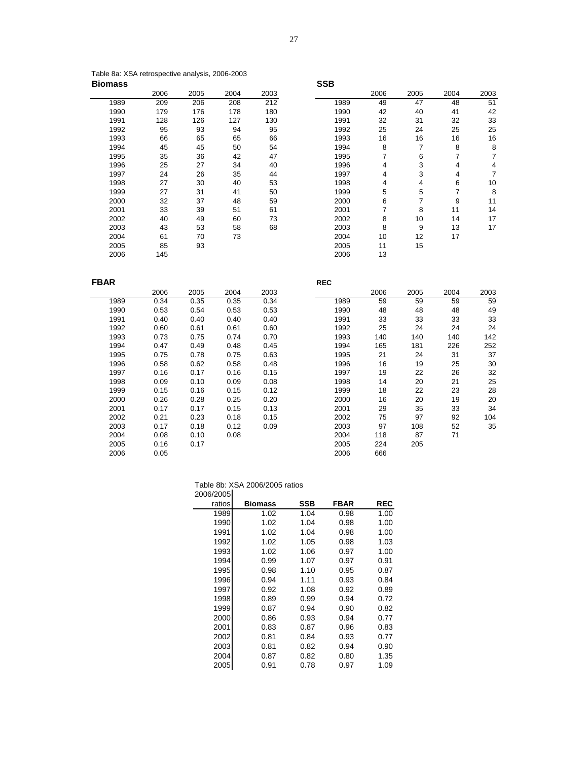| Table 8a: XSA retrospective analysis, 2006-2003 |            |
|-------------------------------------------------|------------|
| <b>Biomass</b>                                  | <b>SSB</b> |

|      | 2006 | 2005 | 2004 | 2003 |      | 2006 | 2005 | 2004 |
|------|------|------|------|------|------|------|------|------|
| 1989 | 209  | 206  | 208  | 212  | 1989 | 49   | 47   | 48   |
| 1990 | 179  | 176  | 178  | 180  | 1990 | 42   | 40   | 41   |
| 1991 | 128  | 126  | 127  | 130  | 1991 | 32   | 31   | 32   |
| 1992 | 95   | 93   | 94   | 95   | 1992 | 25   | 24   | 25   |
| 1993 | 66   | 65   | 65   | 66   | 1993 | 16   | 16   | 16   |
| 1994 | 45   | 45   | 50   | 54   | 1994 | 8    | 7    | 8    |
| 1995 | 35   | 36   | 42   | 47   | 1995 | 7    | 6    | 7    |
| 1996 | 25   | 27   | 34   | 40   | 1996 | 4    | 3    | 4    |
| 1997 | 24   | 26   | 35   | 44   | 1997 | 4    | 3    | 4    |
| 1998 | 27   | 30   | 40   | 53   | 1998 | 4    | 4    | 6    |
| 1999 | 27   | 31   | 41   | 50   | 1999 | 5    | 5    |      |
| 2000 | 32   | 37   | 48   | 59   | 2000 | 6    | 7    | 9    |
| 2001 | 33   | 39   | 51   | 61   | 2001 | 7    | 8    | 11   |
| 2002 | 40   | 49   | 60   | 73   | 2002 | 8    | 10   | 14   |
| 2003 | 43   | 53   | 58   | 68   | 2003 | 8    | 9    | 13   |
| 2004 | 61   | 70   | 73   |      | 2004 | 10   | 12   | 17   |
| 2005 | 85   | 93   |      |      | 2005 | 11   | 15   |      |
| 2006 | 145  |      |      |      | 2006 | 13   |      |      |

|      | 2006 | 2005 | 2004 | 2003 |      | 2006 | 2005 | 2004 | 2003 |
|------|------|------|------|------|------|------|------|------|------|
| 1989 | 209  | 206  | 208  | 212  | 1989 | 49   | 47   | 48   | 51   |
| 1990 | 179  | 176  | 178  | 180  | 1990 | 42   | 40   | 41   | 42   |
| 1991 | 128  | 126  | 127  | 130  | 1991 | 32   | 31   | 32   | 33   |
| 1992 | 95   | 93   | 94   | 95   | 1992 | 25   | 24   | 25   | 25   |
| 1993 | 66   | 65   | 65   | 66   | 1993 | 16   | 16   | 16   | 16   |
| 1994 | 45   | 45   | 50   | 54   | 1994 | 8    | 7    | 8    | 8    |
| 1995 | 35   | 36   | 42   | 47   | 1995 | 7    | 6    | 7    | 7    |
| 1996 | 25   | 27   | 34   | 40   | 1996 | 4    | 3    | 4    | 4    |
| 1997 | 24   | 26   | 35   | 44   | 1997 | 4    | 3    | 4    | 7    |
| 1998 | 27   | 30   | 40   | 53   | 1998 | 4    | 4    | 6    | 10   |
| 1999 | 27   | 31   | 41   | 50   | 1999 | 5    | 5    | 7    | 8    |
| 2000 | 32   | 37   | 48   | 59   | 2000 | 6    | 7    | 9    | 11   |
| 2001 | 33   | 39   | 51   | 61   | 2001 | 7    | 8    | 11   | 14   |
| 2002 | 40   | 49   | 60   | 73   | 2002 | 8    | 10   | 14   | 17   |
| 2003 | 43   | 53   | 58   | 68   | 2003 | 8    | 9    | 13   | 17   |
| 2004 | 61   | 70   | 73   |      | 2004 | 10   | 12   | 17   |      |
| 2005 | 85   | 93   |      |      | 2005 | 11   | 15   |      |      |
|      |      |      |      |      |      |      |      |      |      |

| <b>FBAR</b> |      |      |      |      | <b>REC</b> |      |      |      |      |
|-------------|------|------|------|------|------------|------|------|------|------|
|             | 2006 | 2005 | 2004 | 2003 |            | 2006 | 2005 | 2004 | 2003 |
| 1989        | 0.34 | 0.35 | 0.35 | 0.34 | 1989       | 59   | 59   | 59   | 59   |
| 1990        | 0.53 | 0.54 | 0.53 | 0.53 | 1990       | 48   | 48   | 48   | 49   |
| 1991        | 0.40 | 0.40 | 0.40 | 0.40 | 1991       | 33   | 33   | 33   | 33   |
| 1992        | 0.60 | 0.61 | 0.61 | 0.60 | 1992       | 25   | 24   | 24   | 24   |
| 1993        | 0.73 | 0.75 | 0.74 | 0.70 | 1993       | 140  | 140  | 140  | 142  |
| 1994        | 0.47 | 0.49 | 0.48 | 0.45 | 1994       | 165  | 181  | 226  | 252  |
| 1995        | 0.75 | 0.78 | 0.75 | 0.63 | 1995       | 21   | 24   | 31   | 37   |
| 1996        | 0.58 | 0.62 | 0.58 | 0.48 | 1996       | 16   | 19   | 25   | 30   |
| 1997        | 0.16 | 0.17 | 0.16 | 0.15 | 1997       | 19   | 22   | 26   | 32   |
| 1998        | 0.09 | 0.10 | 0.09 | 0.08 | 1998       | 14   | 20   | 21   | 25   |
| 1999        | 0.15 | 0.16 | 0.15 | 0.12 | 1999       | 18   | 22   | 23   | 28   |
| 2000        | 0.26 | 0.28 | 0.25 | 0.20 | 2000       | 16   | 20   | 19   | 20   |
| 2001        | 0.17 | 0.17 | 0.15 | 0.13 | 2001       | 29   | 35   | 33   | 34   |
| 2002        | 0.21 | 0.23 | 0.18 | 0.15 | 2002       | 75   | 97   | 92   | 104  |
| 2003        | 0.17 | 0.18 | 0.12 | 0.09 | 2003       | 97   | 108  | 52   | 35   |
| 2004        | 0.08 | 0.10 | 0.08 |      | 2004       | 118  | 87   | 71   |      |
| 2005        | 0.16 | 0.17 |      |      | 2005       | 224  | 205  |      |      |
| 2006        | 0.05 |      |      |      | 2006       | 666  |      |      |      |

|           | Table 8b: XSA 2006/2005 ratios |
|-----------|--------------------------------|
| 2006/2005 |                                |

| ∠∪∪α ∠∪∪ |                |            |             |            |
|----------|----------------|------------|-------------|------------|
| ratios   | <b>Biomass</b> | <b>SSB</b> | <b>FBAR</b> | <b>REC</b> |
| 1989     | 1.02           | 1.04       | 0.98        | 1.00       |
| 1990     | 1.02           | 1.04       | 0.98        | 1.00       |
| 1991     | 1.02           | 1.04       | 0.98        | 1.00       |
| 1992     | 1.02           | 1.05       | 0.98        | 1.03       |
| 1993     | 1.02           | 1.06       | 0.97        | 1.00       |
| 1994     | 0.99           | 1.07       | 0.97        | 0.91       |
| 1995     | 0.98           | 1.10       | 0.95        | 0.87       |
| 1996     | 0.94           | 1.11       | 0.93        | 0.84       |
| 1997     | 0.92           | 1.08       | 0.92        | 0.89       |
| 1998     | 0.89           | 0.99       | 0.94        | 0.72       |
| 1999     | 0.87           | 0.94       | 0.90        | 0.82       |
| 2000     | 0.86           | 0.93       | 0.94        | 0.77       |
| 2001     | 0.83           | 0.87       | 0.96        | 0.83       |
| 2002     | 0.81           | 0.84       | 0.93        | 0.77       |
| 2003     | 0.81           | 0.82       | 0.94        | 0.90       |
| 2004     | 0.87           | 0.82       | 0.80        | 1.35       |
| 2005     | 0.91           | 0.78       | 0.97        | 1.09       |
|          |                |            |             |            |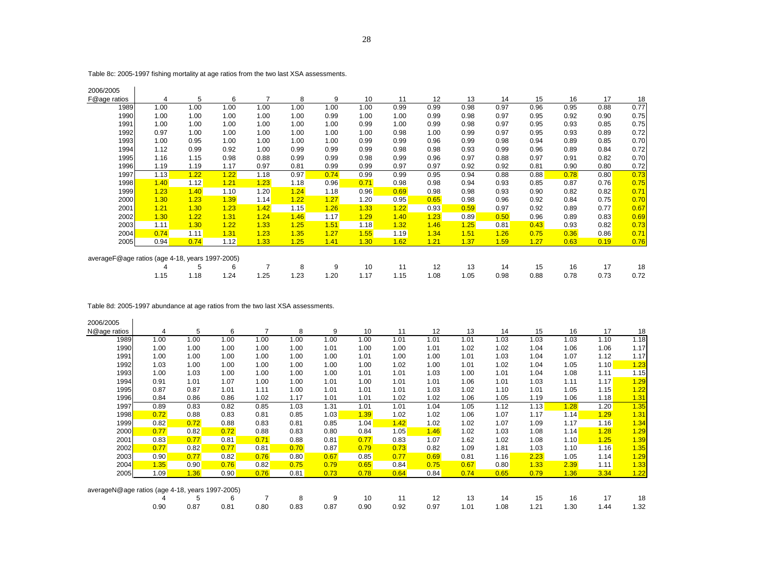Table 8c: 2005-1997 fishing mortality at age ratios from the two last XSA assessments.

| 2006/2005                                       |      |      |      |                |      |      |      |      |      |      |      |      |      |      |      |
|-------------------------------------------------|------|------|------|----------------|------|------|------|------|------|------|------|------|------|------|------|
| F@age ratios                                    | 4    | 5    | 6    | $\overline{ }$ | 8    | 9    | 10   | 11   | 12   | 13   | 14   | 15   | 16   | 17   | 18   |
| 1989                                            | 1.00 | 1.00 | 1.00 | 1.00           | 1.00 | 1.00 | 1.00 | 0.99 | 0.99 | 0.98 | 0.97 | 0.96 | 0.95 | 0.88 | 0.77 |
| 1990                                            | 1.00 | 1.00 | 1.00 | 1.00           | 1.00 | 0.99 | 1.00 | 1.00 | 0.99 | 0.98 | 0.97 | 0.95 | 0.92 | 0.90 | 0.75 |
| 1991                                            | 1.00 | 1.00 | 1.00 | 1.00           | 1.00 | 1.00 | 0.99 | 1.00 | 0.99 | 0.98 | 0.97 | 0.95 | 0.93 | 0.85 | 0.75 |
| 1992                                            | 0.97 | 1.00 | 1.00 | 1.00           | 1.00 | 1.00 | 1.00 | 0.98 | 1.00 | 0.99 | 0.97 | 0.95 | 0.93 | 0.89 | 0.72 |
| 1993                                            | 1.00 | 0.95 | 1.00 | 1.00           | 1.00 | 1.00 | 0.99 | 0.99 | 0.96 | 0.99 | 0.98 | 0.94 | 0.89 | 0.85 | 0.70 |
| 1994                                            | 1.12 | 0.99 | 0.92 | 1.00           | 0.99 | 0.99 | 0.99 | 0.98 | 0.98 | 0.93 | 0.99 | 0.96 | 0.89 | 0.84 | 0.72 |
| 1995                                            | 1.16 | 1.15 | 0.98 | 0.88           | 0.99 | 0.99 | 0.98 | 0.99 | 0.96 | 0.97 | 0.88 | 0.97 | 0.91 | 0.82 | 0.70 |
| 1996                                            | 1.19 | 1.19 | 1.17 | 0.97           | 0.81 | 0.99 | 0.99 | 0.97 | 0.97 | 0.92 | 0.92 | 0.81 | 0.90 | 0.80 | 0.72 |
| 1997                                            | 1.13 | 1.22 | 1.22 | 1.18           | 0.97 | 0.74 | 0.99 | 0.99 | 0.95 | 0.94 | 0.88 | 0.88 | 0.78 | 0.80 | 0.73 |
| 1998                                            | 1.40 | 1.12 | 1.21 | 1.23           | 1.18 | 0.96 | 0.71 | 0.98 | 0.98 | 0.94 | 0.93 | 0.85 | 0.87 | 0.76 | 0.75 |
| 1999                                            | 1.23 | 1.40 | 1.10 | 1.20           | 1.24 | 1.18 | 0.96 | 0.69 | 0.98 | 0.98 | 0.93 | 0.90 | 0.82 | 0.82 | 0.71 |
| 2000                                            | 1.30 | 1.23 | 1.39 | 1.14           | 1.22 | 1.27 | 1.20 | 0.95 | 0.65 | 0.98 | 0.96 | 0.92 | 0.84 | 0.75 | 0.70 |
| 2001                                            | 1.21 | 1.30 | 1.23 | 1.42           | 1.15 | 1.26 | 1.33 | 1.22 | 0.93 | 0.59 | 0.97 | 0.92 | 0.89 | 0.77 | 0.67 |
| 2002                                            | 1.30 | 1.22 | 1.31 | 1.24           | 1.46 | 1.17 | 1.29 | 1.40 | 1.23 | 0.89 | 0.50 | 0.96 | 0.89 | 0.83 | 0.69 |
| 2003                                            | 1.11 | 1.30 | 1.22 | 1.33           | 1.25 | 1.51 | 1.18 | 1.32 | 1.46 | 1.25 | 0.81 | 0.43 | 0.93 | 0.82 | 0.73 |
| 2004                                            | 0.74 | 1.11 | 1.31 | 1.23           | 1.35 | 1.27 | 1.55 | 1.19 | 1.34 | 1.51 | 1.26 | 0.75 | 0.36 | 0.86 | 0.71 |
| 2005                                            | 0.94 | 0.74 | 1.12 | 1.33           | 1.25 | 1.41 | 1.30 | 1.62 | 1.21 | 1.37 | 1.59 | 1.27 | 0.63 | 0.19 | 0.76 |
|                                                 |      |      |      |                |      |      |      |      |      |      |      |      |      |      |      |
| averageF@age ratios (age 4-18, years 1997-2005) |      |      |      |                |      |      |      |      |      |      |      |      |      |      |      |
|                                                 |      | 5    | 6    | 7              | 8    | 9    | 10   | 11   | 12   | 13   | 14   | 15   | 16   | 17   | 18   |
|                                                 | 1.15 | 1.18 | 1.24 | 1.25           | 1.23 | 1.20 | 1.17 | 1.15 | 1.08 | 1.05 | 0.98 | 0.88 | 0.78 | 0.73 | 0.72 |

Table 8d: 2005-1997 abundance at age ratios from the two last XSA assessments.

| 2006/2005                                       |      |      |      |      |      |      |      |      |      |      |      |      |      |      |      |
|-------------------------------------------------|------|------|------|------|------|------|------|------|------|------|------|------|------|------|------|
| N@age ratios                                    | 4    | 5    | 6    | 7    | 8    | 9    | 10   | 11   | 12   | 13   | 14   | 15   | 16   | 17   | 18   |
| 1989                                            | 1.00 | 1.00 | 1.00 | 1.00 | 1.00 | 1.00 | 1.00 | 1.01 | 1.01 | 1.01 | 1.03 | 1.03 | 1.03 | 1.10 | 1.18 |
| 1990                                            | 1.00 | 1.00 | 1.00 | 1.00 | 1.00 | 1.01 | 1.00 | 1.00 | 1.01 | 1.02 | 1.02 | 1.04 | 1.06 | 1.06 | 1.17 |
| 1991                                            | 1.00 | 1.00 | 1.00 | 1.00 | 1.00 | 1.00 | 1.01 | 1.00 | 1.00 | 1.01 | 1.03 | 1.04 | 1.07 | 1.12 | 1.17 |
| 1992                                            | 1.03 | 1.00 | 1.00 | 1.00 | 1.00 | 1.00 | 1.00 | 1.02 | 1.00 | 1.01 | 1.02 | 1.04 | 1.05 | 1.10 | 1.23 |
| 1993                                            | 1.00 | 1.03 | 1.00 | 1.00 | 1.00 | 1.00 | 1.01 | 1.01 | 1.03 | 1.00 | 1.01 | 1.04 | 1.08 | 1.11 | 1.15 |
| 1994                                            | 0.91 | 1.01 | 1.07 | 1.00 | 1.00 | 1.01 | 1.00 | 1.01 | 1.01 | 1.06 | 1.01 | 1.03 | 1.11 | 1.17 | 1.29 |
| 1995                                            | 0.87 | 0.87 | 1.01 | 1.11 | 1.00 | 1.01 | 1.01 | 1.01 | 1.03 | 1.02 | 1.10 | 1.01 | 1.05 | 1.15 | 1.22 |
| 1996                                            | 0.84 | 0.86 | 0.86 | 1.02 | 1.17 | 1.01 | 1.01 | 1.02 | 1.02 | 1.06 | 1.05 | 1.19 | 1.06 | 1.18 | 1.31 |
| 1997                                            | 0.89 | 0.83 | 0.82 | 0.85 | 1.03 | 1.31 | 1.01 | 1.01 | 1.04 | 1.05 | 1.12 | 1.13 | 1.28 | 1.20 | 1.35 |
| 1998                                            | 0.72 | 0.88 | 0.83 | 0.81 | 0.85 | 1.03 | 1.39 | 1.02 | 1.02 | 1.06 | 1.07 | 1.17 | 1.14 | 1.29 | 1.31 |
| 1999                                            | 0.82 | 0.72 | 0.88 | 0.83 | 0.81 | 0.85 | 1.04 | 1.42 | 1.02 | 1.02 | 1.07 | 1.09 | 1.17 | 1.16 | 1.34 |
| 2000                                            | 0.77 | 0.82 | 0.72 | 0.88 | 0.83 | 0.80 | 0.84 | 1.05 | 1.46 | 1.02 | 1.03 | 1.08 | 1.14 | 1.28 | 1.29 |
| 2001                                            | 0.83 | 0.77 | 0.81 | 0.71 | 0.88 | 0.81 | 0.77 | 0.83 | 1.07 | 1.62 | 1.02 | 1.08 | 1.10 | 1.25 | 1.39 |
| 2002                                            | 0.77 | 0.82 | 0.77 | 0.81 | 0.70 | 0.87 | 0.79 | 0.73 | 0.82 | 1.09 | 1.81 | 1.03 | 1.10 | 1.16 | 1.35 |
| 2003                                            | 0.90 | 0.77 | 0.82 | 0.76 | 0.80 | 0.67 | 0.85 | 0.77 | 0.69 | 0.81 | 1.16 | 2.23 | 1.05 | 1.14 | 1.29 |
| 2004                                            | 1.35 | 0.90 | 0.76 | 0.82 | 0.75 | 0.79 | 0.65 | 0.84 | 0.75 | 0.67 | 0.80 | 1.33 | 2.39 | 1.11 | 1.33 |
| 2005                                            | 1.09 | 1.36 | 0.90 | 0.76 | 0.81 | 0.73 | 0.78 | 0.64 | 0.84 | 0.74 | 0.65 | 0.79 | 1.36 | 3.34 | 1.22 |
|                                                 |      |      |      |      |      |      |      |      |      |      |      |      |      |      |      |
| averageN@age ratios (age 4-18, years 1997-2005) |      |      |      |      |      |      |      |      |      |      |      |      |      |      |      |
|                                                 | 4    | 5    | 6    | 7    | 8    | 9    | 10   | 11   | 12   | 13   | 14   | 15   | 16   | 17   | 18   |
|                                                 | 0.90 | 0.87 | 0.81 | 0.80 | 0.83 | 0.87 | 0.90 | 0.92 | 0.97 | 1.01 | 1.08 | 1.21 | 1.30 | 1.44 | 1.32 |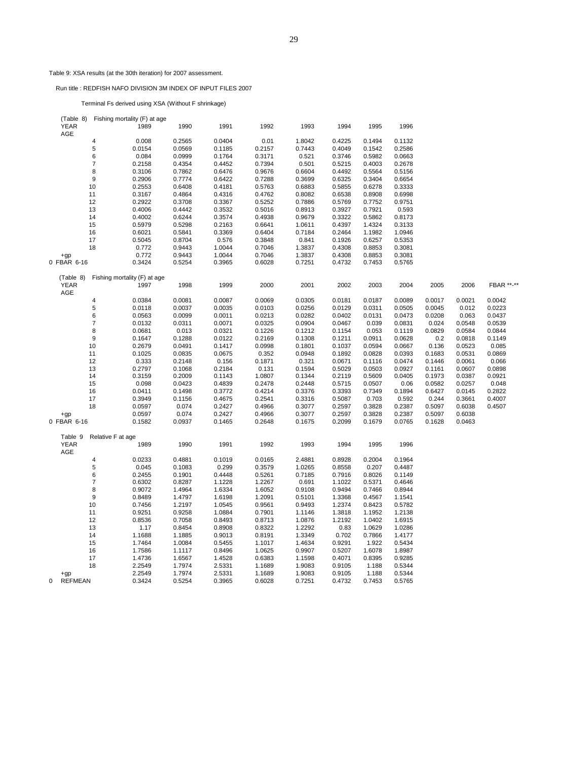## Table 9: XSA results (at the 30th iteration) for 2007 assessment.

Run title : REDFISH NAFO DIVISION 3M INDEX OF INPUT FILES 2007

Terminal Fs derived using XSA (Without F shrinkage)

| (Table 8)           |                   | Fishing mortality (F) at age |        |        |        |        |        |        |        |        |        |            |
|---------------------|-------------------|------------------------------|--------|--------|--------|--------|--------|--------|--------|--------|--------|------------|
| <b>YEAR</b>         |                   | 1989                         | 1990   | 1991   | 1992   | 1993   | 1994   | 1995   | 1996   |        |        |            |
| AGE                 |                   |                              |        |        |        |        |        |        |        |        |        |            |
|                     | 4                 | 0.008                        | 0.2565 | 0.0404 | 0.01   | 1.8042 | 0.4225 | 0.1494 | 0.1132 |        |        |            |
|                     | 5                 | 0.0154                       | 0.0569 | 0.1185 | 0.2157 | 0.7443 | 0.4049 | 0.1542 | 0.2586 |        |        |            |
|                     | 6                 | 0.084                        | 0.0999 | 0.1764 | 0.3171 | 0.521  | 0.3746 | 0.5982 | 0.0663 |        |        |            |
|                     | $\overline{7}$    | 0.2158                       | 0.4354 | 0.4452 | 0.7394 | 0.501  | 0.5215 | 0.4003 | 0.2678 |        |        |            |
|                     | 8                 | 0.3106                       | 0.7862 | 0.6476 | 0.9676 | 0.6604 | 0.4492 | 0.5564 | 0.5156 |        |        |            |
|                     | $9\,$             | 0.2906                       | 0.7774 | 0.6422 | 0.7288 | 0.3699 | 0.6325 | 0.3404 | 0.6654 |        |        |            |
|                     | 10                | 0.2553                       | 0.6408 | 0.4181 | 0.5763 | 0.6883 | 0.5855 | 0.6278 | 0.3333 |        |        |            |
|                     | 11                | 0.3167                       | 0.4864 | 0.4316 | 0.4762 | 0.8082 | 0.6538 | 0.8908 | 0.6998 |        |        |            |
|                     | 12                | 0.2922                       | 0.3708 | 0.3367 | 0.5252 | 0.7886 | 0.5769 | 0.7752 | 0.9751 |        |        |            |
|                     | 13                | 0.4006                       | 0.4442 | 0.3532 | 0.5016 | 0.8913 | 0.3927 | 0.7921 | 0.593  |        |        |            |
|                     | 14                | 0.4002                       | 0.6244 | 0.3574 | 0.4938 | 0.9679 | 0.3322 | 0.5862 | 0.8173 |        |        |            |
|                     | 15                | 0.5979                       | 0.5298 | 0.2163 | 0.6641 | 1.0611 | 0.4397 | 1.4324 | 0.3133 |        |        |            |
|                     | 16                | 0.6021                       | 0.5841 | 0.3369 | 0.6404 | 0.7184 | 0.2464 | 1.1982 | 1.0946 |        |        |            |
|                     | 17                |                              |        |        | 0.3848 |        |        |        |        |        |        |            |
|                     |                   | 0.5045                       | 0.8704 | 0.576  |        | 0.841  | 0.1926 | 0.6257 | 0.5353 |        |        |            |
|                     | 18                | 0.772                        | 0.9443 | 1.0044 | 0.7046 | 1.3837 | 0.4308 | 0.8853 | 0.3081 |        |        |            |
| $+qp$               |                   | 0.772                        | 0.9443 | 1.0044 | 0.7046 | 1.3837 | 0.4308 | 0.8853 | 0.3081 |        |        |            |
| 0 FBAR 6-16         |                   | 0.3424                       | 0.5254 | 0.3965 | 0.6028 | 0.7251 | 0.4732 | 0.7453 | 0.5765 |        |        |            |
|                     |                   |                              |        |        |        |        |        |        |        |        |        |            |
| (Table 8)           |                   | Fishing mortality (F) at age |        |        |        |        |        |        |        |        |        |            |
| <b>YEAR</b>         |                   | 1997                         | 1998   | 1999   | 2000   | 2001   | 2002   | 2003   | 2004   | 2005   | 2006   | FBAR **-** |
| AGE                 |                   |                              |        |        |        |        |        |        |        |        |        |            |
|                     | $\overline{4}$    | 0.0384                       | 0.0081 | 0.0087 | 0.0069 | 0.0305 | 0.0181 | 0.0187 | 0.0089 | 0.0017 | 0.0021 | 0.0042     |
|                     | 5                 | 0.0118                       | 0.0037 | 0.0035 | 0.0103 | 0.0256 | 0.0129 | 0.0311 | 0.0505 | 0.0045 | 0.012  | 0.0223     |
|                     | $\,6$             | 0.0563                       | 0.0099 | 0.0011 | 0.0213 | 0.0282 | 0.0402 | 0.0131 | 0.0473 | 0.0208 | 0.063  | 0.0437     |
|                     | $\overline{7}$    | 0.0132                       | 0.0311 | 0.0071 | 0.0325 | 0.0904 | 0.0467 | 0.039  | 0.0831 | 0.024  | 0.0548 | 0.0539     |
|                     | 8                 | 0.0681                       | 0.013  | 0.0321 | 0.1226 | 0.1212 | 0.1154 | 0.053  | 0.1119 | 0.0829 | 0.0584 | 0.0844     |
|                     | $\boldsymbol{9}$  | 0.1647                       | 0.1288 | 0.0122 | 0.2169 | 0.1308 | 0.1211 | 0.0911 | 0.0628 | 0.2    | 0.0818 | 0.1149     |
|                     | 10                | 0.2679                       | 0.0491 | 0.1417 | 0.0998 | 0.1801 | 0.1037 | 0.0594 | 0.0667 | 0.136  | 0.0523 | 0.085      |
|                     | 11                | 0.1025                       | 0.0835 | 0.0675 | 0.352  | 0.0948 | 0.1892 | 0.0828 | 0.0393 | 0.1683 | 0.0531 | 0.0869     |
|                     | 12                | 0.333                        | 0.2148 | 0.156  | 0.1871 | 0.321  | 0.0671 | 0.1116 | 0.0474 | 0.1446 | 0.0061 | 0.066      |
|                     | 13                | 0.2797                       | 0.1068 | 0.2184 | 0.131  | 0.1594 | 0.5029 | 0.0503 | 0.0927 | 0.1161 | 0.0607 | 0.0898     |
|                     | 14                | 0.3159                       | 0.2009 | 0.1143 | 1.0807 | 0.1344 | 0.2119 | 0.5609 | 0.0405 | 0.1973 | 0.0387 | 0.0921     |
|                     | 15                | 0.098                        | 0.0423 | 0.4839 | 0.2478 | 0.2448 | 0.5715 | 0.0507 | 0.06   | 0.0582 | 0.0257 | 0.048      |
|                     | 16                | 0.0411                       | 0.1498 | 0.3772 | 0.4214 | 0.3376 | 0.3393 | 0.7349 | 0.1894 | 0.6427 | 0.0145 | 0.2822     |
|                     | 17                | 0.3949                       | 0.1156 | 0.4675 | 0.2541 | 0.3316 | 0.5087 | 0.703  | 0.592  | 0.244  | 0.3661 | 0.4007     |
|                     | 18                | 0.0597                       | 0.074  | 0.2427 | 0.4966 | 0.3077 | 0.2597 | 0.3828 | 0.2387 | 0.5097 | 0.6038 | 0.4507     |
| $+qp$               |                   | 0.0597                       | 0.074  | 0.2427 | 0.4966 | 0.3077 | 0.2597 | 0.3828 | 0.2387 | 0.5097 | 0.6038 |            |
| 0 FBAR 6-16         |                   | 0.1582                       | 0.0937 | 0.1465 | 0.2648 | 0.1675 | 0.2099 | 0.1679 | 0.0765 | 0.1628 | 0.0463 |            |
|                     |                   |                              |        |        |        |        |        |        |        |        |        |            |
| Table 9             | Relative F at age |                              |        |        |        |        |        |        |        |        |        |            |
| <b>YEAR</b>         |                   | 1989                         | 1990   | 1991   | 1992   | 1993   | 1994   | 1995   | 1996   |        |        |            |
| AGE                 |                   |                              |        |        |        |        |        |        |        |        |        |            |
|                     | 4                 | 0.0233                       | 0.4881 | 0.1019 | 0.0165 | 2.4881 | 0.8928 | 0.2004 | 0.1964 |        |        |            |
|                     | $\sqrt{5}$        | 0.045                        | 0.1083 | 0.299  | 0.3579 | 1.0265 | 0.8558 | 0.207  | 0.4487 |        |        |            |
|                     | 6                 | 0.2455                       | 0.1901 | 0.4448 | 0.5261 | 0.7185 | 0.7916 | 0.8026 | 0.1149 |        |        |            |
|                     | $\overline{7}$    | 0.6302                       | 0.8287 | 1.1228 | 1.2267 | 0.691  | 1.1022 | 0.5371 | 0.4646 |        |        |            |
|                     | 8                 | 0.9072                       | 1.4964 | 1.6334 | 1.6052 | 0.9108 | 0.9494 | 0.7466 | 0.8944 |        |        |            |
|                     | 9                 | 0.8489                       | 1.4797 | 1.6198 | 1.2091 | 0.5101 | 1.3368 | 0.4567 | 1.1541 |        |        |            |
|                     | 10                | 0.7456                       | 1.2197 | 1.0545 | 0.9561 | 0.9493 | 1.2374 | 0.8423 | 0.5782 |        |        |            |
|                     | 11                | 0.9251                       | 0.9258 | 1.0884 | 0.7901 | 1.1146 | 1.3818 | 1.1952 | 1.2138 |        |        |            |
|                     | 12                | 0.8536                       | 0.7058 | 0.8493 | 0.8713 | 1.0876 | 1.2192 | 1.0402 | 1.6915 |        |        |            |
|                     | 13                | 1.17                         | 0.8454 | 0.8908 | 0.8322 | 1.2292 | 0.83   | 1.0629 | 1.0286 |        |        |            |
|                     | 14                | 1.1688                       | 1.1885 | 0.9013 | 0.8191 | 1.3349 | 0.702  | 0.7866 | 1.4177 |        |        |            |
|                     | 15                | 1.7464                       | 1.0084 | 0.5455 | 1.1017 | 1.4634 | 0.9291 | 1.922  | 0.5434 |        |        |            |
|                     | 16                | 1.7586                       | 1.1117 | 0.8496 | 1.0625 | 0.9907 | 0.5207 | 1.6078 | 1.8987 |        |        |            |
|                     | 17                |                              |        |        |        |        |        |        |        |        |        |            |
|                     |                   | 1.4736                       | 1.6567 | 1.4528 | 0.6383 | 1.1598 | 0.4071 | 0.8395 | 0.9285 |        |        |            |
|                     | 18                | 2.2549                       | 1.7974 | 2.5331 | 1.1689 | 1.9083 | 0.9105 | 1.188  | 0.5344 |        |        |            |
| $+qp$               |                   | 2.2549                       | 1.7974 | 2.5331 | 1.1689 | 1.9083 | 0.9105 | 1.188  | 0.5344 |        |        |            |
| 0<br><b>REFMEAN</b> |                   | 0.3424                       | 0.5254 | 0.3965 | 0.6028 | 0.7251 | 0.4732 | 0.7453 | 0.5765 |        |        |            |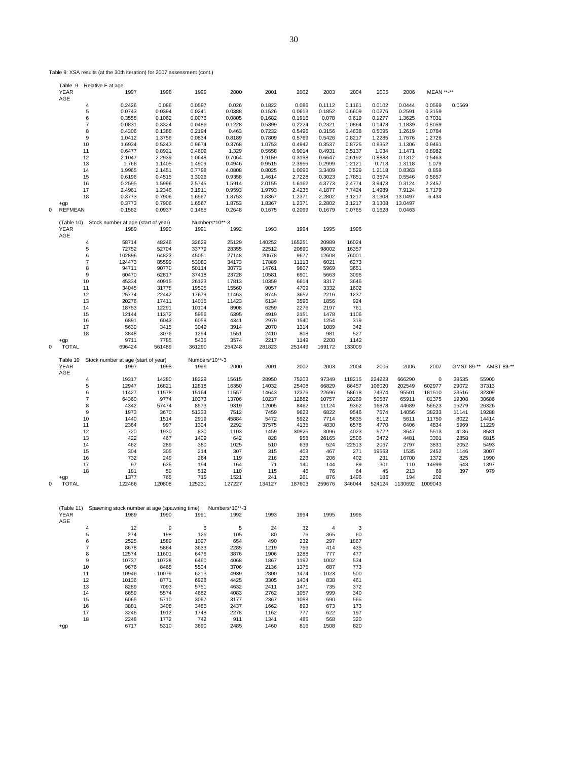Table 9: XSA results (at the 30th iteration) for 2007 assessment (cont.)

|   | Table 9                 |          | Relative F at age                                               |                  |                        |                        |                  |                  |                  |                  |                  |                  |                  |              |                |
|---|-------------------------|----------|-----------------------------------------------------------------|------------------|------------------------|------------------------|------------------|------------------|------------------|------------------|------------------|------------------|------------------|--------------|----------------|
|   | <b>YEAR</b>             |          | 1997                                                            | 1998             | 1999                   | 2000                   | 2001             | 2002             | 2003             | 2004             | 2005             | 2006             | MEAN **-**       |              |                |
|   | AGE                     | 4        | 0.2426                                                          | 0.086            | 0.0597                 | 0.026                  | 0.1822           | 0.086            | 0.1112           | 0.1161           | 0.0102           | 0.0444           | 0.0569           | 0.0569       |                |
|   |                         | 5        | 0.0743                                                          | 0.0394           | 0.0241                 | 0.0388                 | 0.1526           | 0.0613           | 0.1852           | 0.6609           | 0.0276           | 0.2591           | 0.3159           |              |                |
|   |                         | 6        | 0.3558                                                          | 0.1062           | 0.0076                 | 0.0805                 | 0.1682           | 0.1916           | 0.078            | 0.619            | 0.1277           | 1.3625           | 0.7031           |              |                |
|   |                         | 7        | 0.0831                                                          | 0.3324           | 0.0486                 | 0.1228                 | 0.5399           | 0.2224           | 0.2321           | 1.0864           | 0.1473           | 1.1839           | 0.8059           |              |                |
|   |                         | 8        | 0.4306                                                          | 0.1388           | 0.2194                 | 0.463                  | 0.7232           | 0.5496           | 0.3156           | 1.4638           | 0.5095           | 1.2619           | 1.0784           |              |                |
|   |                         | 9        | 1.0412                                                          | 1.3756           | 0.0834                 | 0.8189                 | 0.7809           | 0.5769           | 0.5426           | 0.8217           | 1.2285           | 1.7676           | 1.2726           |              |                |
|   |                         | 10       | 1.6934                                                          | 0.5243           | 0.9674                 | 0.3768                 | 1.0753           | 0.4942           | 0.3537           | 0.8725           | 0.8352           | 1.1306           | 0.9461           |              |                |
|   |                         | 11       | 0.6477                                                          | 0.8921           | 0.4609                 | 1.329                  | 0.5658           | 0.9014           | 0.4931           | 0.5137           | 1.034            | 1.1471           | 0.8982           |              |                |
|   |                         | 12       | 2.1047                                                          | 2.2939           | 1.0648                 | 0.7064                 | 1.9159           | 0.3198           | 0.6647           | 0.6192           | 0.8883           | 0.1312           | 0.5463           |              |                |
|   |                         | 13       | 1.768                                                           | 1.1405           | 1.4909                 | 0.4946                 | 0.9515           | 2.3956           | 0.2999           | 1.2121           | 0.713            | 1.3118           | 1.079            |              |                |
|   |                         | 14       | 1.9965                                                          | 2.1451           | 0.7798                 | 4.0808                 | 0.8025           | 1.0096           | 3.3409           | 0.529            | 1.2118           | 0.8363           | 0.859            |              |                |
|   |                         | 15<br>16 | 0.6196<br>0.2595                                                | 0.4515<br>1.5996 | 3.3026<br>2.5745       | 0.9358<br>1.5914       | 1.4614<br>2.0155 | 2.7228<br>1.6162 | 0.3023<br>4.3773 | 0.7851<br>2.4774 | 0.3574<br>3.9473 | 0.5546<br>0.3124 | 0.5657<br>2.2457 |              |                |
|   |                         | 17       | 2.4961                                                          | 1.2346           | 3.1911                 | 0.9593                 | 1.9793           | 2.4235           | 4.1877           | 7.7424           | 1.4989           | 7.9124           | 5.7179           |              |                |
|   |                         | 18       | 0.3773                                                          | 0.7906           | 1.6567                 | 1.8753                 | 1.8367           | 1.2371           | 2.2802           | 3.1217           | 3.1308           | 13.0497          | 6.434            |              |                |
|   | $+qp$                   |          | 0.3773                                                          | 0.7906           | 1.6567                 | 1.8753                 | 1.8367           | 1.2371           | 2.2802           | 3.1217           | 3.1308           | 13.0497          |                  |              |                |
| 0 | <b>REFMEAN</b>          |          | 0.1582                                                          | 0.0937           | 0.1465                 | 0.2648                 | 0.1675           | 0.2099           | 0.1679           | 0.0765           | 0.1628           | 0.0463           |                  |              |                |
|   |                         |          |                                                                 |                  |                        |                        |                  |                  |                  |                  |                  |                  |                  |              |                |
|   | (Table 10)              |          | Stock number at age (start of year)                             |                  | Numbers*10**-3         |                        |                  |                  |                  |                  |                  |                  |                  |              |                |
|   | YEAR                    |          | 1989                                                            | 1990             | 1991                   | 1992                   | 1993             | 1994             | 1995             | 1996             |                  |                  |                  |              |                |
|   | AGE                     | 4        | 58714                                                           | 48246            | 32629                  | 25129                  | 140252           | 165251           | 20989            | 16024            |                  |                  |                  |              |                |
|   |                         | 5        | 72752                                                           | 52704            | 33779                  | 28355                  | 22512            | 20890            | 98002            | 16357            |                  |                  |                  |              |                |
|   |                         | 6        | 102896                                                          | 64823            | 45051                  | 27148                  | 20678            | 9677             | 12608            | 76001            |                  |                  |                  |              |                |
|   |                         | 7        | 124473                                                          | 85599            | 53080                  | 34173                  | 17889            | 11113            | 6021             | 6273             |                  |                  |                  |              |                |
|   |                         | 8        | 94711                                                           | 90770            | 50114                  | 30773                  | 14761            | 9807             | 5969             | 3651             |                  |                  |                  |              |                |
|   |                         | 9        | 60470                                                           | 62817            | 37418                  | 23728                  | 10581            | 6901             | 5663             | 3096             |                  |                  |                  |              |                |
|   |                         | 10       | 45334                                                           | 40915            | 26123                  | 17813                  | 10359            | 6614             | 3317             | 3646             |                  |                  |                  |              |                |
|   |                         | 11       | 34045                                                           | 31778            | 19505                  | 15560                  | 9057             | 4709             | 3332             | 1602             |                  |                  |                  |              |                |
|   |                         | 12       | 25774                                                           | 22442            | 17679                  | 11463                  | 8745             | 3652             | 2216             | 1237             |                  |                  |                  |              |                |
|   |                         | 13       | 20276                                                           | 17411            | 14015                  | 11423                  | 6134             | 3596             | 1856             | 924              |                  |                  |                  |              |                |
|   |                         | 14<br>15 | 18753<br>12144                                                  | 12291<br>11372   | 10104<br>5956          | 8908<br>6395           | 6259<br>4919     | 2276<br>2151     | 2197<br>1478     | 761<br>1106      |                  |                  |                  |              |                |
|   |                         | 16       | 6891                                                            | 6043             | 6058                   | 4341                   | 2979             | 1540             | 1254             | 319              |                  |                  |                  |              |                |
|   |                         | 17       | 5630                                                            | 3415             | 3049                   | 3914                   | 2070             | 1314             | 1089             | 342              |                  |                  |                  |              |                |
|   |                         | 18       | 3848                                                            | 3076             | 1294                   | 1551                   | 2410             | 808              | 981              | 527              |                  |                  |                  |              |                |
|   | $+qp$                   |          | 9711                                                            | 7785             | 5435                   | 3574                   | 2217             | 1149             | 2200             | 1142             |                  |                  |                  |              |                |
| 0 | <b>TOTAL</b>            |          | 696424                                                          | 561489           | 361290                 | 254248                 | 281823           | 251449           | 169172           | 133009           |                  |                  |                  |              |                |
|   |                         |          |                                                                 |                  |                        |                        |                  |                  |                  |                  |                  |                  |                  |              |                |
|   | Table 10<br><b>YEAR</b> |          | Stock number at age (start of year)<br>1997                     | 1998             | Numbers*10**-3<br>1999 | 2000                   | 2001             | 2002             | 2003             | 2004             | 2005             | 2006             | 2007             | GMST 89-**   | AMST 89-**     |
|   | AGE                     |          |                                                                 |                  |                        |                        |                  |                  |                  |                  |                  |                  |                  |              |                |
|   |                         | 4        | 19317                                                           | 14280            | 18229                  | 15615                  | 28950            | 75203            | 97349            | 118215           | 224223           | 666290           | 0                | 39535        | 55900          |
|   |                         | 5        | 12947                                                           | 16821            | 12818                  | 16350                  | 14032            | 25408            | 66829            | 86457            | 106020           | 202549           | 602977           | 29072        | 37313          |
|   |                         | 6        | 11427                                                           | 11578            | 15164                  | 11557                  | 14643            | 12376            | 22696            | 58618            | 74374            | 95501            | 181510           | 23516        | 32309          |
|   |                         | 7        | 64360                                                           | 9774             | 10373                  | 13706                  | 10237            | 12882            | 10757            | 20269            | 50587            | 65911            | 81375            | 19308        | 30686          |
|   |                         | 8        | 4342                                                            | 57474            | 8573                   | 9319                   | 12005            | 8462             | 11124            | 9362             | 16878            | 44689            | 56623            | 15279        | 26326          |
|   |                         | 9        | 1973                                                            | 3670             | 51333                  | 7512                   | 7459             | 9623             | 6822             | 9546             | 7574             | 14056            | 38233            | 11141        | 19288          |
|   |                         | 10<br>11 | 1440<br>2364                                                    | 1514<br>997      | 2919<br>1304           | 45884<br>2292          | 5472<br>37575    | 5922<br>4135     | 7714<br>4830     | 5635<br>6578     | 8112<br>4770     | 5611<br>6406     | 11750<br>4834    | 8022<br>5969 | 14414<br>11229 |
|   |                         | 12       | 720                                                             | 1930             | 830                    | 1103                   | 1459             | 30925            | 3096             | 4023             | 5722             | 3647             | 5513             | 4136         | 8581           |
|   |                         | 13       | 422                                                             | 467              | 1409                   | 642                    | 828              | 958              | 26165            | 2506             | 3472             | 4481             | 3301             | 2858         | 6815           |
|   |                         | 14       | 462                                                             | 289              | 380                    | 1025                   | 510              | 639              | 524              | 22513            | 2067             | 2797             | 3831             | 2052         | 5493           |
|   |                         | 15       | 304                                                             | 305              | 214                    | 307                    | 315              | 403              | 467              | 271              | 19563            | 1535             | 2452             | 1146         | 3007           |
|   |                         | 16       | 732                                                             | 249              | 264                    | 119                    | 216              | 223              | 206              | 402              | 231              | 16700            | 1372             | 825          | 1990           |
|   |                         | 17       | 97                                                              | 635              | 194                    | 164                    | 71               | 140              | 144              | 89               | 301              | 110              | 14999            | 543          | 1397           |
|   |                         | 18       | 181                                                             | 59               | 512                    | 110                    | 115              | 46               | 76               | 64               | 45               | 213              | 69               | 397          | 979            |
| Ō | $+qp$                   |          | 1377                                                            | 765              | 715                    | 1521                   | 241              | 261              | 876              | 1496             | 186              | 194              | 202              |              |                |
|   | <b>TOTAL</b>            |          | 122466                                                          | 120808           | 125231                 | 127227                 | 134127           | 187603           | 259676           | 346044           | 524124           | 1130692          | 1009043          |              |                |
|   |                         |          |                                                                 |                  |                        |                        |                  |                  |                  |                  |                  |                  |                  |              |                |
|   |                         |          |                                                                 |                  |                        |                        |                  |                  |                  |                  |                  |                  |                  |              |                |
|   | <b>YEAR</b>             |          | (Table 11) Spawning stock number at age (spawning time)<br>1989 | 1990             | 1991                   | Numbers*10**-3<br>1992 | 1993             | 1994             | 1995             | 1996             |                  |                  |                  |              |                |
|   | AGE                     |          |                                                                 |                  |                        |                        |                  |                  |                  |                  |                  |                  |                  |              |                |
|   |                         | 4        | 12                                                              | 9                | 6                      | 5                      | 24               | 32               | 4                | 3                |                  |                  |                  |              |                |
|   |                         | 5        | 274                                                             | 198              | 126                    | 105                    | 80               | 76               | 365              | 60               |                  |                  |                  |              |                |
|   |                         | 6        | 2525                                                            | 1589             | 1097                   | 654                    | 490              | 232              | 297              | 1867             |                  |                  |                  |              |                |
|   |                         | 7        | 8678                                                            | 5864             | 3633                   | 2285                   | 1219             | 756              | 414              | 435              |                  |                  |                  |              |                |
|   |                         | 8        | 12574                                                           | 11601            | 6476                   | 3876                   | 1906             | 1288             | 777              | 477              |                  |                  |                  |              |                |
|   |                         | 9        | 10737                                                           | 10728            | 6460                   | 4068                   | 1867             | 1192             | 1002             | 534              |                  |                  |                  |              |                |
|   |                         | 10       | 9676                                                            | 8468             | 5504                   | 3706                   | 2136             | 1375             | 687              | 773              |                  |                  |                  |              |                |
|   |                         | 11<br>12 | 10946                                                           | 10079<br>8771    | 6213<br>6928           | 4939                   | 2800<br>3305     | 1474<br>1404     | 1023<br>838      | 500<br>461       |                  |                  |                  |              |                |
|   |                         | 13       | 10136<br>8289                                                   | 7093             | 5751                   | 4425<br>4632           | 2411             | 1471             | 735              | 372              |                  |                  |                  |              |                |
|   |                         | 14       | 8659                                                            | 5574             | 4682                   | 4083                   | 2762             | 1057             | 999              | 340              |                  |                  |                  |              |                |
|   |                         | 15       | 6065                                                            | 5710             | 3067                   | 3177                   | 2367             | 1088             | 690              | 565              |                  |                  |                  |              |                |
|   |                         | 16       | 3881                                                            | 3408             | 3485                   | 2437                   | 1662             | 893              | 673              | 173              |                  |                  |                  |              |                |
|   |                         | 17       | 3246                                                            | 1912             | 1748                   | 2278                   | 1162             | 777              | 622              | 197              |                  |                  |                  |              |                |

18 2248 1772 742 911 1341 485 568 320 +gp 6717 5310 3690 2485 1460 816 1508 820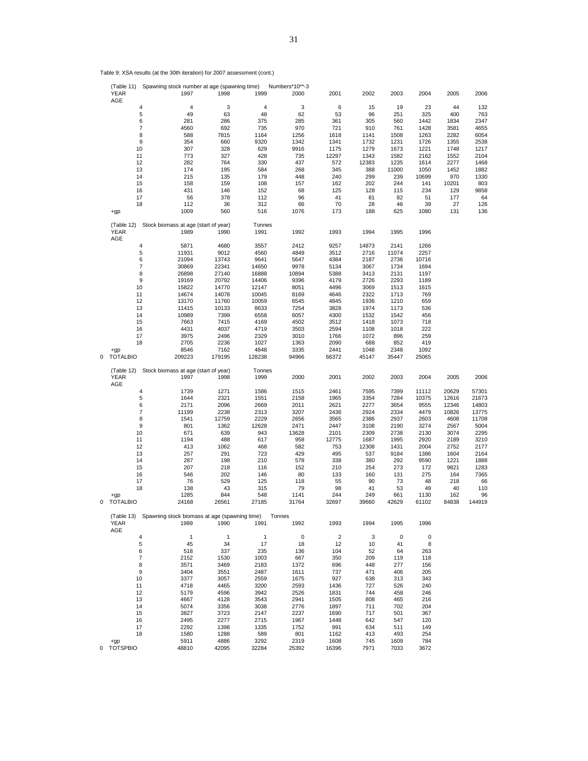|   |                     | 4                                             | 4      | 3            | 4              | 3           | 6              | 15           | 19    | 23    | 44    | 132    |
|---|---------------------|-----------------------------------------------|--------|--------------|----------------|-------------|----------------|--------------|-------|-------|-------|--------|
|   |                     | 5                                             | 49     | 63           | 48             | 62          | 53             | 96           | 251   | 325   | 400   | 763    |
|   |                     | 6                                             | 281    | 286          | 375            | 285         | 361            | 305          | 560   | 1442  | 1834  | 2347   |
|   |                     | 7                                             | 4560   | 692          | 735            | 970         | 721            | 910          | 761   | 1428  | 3581  | 4655   |
|   |                     | 8                                             | 588    | 7815         | 1164           | 1256        | 1618           | 1141         | 1508  | 1263  | 2282  | 6054   |
|   |                     | 9                                             | 354    | 660          | 9320           | 1342        | 1341           | 1732         | 1231  | 1726  | 1355  | 2538   |
|   | 10                  |                                               | 307    | 328          | 629            | 9916        | 1175           | 1279         | 1673  | 1221  | 1748  | 1217   |
|   | 11                  |                                               | 773    | 327          | 428            | 735         | 12297          | 1343         | 1582  | 2162  | 1552  | 2104   |
|   | 12                  |                                               | 282    |              | 330            | 437         |                |              | 1235  | 1614  |       |        |
|   |                     |                                               |        | 764          |                |             | 572            | 12383        |       |       | 2277  | 1468   |
|   | 13                  |                                               | 174    | 195          | 584            | 268         | 345            | 388          | 11000 | 1050  | 1452  | 1882   |
|   | 14                  |                                               | 215    | 135          | 179            | 448         | 240            | 299          | 239   | 10699 | 970   | 1330   |
|   | 15                  |                                               | 158    | 159          | 108            | 157         | 162            | 202          | 244   | 141   | 10201 | 803    |
|   | 16                  |                                               | 431    | 146          | 152            | 68          | 125            | 128          | 115   | 234   | 129   | 9858   |
|   | 17                  |                                               | 56     | 378          | 112            | 96          | 41             | 81           | 82    | 51    | 177   | 64     |
|   | 18                  |                                               | 112    | 36           | 312            | 66          | 70             | 28           | 46    | 39    | 27    | 126    |
|   | $+qp$               |                                               | 1009   | 560          | 516            | 1076        | 173            | 188          | 625   | 1080  | 131   | 136    |
|   |                     |                                               |        |              |                |             |                |              |       |       |       |        |
|   | (Table 12)          | Stock biomass at age (start of year)          |        |              | Tonnes         |             |                |              |       |       |       |        |
|   | <b>YEAR</b>         |                                               | 1989   | 1990         | 1991           | 1992        | 1993           | 1994         | 1995  | 1996  |       |        |
|   | AGE                 |                                               |        |              |                |             |                |              |       |       |       |        |
|   |                     |                                               |        |              |                |             |                |              |       |       |       |        |
|   |                     | 4                                             | 5871   | 4680         | 3557           | 2412        | 9257           | 14873        | 2141  | 1266  |       |        |
|   |                     | 5                                             | 11931  | 9012         | 4560           | 4849        | 3512           | 2716         | 11074 | 2257  |       |        |
|   |                     | 6                                             | 21094  | 13743        | 9641           | 5647        | 4384           | 2187         | 2736  | 10716 |       |        |
|   |                     | 7                                             | 30869  | 22341        | 14650          | 9978        | 5134           | 3067         | 1734  | 1694  |       |        |
|   |                     | 8                                             | 26898  | 27140        | 16888          | 10894       | 5388           | 3413         | 2131  | 1197  |       |        |
|   |                     | 9                                             | 19169  | 20792        | 14406          | 9396        | 4179           | 2726         | 2293  | 1189  |       |        |
|   | 10                  |                                               | 15822  | 14770        | 12147          | 8051        | 4496           | 3069         | 1513  | 1615  |       |        |
|   | 11                  |                                               | 14674  | 14078        | 10045          | 8169        | 4646           | 2322         | 1713  | 769   |       |        |
|   | 12                  |                                               | 13170  | 11760        | 10059          | 6545        | 4845           | 1936         | 1210  | 659   |       |        |
|   | 13                  |                                               | 11415  | 10133        | 8633           | 7254        | 3828           | 1974         | 1173  | 536   |       |        |
|   |                     |                                               |        |              |                |             |                |              |       |       |       |        |
|   | 14                  |                                               | 10989  | 7399         | 6558           | 6057        | 4300           | 1532         | 1542  | 456   |       |        |
|   | 15                  |                                               | 7663   | 7415         | 4169           | 4502        | 3512           | 1418         | 1073  | 718   |       |        |
|   | 16                  |                                               | 4431   | 4037         | 4719           | 3503        | 2594           | 1108         | 1018  | 222   |       |        |
|   | 17                  |                                               | 3975   | 2496         | 2329           | 3010        | 1766           | 1072         | 896   | 259   |       |        |
|   | 18                  |                                               | 2705   | 2236         | 1027           | 1363        | 2090           | 688          | 852   | 419   |       |        |
|   | $+qp$               |                                               | 8546   | 7162         | 4848           | 3335        | 2441           | 1048         | 2348  | 1092  |       |        |
| 0 | <b>TOTALBIO</b>     |                                               | 209223 | 179195       | 128238         | 94966       | 66372          | 45147        | 35447 | 25065 |       |        |
|   |                     |                                               |        |              |                |             |                |              |       |       |       |        |
|   | (Table 12)          | Stock biomass at age (start of year)          |        |              | Tonnes         |             |                |              |       |       |       |        |
|   | <b>YEAR</b>         |                                               | 1997   | 1998         | 1999           | 2000        | 2001           | 2002         | 2003  | 2004  | 2005  | 2006   |
|   | AGE                 |                                               |        |              |                |             |                |              |       |       |       |        |
|   |                     | 4                                             | 1739   | 1271         | 1586           | 1515        | 2461           | 7595         | 7399  | 11112 | 20629 | 57301  |
|   |                     |                                               | 1644   | 2321         |                |             | 1965           | 3354         | 7284  | 10375 |       |        |
|   |                     | 5                                             |        |              | 1551           | 2158        |                |              |       |       | 12616 | 21673  |
|   |                     | 6                                             | 2171   | 2096         | 2669           | 2011        | 2621           | 2277         | 3654  | 9555  | 12346 | 14803  |
|   |                     | 7                                             | 11199  | 2238         | 2313           | 3207        | 2436           | 2924         | 2334  | 4479  | 10826 | 13775  |
|   |                     | 8                                             | 1541   | 12759        | 2229           | 2656        | 3565           | 2386         | 2937  | 2603  | 4608  | 11708  |
|   |                     | 9                                             | 801    | 1362         | 12628          | 2471        | 2447           | 3108         | 2190  | 3274  | 2567  | 5004   |
|   | 10                  |                                               | 671    | 639          | 943            | 13628       | 2101           | 2309         | 2738  | 2130  | 3074  | 2295   |
|   | 11                  |                                               | 1194   | 488          | 617            | 958         | 12775          | 1687         | 1995  | 2920  | 2189  | 3210   |
|   | 12                  |                                               | 413    | 1062         | 468            | 582         | 753            | 12308        | 1431  | 2004  | 2752  | 2177   |
|   | 13                  |                                               | 257    | 291          | 723            | 429         | 495            | 537          | 9184  | 1386  | 1604  | 2164   |
|   | 14                  |                                               | 287    | 198          | 210            | 578         | 338            | 380          | 292   | 9590  | 1221  | 1888   |
|   | 15                  |                                               | 207    | 218          | 116            | 152         | 210            | 254          | 273   | 172   | 9821  | 1283   |
|   | 16                  |                                               | 546    | 202          | 146            | 80          |                | 160          | 131   | 275   | 164   | 7365   |
|   | 17                  |                                               | 76     | 529          | 125            | 118         | 133<br>55      | 90           | 73    | 48    | 218   | 66     |
|   |                     |                                               |        |              |                |             |                |              |       |       |       |        |
|   | 18                  |                                               | 138    | 43           | 315            | 79          | 98             | 41           | 53    | 49    | 40    | 110    |
|   | $+qp$               |                                               | 1285   | 844          | 548            | 1141        | 244            | 249          | 661   | 1130  | 162   | 96     |
| 0 | <b>TOTALBIO</b>     |                                               | 24168  | 26561        | 27185          | 31764       | 32697          | 39660        | 42629 | 61102 | 84838 | 144919 |
|   |                     |                                               |        |              |                |             |                |              |       |       |       |        |
|   | (Table 13)          | Spawning stock biomass at age (spawning time) |        |              | Tonnes         |             |                |              |       |       |       |        |
|   | <b>YEAR</b>         |                                               | 1989   | 1990         | 1991           | 1992        | 1993           | 1994         | 1995  | 1996  |       |        |
|   | AGE                 |                                               |        |              |                |             |                |              |       |       |       |        |
|   |                     |                                               | 1      | $\mathbf{1}$ | $\overline{1}$ | $\mathbf 0$ | $\overline{2}$ | $\mathbf{3}$ | 0     | 0     |       |        |
|   |                     | 5                                             | 45     | 34           | 17             | 18          | 12             | 10           | 41    | 8     |       |        |
|   |                     | 6                                             | 518    | 337          | 235            | 136         | 104            | 52           | 64    | 263   |       |        |
|   |                     | 7                                             | 2152   | 1530         | 1003           | 667         | 350            | 209          | 119   | 118   |       |        |
|   |                     |                                               |        |              |                |             |                |              |       | 156   |       |        |
|   |                     | 8                                             | 3571   | 3469         | 2183           | 1372        | 696            | 448          | 277   |       |       |        |
|   |                     | 9                                             | 3404   | 3551         | 2487           | 1611        | 737            | 471          | 406   | 205   |       |        |
|   | 10                  |                                               | 3377   | 3057         | 2559           | 1675        | 927            | 638          | 313   | 343   |       |        |
|   | 11                  |                                               | 4718   | 4465         | 3200           | 2593        | 1436           | 727          | 526   | 240   |       |        |
|   | 12                  |                                               | 5179   | 4596         | 3942           | 2526        | 1831           | 744          | 458   | 246   |       |        |
|   | 13                  |                                               | 4667   | 4128         | 3543           | 2941        | 1505           | 808          | 465   | 216   |       |        |
|   | 14                  |                                               | 5074   | 3356         | 3038           | 2776        | 1897           | 711          | 702   | 204   |       |        |
|   | 15                  |                                               | 3827   | 3723         | 2147           | 2237        | 1690           | 717          | 501   | 367   |       |        |
|   | 16                  |                                               | 2495   | 2277         | 2715           | 1967        | 1448           | 642          | 547   | 120   |       |        |
|   | 17                  |                                               | 2292   | 1398         | 1335           | 1752        | 991            | 634          | 511   | 149   |       |        |
|   | 18                  |                                               | 1580   | 1288         | 589            | 801         | 1162           | 413          | 493   | 254   |       |        |
|   |                     |                                               | 5911   | 4886         | 3292           | 2319        | 1608           | 745          | 1609  | 784   |       |        |
|   | $+qp$<br>0 TOTSPBIO |                                               | 48810  | 42095        | 32284          | 25392       | 16396          | 7971         | 7033  | 3672  |       |        |
|   |                     |                                               |        |              |                |             |                |              |       |       |       |        |

Table 9: XSA results (at the 30th iteration) for 2007 assessment (cont.)

31

(Table 11) Spawning stock number at age (spawning time) Numbers\*10\*\*-3<br>YEAR 1997 1998 1999 2000 2001 2002 2003 2004 2006 2006<br>AGE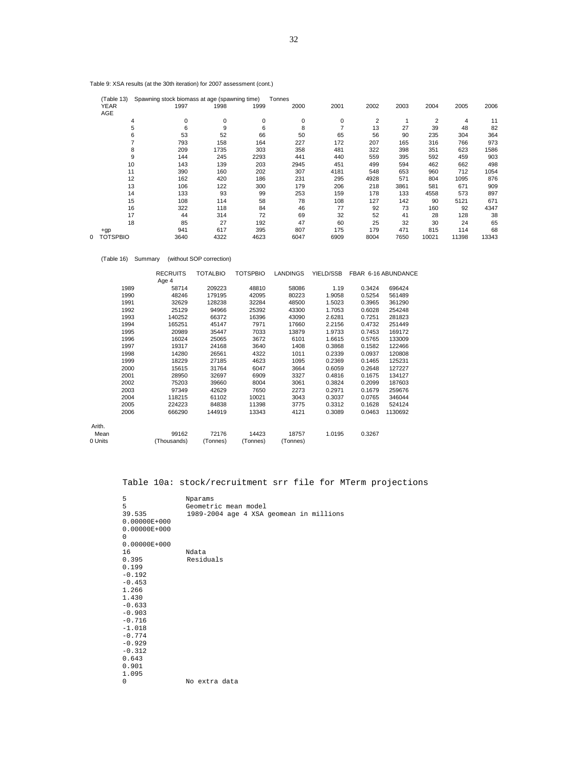| Table 9: XSA results (at the 30th iteration) for 2007 assessment (cont.) |  |  |  |  |
|--------------------------------------------------------------------------|--|--|--|--|
|--------------------------------------------------------------------------|--|--|--|--|

| (Table 13)      | Spawning stock biomass at age (spawning time) |      |             | Tonnes      |      |      |      |       |       |       |
|-----------------|-----------------------------------------------|------|-------------|-------------|------|------|------|-------|-------|-------|
| <b>YEAR</b>     | 1997                                          | 1998 | 1999        | 2000        | 2001 | 2002 | 2003 | 2004  | 2005  | 2006  |
| AGE             |                                               |      |             |             |      |      |      |       |       |       |
|                 | 4                                             | 0    | 0<br>0      | $\mathbf 0$ | 0    | 2    |      | 2     | 4     | 11    |
|                 | 5                                             | 6    | 9<br>6      | 8           |      | 13   | 27   | 39    | 48    | 82    |
|                 | 6                                             | 53   | 52<br>66    | 50          | 65   | 56   | 90   | 235   | 304   | 364   |
|                 | 793                                           |      | 158<br>164  | 227         | 172  | 207  | 165  | 316   | 766   | 973   |
|                 | 8<br>209                                      | 1735 | 303         | 358         | 481  | 322  | 398  | 351   | 623   | 1586  |
|                 | 9<br>144                                      |      | 245<br>2293 | 441         | 440  | 559  | 395  | 592   | 459   | 903   |
| 10              | 143                                           |      | 139<br>203  | 2945        | 451  | 499  | 594  | 462   | 662   | 498   |
| 11              | 390                                           |      | 160<br>202  | 307         | 4181 | 548  | 653  | 960   | 712   | 1054  |
| 12              | 162                                           |      | 186<br>420  | 231         | 295  | 4928 | 571  | 804   | 1095  | 876   |
| 13              | 106                                           |      | 122<br>300  | 179         | 206  | 218  | 3861 | 581   | 671   | 909   |
| 14              | 133                                           |      | 93<br>99    | 253         | 159  | 178  | 133  | 4558  | 573   | 897   |
| 15              | 108                                           |      | 114<br>58   | 78          | 108  | 127  | 142  | 90    | 5121  | 671   |
| 16              | 322                                           |      | 118<br>84   | 46          | 77   | 92   | 73   | 160   | 92    | 4347  |
| 17              |                                               | 44   | 314<br>72   | 69          | 32   | 52   | 41   | 28    | 128   | 38    |
| 18              |                                               | 85   | 27<br>192   | 47          | 60   | 25   | 32   | 30    | 24    | 65    |
| $+qp$           | 941                                           |      | 617<br>395  | 807         | 175  | 179  | 471  | 815   | 114   | 68    |
| <b>TOTSPBIO</b> | 3640                                          | 4322 | 4623        | 6047        | 6909 | 8004 | 7650 | 10021 | 11398 | 13343 |

(Table 16) Summary (without SOP correction)

|         |      | <b>RECRUITS</b><br>Age 4 | <b>TOTALBIO</b> | <b>TOTSPBIO</b> | <b>LANDINGS</b> | YIELD/SSB |        | FBAR 6-16 ABUNDANCE |
|---------|------|--------------------------|-----------------|-----------------|-----------------|-----------|--------|---------------------|
|         | 1989 | 58714                    | 209223          | 48810           | 58086           | 1.19      | 0.3424 | 696424              |
|         | 1990 | 48246                    | 179195          | 42095           | 80223           | 1.9058    | 0.5254 | 561489              |
|         | 1991 | 32629                    | 128238          | 32284           | 48500           | 1.5023    | 0.3965 | 361290              |
|         | 1992 | 25129                    | 94966           | 25392           | 43300           | 1.7053    | 0.6028 | 254248              |
|         | 1993 | 140252                   | 66372           | 16396           | 43090           | 2.6281    | 0.7251 | 281823              |
|         | 1994 | 165251                   | 45147           | 7971            | 17660           | 2.2156    | 0.4732 | 251449              |
|         | 1995 | 20989                    | 35447           | 7033            | 13879           | 1.9733    | 0.7453 | 169172              |
|         | 1996 | 16024                    | 25065           | 3672            | 6101            | 1.6615    | 0.5765 | 133009              |
|         | 1997 | 19317                    | 24168           | 3640            | 1408            | 0.3868    | 0.1582 | 122466              |
|         | 1998 | 14280                    | 26561           | 4322            | 1011            | 0.2339    | 0.0937 | 120808              |
|         | 1999 | 18229                    | 27185           | 4623            | 1095            | 0.2369    | 0.1465 | 125231              |
|         | 2000 | 15615                    | 31764           | 6047            | 3664            | 0.6059    | 0.2648 | 127227              |
|         | 2001 | 28950                    | 32697           | 6909            | 3327            | 0.4816    | 0.1675 | 134127              |
|         | 2002 | 75203                    | 39660           | 8004            | 3061            | 0.3824    | 0.2099 | 187603              |
|         | 2003 | 97349                    | 42629           | 7650            | 2273            | 0.2971    | 0.1679 | 259676              |
|         | 2004 | 118215                   | 61102           | 10021           | 3043            | 0.3037    | 0.0765 | 346044              |
|         | 2005 | 224223                   | 84838           | 11398           | 3775            | 0.3312    | 0.1628 | 524124              |
|         | 2006 | 666290                   | 144919          | 13343           | 4121            | 0.3089    | 0.0463 | 1130692             |
| Arith.  |      |                          |                 |                 |                 |           |        |                     |
| Mean    |      | 99162                    | 72176           | 14423           | 18757           | 1.0195    | 0.3267 |                     |
| 0 Units |      | (Thousands)              | (Tonnes)        | (Tonnes)        | (Tonnes)        |           |        |                     |

Table 10a: stock/recruitment srr file for MTerm projections

| 5                | Nparams                                 |
|------------------|-----------------------------------------|
| 5                | Geometric mean model                    |
| 39.535           | 1989-2004 age 4 XSA geomean in millions |
| $0.00000E + 000$ |                                         |
| $0.00000E + 000$ |                                         |
| 0                |                                         |
| $0.00000E + 000$ |                                         |
| 16               | Ndata                                   |
| 0.395            | Residuals                               |
| 0.199            |                                         |
| $-0.192$         |                                         |
| $-0.453$         |                                         |
| 1.266            |                                         |
| 1.430            |                                         |
| $-0.633$         |                                         |
| $-0.903$         |                                         |
| $-0.716$         |                                         |
| $-1.018$         |                                         |
| $-0.774$         |                                         |
| $-0.929$         |                                         |
| $-0.312$         |                                         |
| 0.643            |                                         |
| 0.901            |                                         |
| 1.095            |                                         |
| 0                | No extra data                           |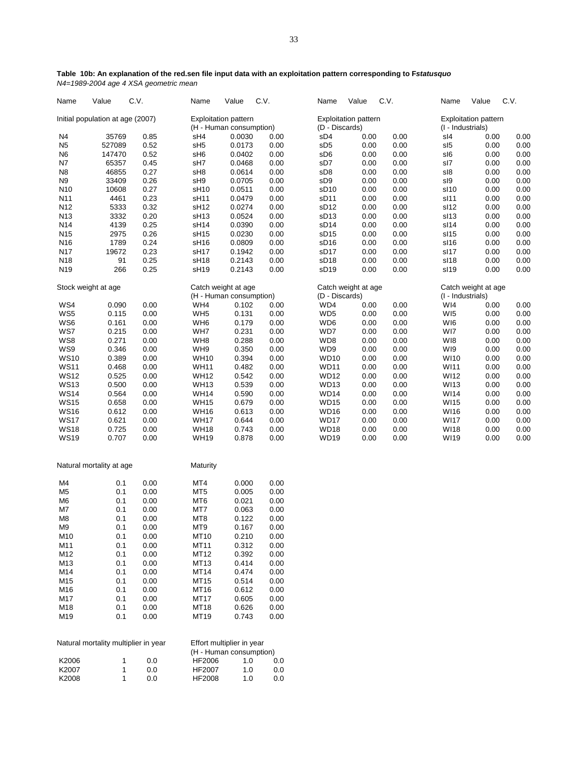| Name            | Value                            | C.V. | Name                 | Value                       | C.V. | Name                        | Value | C.V. | Name              | Value                       | C.V. |
|-----------------|----------------------------------|------|----------------------|-----------------------------|------|-----------------------------|-------|------|-------------------|-----------------------------|------|
|                 | Initial population at age (2007) |      |                      | <b>Exploitation pattern</b> |      | <b>Exploitation pattern</b> |       |      |                   | <b>Exploitation pattern</b> |      |
|                 |                                  |      |                      | (H - Human consumption)     |      | (D - Discards)              |       |      | (I - Industrials) |                             |      |
| N <sub>4</sub>  | 35769                            | 0.85 | sH4                  | 0.0030                      | 0.00 | sD4                         | 0.00  | 0.00 | sl4               | 0.00                        | 0.00 |
| N <sub>5</sub>  | 527089                           | 0.52 | sH <sub>5</sub>      | 0.0173                      | 0.00 | sD <sub>5</sub>             | 0.00  | 0.00 | sl5               | 0.00                        | 0.00 |
| N <sub>6</sub>  | 147470                           | 0.52 | sH <sub>6</sub>      | 0.0402                      | 0.00 | sD6                         | 0.00  | 0.00 | sl6               | 0.00                        | 0.00 |
| <b>N7</b>       | 65357                            | 0.45 | sH7                  | 0.0468                      | 0.00 | sD7                         | 0.00  | 0.00 | sl7               | 0.00                        | 0.00 |
| N <sub>8</sub>  | 46855                            | 0.27 | sH <sub>8</sub>      | 0.0614                      | 0.00 | sD <sub>8</sub>             | 0.00  | 0.00 | sl8               | 0.00                        | 0.00 |
| N <sub>9</sub>  | 33409                            | 0.26 | sH <sub>9</sub>      | 0.0705                      | 0.00 | sD <sub>9</sub>             | 0.00  | 0.00 | sl9               | 0.00                        | 0.00 |
| N <sub>10</sub> | 10608                            | 0.27 | sH <sub>10</sub>     | 0.0511                      | 0.00 | sD <sub>10</sub>            | 0.00  | 0.00 | sl10              | 0.00                        | 0.00 |
| N <sub>11</sub> | 4461                             | 0.23 | sH <sub>11</sub>     | 0.0479                      | 0.00 | sD <sub>11</sub>            | 0.00  | 0.00 | sl11              | 0.00                        | 0.00 |
| N <sub>12</sub> | 5333                             | 0.32 | sH <sub>12</sub>     | 0.0274                      | 0.00 | sD <sub>12</sub>            | 0.00  | 0.00 | sl12              | 0.00                        | 0.00 |
| N <sub>13</sub> | 3332                             | 0.20 | sH <sub>13</sub>     | 0.0524                      | 0.00 | sD <sub>13</sub>            | 0.00  | 0.00 | sl13              | 0.00                        | 0.00 |
| N <sub>14</sub> | 4139                             | 0.25 | sH <sub>14</sub>     | 0.0390                      | 0.00 | sD <sub>14</sub>            | 0.00  | 0.00 | sl14              | 0.00                        | 0.00 |
| N <sub>15</sub> | 2975                             | 0.26 | sH15                 | 0.0230                      | 0.00 | SD15                        | 0.00  | 0.00 | sl15              | 0.00                        | 0.00 |
| N14C            | 1700                             | 0.24 | $\sim$ LIA $\approx$ | n nonn                      | 0.00 | CD1G                        | 0.00  | 0.00 | 0.11C             | 0.00                        | n nn |

## **Table 10b: An explanation of the red.sen file input data with an exploitation pattern corresponding to F***statusquo N4=1989-2004 age 4 XSA geometric mean*

| N11                        | 4461                                 | 0.23         | sH <sub>11</sub>           | 0.0479                    | 0.00         | sD11                       | 0.00         | 0.00         | sl11                | 0.00         | 0.00         |
|----------------------------|--------------------------------------|--------------|----------------------------|---------------------------|--------------|----------------------------|--------------|--------------|---------------------|--------------|--------------|
| N <sub>12</sub>            | 5333                                 | 0.32         | sH <sub>12</sub>           | 0.0274                    | 0.00         | sD <sub>12</sub>           | 0.00         | 0.00         | sl12                | 0.00         | 0.00         |
| N <sub>13</sub>            | 3332                                 | 0.20         | sH <sub>13</sub>           | 0.0524                    | 0.00         | sD <sub>13</sub>           | 0.00         | 0.00         | sl13                | 0.00         | 0.00         |
| N <sub>14</sub>            | 4139                                 | 0.25         | sH <sub>14</sub>           | 0.0390                    | 0.00         | sD <sub>14</sub>           | 0.00         | 0.00         | sl14                | 0.00         | 0.00         |
| N <sub>15</sub>            | 2975                                 | 0.26         | sH <sub>15</sub>           | 0.0230                    | 0.00         | sD <sub>15</sub>           | 0.00         | 0.00         | sl15                | 0.00         | 0.00         |
| N <sub>16</sub>            | 1789                                 | 0.24         | sH <sub>16</sub>           | 0.0809                    | 0.00         | sD <sub>16</sub>           | 0.00         | 0.00         | sl16                | 0.00         | 0.00         |
| N17                        | 19672                                | 0.23         | sH17                       | 0.1942                    | 0.00         | sD <sub>17</sub>           | 0.00         | 0.00         | sl17                | 0.00         | 0.00         |
| N <sub>18</sub>            | 91                                   | 0.25         | sH <sub>18</sub>           | 0.2143                    | 0.00         | sD <sub>18</sub>           | 0.00         | 0.00         | sl18                | 0.00         | 0.00         |
| N <sub>19</sub>            | 266                                  | 0.25         | sH <sub>19</sub>           | 0.2143                    | 0.00         | sD <sub>19</sub>           | 0.00         | 0.00         | sl19                | 0.00         | 0.00         |
| Stock weight at age        |                                      |              | Catch weight at age        |                           |              | Catch weight at age        |              |              | Catch weight at age |              |              |
|                            |                                      |              |                            | (H - Human consumption)   |              | (D - Discards)             |              |              | (I - Industrials)   |              |              |
| WS4                        | 0.090                                | 0.00         | WH4                        | 0.102                     | 0.00         | WD4                        | 0.00         | 0.00         | WI4                 | 0.00         | 0.00         |
| WS5                        | 0.115                                | 0.00         | WH <sub>5</sub>            | 0.131                     | 0.00         | WD <sub>5</sub>            | 0.00         | 0.00         | WI <sub>5</sub>     | 0.00         | 0.00         |
| WS6                        | 0.161                                | 0.00         | WH <sub>6</sub>            | 0.179                     | 0.00         | WD6                        | 0.00         | 0.00         | WI6                 | 0.00         | 0.00         |
| WS7                        | 0.215                                | 0.00         | WH7                        | 0.231                     | 0.00         | WD7                        | 0.00         | 0.00         | WI7                 | 0.00         | 0.00         |
| WS8                        | 0.271                                | 0.00         | WH8                        | 0.288                     | 0.00         | WD8                        | 0.00         | 0.00         | WI8                 | 0.00         | 0.00         |
| WS9                        | 0.346                                | 0.00         | WH9                        | 0.350                     | 0.00         | WD9                        | 0.00         | 0.00         | WI9                 | 0.00         | 0.00         |
| <b>WS10</b>                | 0.389                                | 0.00         | <b>WH10</b>                | 0.394                     | 0.00         | <b>WD10</b>                | 0.00         | 0.00         | <b>WI10</b>         | 0.00         | 0.00         |
| <b>WS11</b>                | 0.468                                | 0.00         | <b>WH11</b>                | 0.482                     | 0.00         | <b>WD11</b>                | 0.00         | 0.00         | WI11                | 0.00         | 0.00         |
| <b>WS12</b>                | 0.525                                | 0.00         | <b>WH12</b>                | 0.542                     | 0.00         | <b>WD12</b>                | 0.00         | 0.00         | WI12                | 0.00         | 0.00         |
| <b>WS13</b>                | 0.500                                | 0.00         | <b>WH13</b>                | 0.539                     | 0.00         | <b>WD13</b>                | 0.00         | 0.00         | WI13                | 0.00         | 0.00         |
| <b>WS14</b>                | 0.564                                | 0.00         | <b>WH14</b>                | 0.590                     | 0.00         | <b>WD14</b>                | 0.00         | 0.00         | <b>WI14</b>         | 0.00         | 0.00         |
| <b>WS15</b>                | 0.658                                | 0.00         | <b>WH15</b>                | 0.679                     | 0.00         | WD <sub>15</sub>           | 0.00         | 0.00         | WI15                | 0.00         | 0.00         |
| <b>WS16</b>                | 0.612                                | 0.00         | <b>WH16</b>                | 0.613                     | 0.00         | <b>WD16</b>                | 0.00         | 0.00         | WI16                | 0.00         | 0.00         |
| <b>WS17</b>                | 0.621                                | 0.00         | <b>WH17</b>                | 0.644                     | 0.00         | WD17                       | 0.00         | 0.00         | <b>WI17</b>         | 0.00         | 0.00         |
| <b>WS18</b><br><b>WS19</b> | 0.725<br>0.707                       | 0.00<br>0.00 | <b>WH18</b><br><b>WH19</b> | 0.743<br>0.878            | 0.00<br>0.00 | <b>WD18</b><br><b>WD19</b> | 0.00<br>0.00 | 0.00<br>0.00 | <b>WI18</b><br>WI19 | 0.00<br>0.00 | 0.00<br>0.00 |
|                            | Natural mortality at age             |              | Maturity                   |                           |              |                            |              |              |                     |              |              |
| M4                         | 0.1                                  | 0.00         | MT4                        | 0.000                     | 0.00         |                            |              |              |                     |              |              |
| M <sub>5</sub>             | 0.1                                  | 0.00         | MT <sub>5</sub>            | 0.005                     | 0.00         |                            |              |              |                     |              |              |
| M <sub>6</sub>             | 0.1                                  | 0.00         | MT <sub>6</sub>            | 0.021                     | 0.00         |                            |              |              |                     |              |              |
| M7                         | 0.1                                  | 0.00         | MT7                        | 0.063                     | 0.00         |                            |              |              |                     |              |              |
| M <sub>8</sub>             | 0.1                                  | 0.00         | MT8                        | 0.122                     | 0.00         |                            |              |              |                     |              |              |
| M <sub>9</sub>             | 0.1                                  | 0.00         | MT9                        | 0.167                     | 0.00         |                            |              |              |                     |              |              |
| M10                        | 0.1                                  | 0.00         | MT10                       | 0.210                     | 0.00         |                            |              |              |                     |              |              |
| M11                        | 0.1                                  | 0.00         | MT11                       | 0.312                     | 0.00         |                            |              |              |                     |              |              |
| M12                        | 0.1                                  | 0.00         | MT12                       | 0.392                     | 0.00         |                            |              |              |                     |              |              |
| M13                        | 0.1                                  | 0.00         | MT13                       | 0.414                     | 0.00         |                            |              |              |                     |              |              |
| M14                        | 0.1                                  | 0.00         | MT14                       | 0.474                     | 0.00         |                            |              |              |                     |              |              |
| M15                        | 0.1                                  | 0.00         | MT15                       | 0.514                     | 0.00         |                            |              |              |                     |              |              |
| M16                        | 0.1                                  | 0.00         | MT16                       | 0.612                     | 0.00         |                            |              |              |                     |              |              |
| M17                        | 0.1                                  | 0.00         | MT17                       | 0.605                     | 0.00         |                            |              |              |                     |              |              |
| M18                        | 0.1                                  | 0.00         | MT18                       | 0.626                     | 0.00         |                            |              |              |                     |              |              |
| M19                        | 0.1                                  | 0.00         | MT19                       | 0.743                     | 0.00         |                            |              |              |                     |              |              |
|                            | Natural mortality multiplier in year |              |                            | Effort multiplier in year |              |                            |              |              |                     |              |              |
|                            |                                      |              |                            | (H - Human consumption)   |              |                            |              |              |                     |              |              |
| K2006                      | $\mathbf{1}$                         | 0.0          | HF2006                     | 1.0                       | 0.0          |                            |              |              |                     |              |              |
| K2007                      | $\mathbf 1$                          | $0.0\,$      | HF2007                     | 1.0                       | 0.0          |                            |              |              |                     |              |              |
| K2008                      | $\mathbf{1}$                         | 0.0          | <b>HF2008</b>              | 1.0                       | 0.0          |                            |              |              |                     |              |              |
|                            |                                      |              |                            |                           |              |                            |              |              |                     |              |              |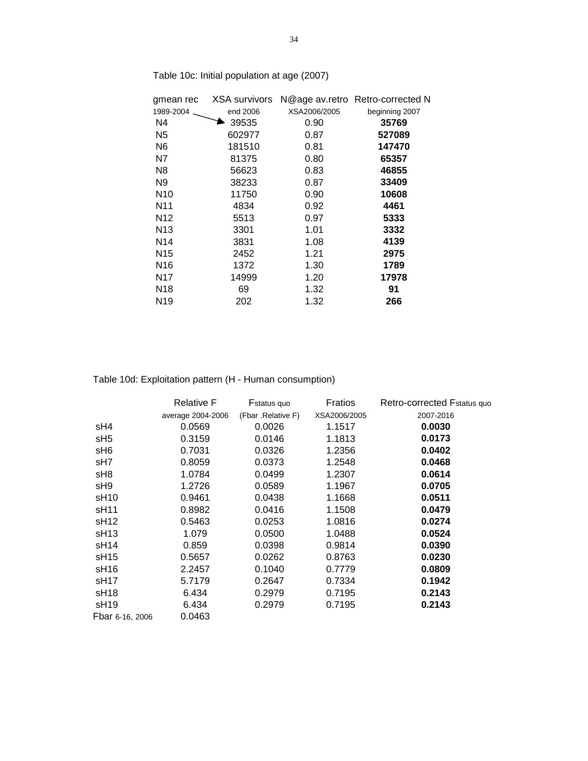| gmean rec       | XSA survivors |              | N@age av.retro Retro-corrected N |
|-----------------|---------------|--------------|----------------------------------|
| 1989-2004       | end 2006      | XSA2006/2005 | beginning 2007                   |
| N4              | 39535         | 0.90         | 35769                            |
| N5              | 602977        | 0.87         | 527089                           |
| N6              | 181510        | 0.81         | 147470                           |
| N7              | 81375         | 0.80         | 65357                            |
| N8              | 56623         | 0.83         | 46855                            |
| N9              | 38233         | 0.87         | 33409                            |
| N <sub>10</sub> | 11750         | 0.90         | 10608                            |
| N11             | 4834          | 0.92         | 4461                             |
| N <sub>12</sub> | 5513          | 0.97         | 5333                             |
| N <sub>13</sub> | 3301          | 1.01         | 3332                             |
| N <sub>14</sub> | 3831          | 1.08         | 4139                             |
| N <sub>15</sub> | 2452          | 1.21         | 2975                             |
| N <sub>16</sub> | 1372          | 1.30         | 1789                             |
| N17             | 14999         | 1.20         | 17978                            |
| N <sub>18</sub> | 69            | 1.32         | 91                               |
| N19             | 202           | 1.32         | 266                              |

Table 10c: Initial population at age (2007)

Table 10d: Exploitation pattern (H - Human consumption)

|                  | <b>Relative F</b> | Fstatus quo        | Fratios      | Retro-corrected Fstatus quo |
|------------------|-------------------|--------------------|--------------|-----------------------------|
|                  | average 2004-2006 | (Fbar .Relative F) | XSA2006/2005 | 2007-2016                   |
| sH4              | 0.0569            | 0.0026             | 1.1517       | 0.0030                      |
| sH <sub>5</sub>  | 0.3159            | 0.0146             | 1.1813       | 0.0173                      |
| sH <sub>6</sub>  | 0.7031            | 0.0326             | 1.2356       | 0.0402                      |
| sH7              | 0.8059            | 0.0373             | 1.2548       | 0.0468                      |
| sH8              | 1.0784            | 0.0499             | 1.2307       | 0.0614                      |
| sH <sub>9</sub>  | 1.2726            | 0.0589             | 1.1967       | 0.0705                      |
| sH <sub>10</sub> | 0.9461            | 0.0438             | 1.1668       | 0.0511                      |
| sH <sub>11</sub> | 0.8982            | 0.0416             | 1.1508       | 0.0479                      |
| sH <sub>12</sub> | 0.5463            | 0.0253             | 1.0816       | 0.0274                      |
| sH <sub>13</sub> | 1.079             | 0.0500             | 1.0488       | 0.0524                      |
| sH <sub>14</sub> | 0.859             | 0.0398             | 0.9814       | 0.0390                      |
| sH <sub>15</sub> | 0.5657            | 0.0262             | 0.8763       | 0.0230                      |
| sH <sub>16</sub> | 2.2457            | 0.1040             | 0.7779       | 0.0809                      |
| sH <sub>17</sub> | 5.7179            | 0.2647             | 0.7334       | 0.1942                      |
| sH <sub>18</sub> | 6.434             | 0.2979             | 0.7195       | 0.2143                      |
| sH <sub>19</sub> | 6.434             | 0.2979             | 0.7195       | 0.2143                      |
| Fbar 6-16, 2006  | 0.0463            |                    |              |                             |
|                  |                   |                    |              |                             |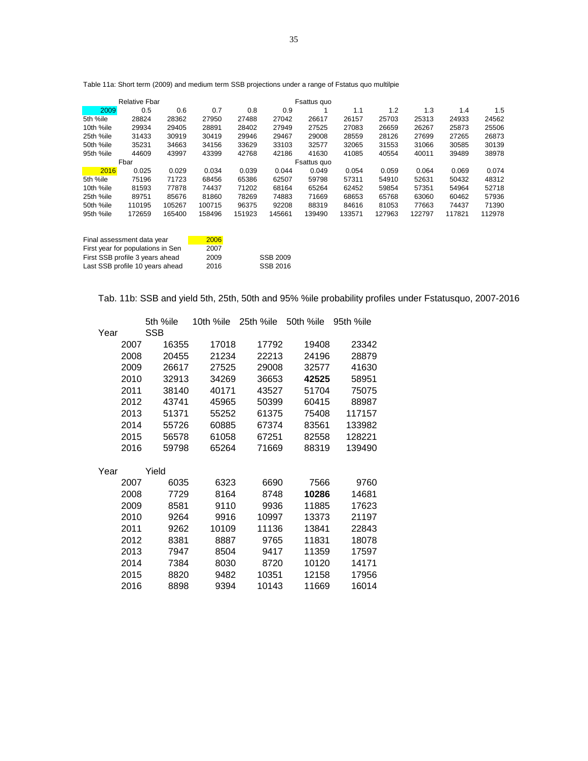Table 11a: Short term (2009) and medium term SSB projections under a range of Fstatus quo multilpie b

|           | <b>Relative Fbar</b> |        |        |        |        | Fsattus quo |        |        |        |        |        |
|-----------|----------------------|--------|--------|--------|--------|-------------|--------|--------|--------|--------|--------|
| 2009      | 0.5                  | 0.6    | 0.7    | 0.8    | 0.9    |             | 1.1    | 1.2    | 1.3    | 1.4    | 1.5    |
| 5th %ile  | 28824                | 28362  | 27950  | 27488  | 27042  | 26617       | 26157  | 25703  | 25313  | 24933  | 24562  |
| 10th %ile | 29934                | 29405  | 28891  | 28402  | 27949  | 27525       | 27083  | 26659  | 26267  | 25873  | 25506  |
| 25th %ile | 31433                | 30919  | 30419  | 29946  | 29467  | 29008       | 28559  | 28126  | 27699  | 27265  | 26873  |
| 50th %ile | 35231                | 34663  | 34156  | 33629  | 33103  | 32577       | 32065  | 31553  | 31066  | 30585  | 30139  |
| 95th %ile | 44609                | 43997  | 43399  | 42768  | 42186  | 41630       | 41085  | 40554  | 40011  | 39489  | 38978  |
|           | Fbar                 |        |        |        |        | Fsattus quo |        |        |        |        |        |
| 2016      | 0.025                | 0.029  | 0.034  | 0.039  | 0.044  | 0.049       | 0.054  | 0.059  | 0.064  | 0.069  | 0.074  |
| 5th %ile  | 75196                | 71723  | 68456  | 65386  | 62507  | 59798       | 57311  | 54910  | 52631  | 50432  | 48312  |
| 10th %ile | 81593                | 77878  | 74437  | 71202  | 68164  | 65264       | 62452  | 59854  | 57351  | 54964  | 52718  |
| 25th %ile | 89751                | 85676  | 81860  | 78269  | 74883  | 71669       | 68653  | 65768  | 63060  | 60462  | 57936  |
| 50th %ile | 110195               | 105267 | 100715 | 96375  | 92208  | 88319       | 84616  | 81053  | 77663  | 74437  | 71390  |
| 95th %ile | 172659               | 165400 | 158496 | 151923 | 145661 | 139490      | 133571 | 127963 | 122797 | 117821 | 112978 |
|           |                      |        |        |        |        |             |        |        |        |        |        |
|           |                      |        |        |        |        |             |        |        |        |        |        |

| Final assessment data year        | 2006 |                 |
|-----------------------------------|------|-----------------|
| First year for populations in Sen | 2007 |                 |
| First SSB profile 3 years ahead   | 2009 | <b>SSB 2009</b> |
| Last SSB profile 10 years ahead   | 2016 | SSB 2016        |

Tab. 11b: SSB and yield 5th, 25th, 50th and 95% %ile probability profiles under Fstatusquo, 2007-2016

|      |      | 5th %ile | 10th %ile | 25th %ile | 50th %ile | 95th %ile |
|------|------|----------|-----------|-----------|-----------|-----------|
| Year |      | SSB      |           |           |           |           |
|      | 2007 | 16355    | 17018     | 17792     | 19408     | 23342     |
|      | 2008 | 20455    | 21234     | 22213     | 24196     | 28879     |
|      | 2009 | 26617    | 27525     | 29008     | 32577     | 41630     |
|      | 2010 | 32913    | 34269     | 36653     | 42525     | 58951     |
|      | 2011 | 38140    | 40171     | 43527     | 51704     | 75075     |
|      | 2012 | 43741    | 45965     | 50399     | 60415     | 88987     |
|      | 2013 | 51371    | 55252     | 61375     | 75408     | 117157    |
|      | 2014 | 55726    | 60885     | 67374     | 83561     | 133982    |
|      | 2015 | 56578    | 61058     | 67251     | 82558     | 128221    |
|      | 2016 | 59798    | 65264     | 71669     | 88319     | 139490    |
|      |      |          |           |           |           |           |
| Year |      | Yield    |           |           |           |           |
|      | 2007 | 6035     | 6323      | 6690      | 7566      | 9760      |
|      | 2008 | 7729     | 8164      | 8748      | 10286     | 14681     |
|      | 2009 | 8581     | 9110      | 9936      | 11885     | 17623     |
|      | 2010 | 9264     | 9916      | 10997     | 13373     | 21197     |
|      | 2011 | 9262     | 10109     | 11136     | 13841     | 22843     |
|      | 2012 | 8381     | 8887      | 9765      | 11831     | 18078     |
|      | 2013 | 7947     | 8504      | 9417      | 11359     | 17597     |
|      | 2014 | 7384     | 8030      | 8720      | 10120     | 14171     |
|      | 2015 | 8820     | 9482      | 10351     | 12158     | 17956     |
|      | 2016 | 8898     | 9394      | 10143     | 11669     | 16014     |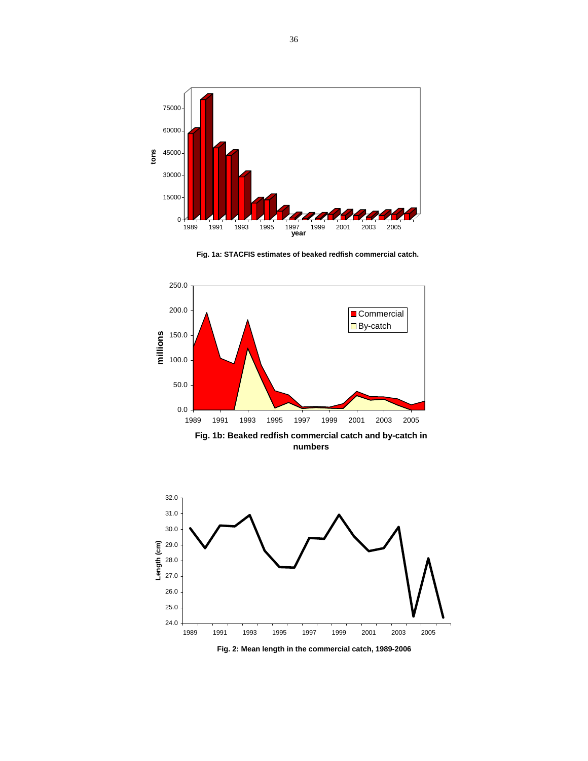

**Fig. 1a: STACFIS estimates of beaked redfish commercial catch.** 





**Fig. 2: Mean length in the commercial catch, 1989-2006**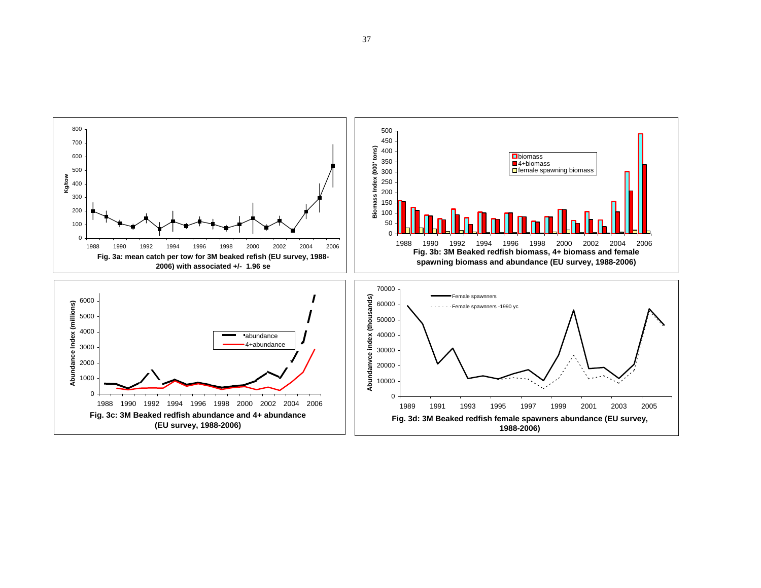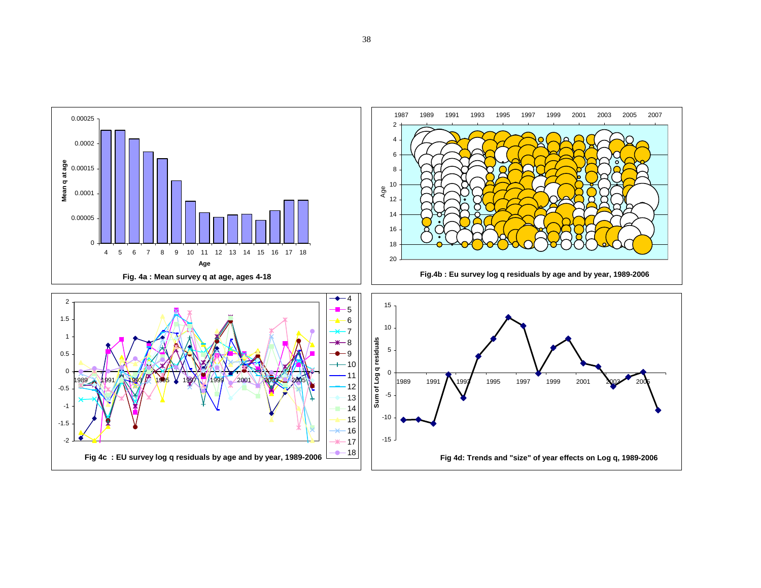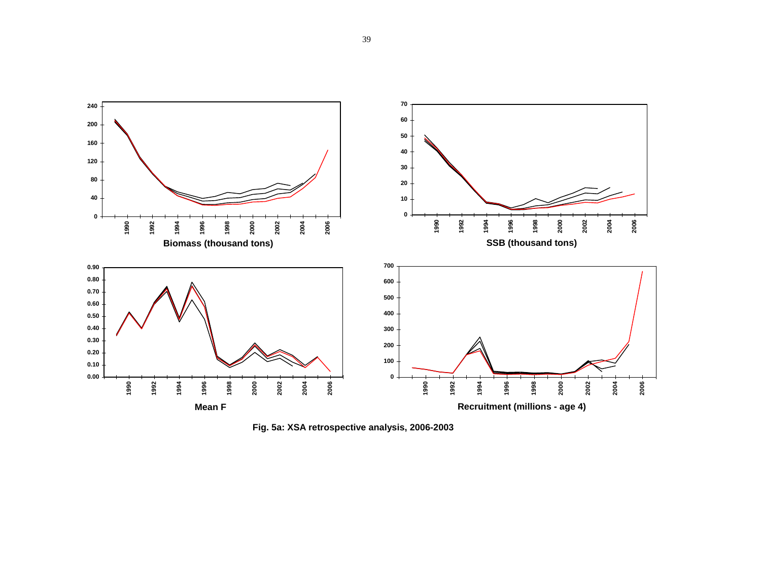

**Fig. 5a: XSA retrospective analysis, 2006-2003**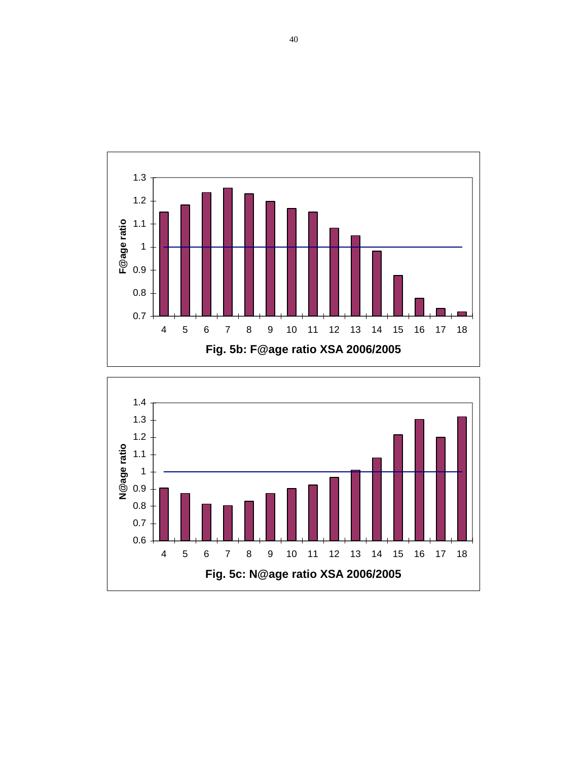

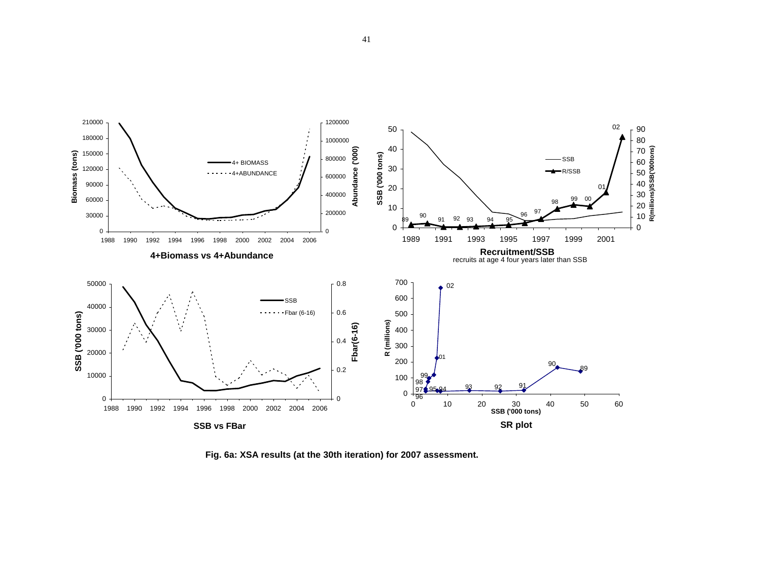

 **Fig. 6a: XSA results (at the 30th iteration) for 2007 assessment.**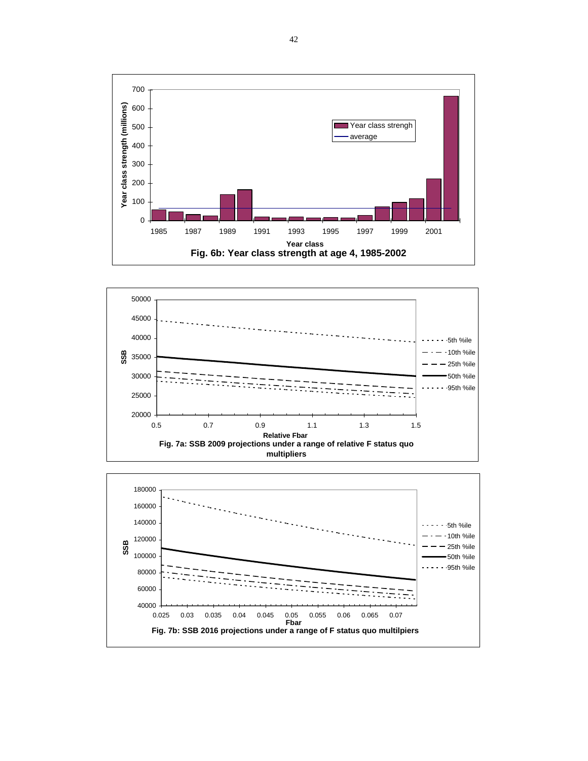